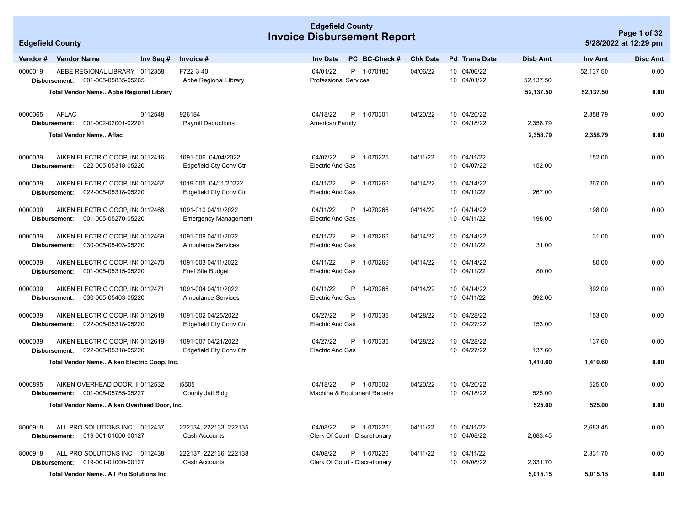|                         |                               |                                                         |                                                  | <b>Edgefield County</b><br><b>Invoice Disbursement Report</b> |                                     |    |                                              |                 |  |                            | Page 1 of 32 |           |                       |
|-------------------------|-------------------------------|---------------------------------------------------------|--------------------------------------------------|---------------------------------------------------------------|-------------------------------------|----|----------------------------------------------|-----------------|--|----------------------------|--------------|-----------|-----------------------|
| <b>Edgefield County</b> |                               |                                                         |                                                  |                                                               |                                     |    |                                              |                 |  |                            |              |           | 5/28/2022 at 12:29 pm |
| Vendor#                 | <b>Vendor Name</b>            | Inv Seq #                                               | Invoice #                                        |                                                               | <b>Inv Date</b>                     |    | PC BC-Check #                                | <b>Chk Date</b> |  | <b>Pd</b> Trans Date       | Disb Amt     | Inv Amt   | <b>Disc Amt</b>       |
| 0000019                 |                               | ABBE REGIONAL LIBRARY 0112358                           | F722-3-40                                        |                                                               | 04/01/22                            |    | P 1-070180                                   | 04/06/22        |  | 10 04/06/22                |              | 52,137.50 | 0.00                  |
|                         | Disbursement:                 | 001-005-05835-05265                                     | Abbe Regional Library                            |                                                               | <b>Professional Services</b>        |    |                                              |                 |  | 10 04/01/22                | 52,137.50    |           |                       |
|                         |                               | Total Vendor NameAbbe Regional Library                  |                                                  |                                                               |                                     |    |                                              |                 |  |                            | 52,137.50    | 52,137.50 | 0.00                  |
|                         |                               |                                                         |                                                  |                                                               |                                     |    |                                              |                 |  |                            |              |           |                       |
| 0000065                 | <b>AFLAC</b><br>Disbursement: | 0112548<br>001-002-02001-02201                          | 926184<br><b>Payroll Deductions</b>              |                                                               | 04/18/22<br>American Family         |    | P 1-070301                                   | 04/20/22        |  | 10 04/20/22<br>10 04/18/22 | 2,358.79     | 2,358.79  | 0.00                  |
|                         |                               | <b>Total Vendor NameAflac</b>                           |                                                  |                                                               |                                     |    |                                              |                 |  |                            | 2,358.79     | 2,358.79  | 0.00                  |
|                         |                               |                                                         |                                                  |                                                               |                                     |    |                                              |                 |  |                            |              |           |                       |
| 0000039                 |                               | AIKEN ELECTRIC COOP, IN 0112416                         | 1091-006 04/04/2022                              |                                                               | 04/07/22                            |    | P 1-070225                                   | 04/11/22        |  | 10 04/11/22                |              | 152.00    | 0.00                  |
|                         | Disbursement:                 | 022-005-05318-05220                                     | Edgefield Cty Conv Ctr                           |                                                               | <b>Electric And Gas</b>             |    |                                              |                 |  | 10 04/07/22                | 152.00       |           |                       |
| 0000039                 |                               | AIKEN ELECTRIC COOP, IN( 0112467                        | 1019-005 04/11/20222                             |                                                               | 04/11/22                            |    | P 1-070266                                   | 04/14/22        |  | 10 04/14/22                |              | 267.00    | 0.00                  |
|                         | Disbursement:                 | 022-005-05318-05220                                     | Edgefield Cty Conv Ctr                           |                                                               | <b>Electric And Gas</b>             |    |                                              |                 |  | 10 04/11/22                | 267.00       |           |                       |
| 0000039                 |                               |                                                         | 1091-010 04/11/2022                              |                                                               | 04/11/22                            | P  | 1-070266                                     |                 |  | 10 04/14/22                |              |           |                       |
|                         | Disbursement:                 | AIKEN ELECTRIC COOP, IN( 0112468<br>001-005-05270-05220 | Emergency Management                             |                                                               | <b>Electric And Gas</b>             |    |                                              | 04/14/22        |  | 10 04/11/22                | 198.00       | 198.00    | 0.00                  |
|                         |                               |                                                         |                                                  |                                                               |                                     |    |                                              |                 |  |                            |              |           |                       |
| 0000039                 |                               | AIKEN ELECTRIC COOP, IN( 0112469<br>030-005-05403-05220 | 1091-009 04/11/2022<br><b>Ambulance Services</b> |                                                               | 04/11/22<br><b>Electric And Gas</b> |    | P 1-070266                                   | 04/14/22        |  | 10 04/14/22<br>10 04/11/22 | 31.00        | 31.00     | 0.00                  |
|                         | Disbursement:                 |                                                         |                                                  |                                                               |                                     |    |                                              |                 |  |                            |              |           |                       |
| 0000039                 |                               | AIKEN ELECTRIC COOP, IN( 0112470                        | 1091-003 04/11/2022                              |                                                               | 04/11/22                            | P  | 1-070266                                     | 04/14/22        |  | 10 04/14/22                |              | 80.00     | 0.00                  |
|                         | Disbursement:                 | 001-005-05315-05220                                     | <b>Fuel Site Budget</b>                          |                                                               | <b>Electric And Gas</b>             |    |                                              |                 |  | 10 04/11/22                | 80.00        |           |                       |
| 0000039                 |                               | AIKEN ELECTRIC COOP, IN( 0112471                        | 1091-004 04/11/2022                              |                                                               | 04/11/22                            | P. | 1-070266                                     | 04/14/22        |  | 10 04/14/22                |              | 392.00    | 0.00                  |
|                         | Disbursement:                 | 030-005-05403-05220                                     | <b>Ambulance Services</b>                        |                                                               | <b>Electric And Gas</b>             |    |                                              |                 |  | 10 04/11/22                | 392.00       |           |                       |
| 0000039                 |                               | AIKEN ELECTRIC COOP, IN( 0112618                        | 1091-002 04/25/2022                              |                                                               | 04/27/22                            | P  | 1-070335                                     | 04/28/22        |  | 10 04/28/22                |              | 153.00    | 0.00                  |
|                         | Disbursement:                 | 022-005-05318-05220                                     | Edgefield Cty Conv Ctr                           |                                                               | <b>Electric And Gas</b>             |    |                                              |                 |  | 10 04/27/22                | 153.00       |           |                       |
|                         |                               |                                                         |                                                  |                                                               |                                     |    |                                              |                 |  |                            |              |           |                       |
| 0000039                 | Disbursement:                 | AIKEN ELECTRIC COOP, IN( 0112619<br>022-005-05318-05220 | 1091-007 04/21/2022<br>Edgefield Cty Conv Ctr    |                                                               | 04/27/22<br><b>Electric And Gas</b> | P  | 1-070335                                     | 04/28/22        |  | 10 04/28/22<br>10 04/27/22 | 137.60       | 137.60    | 0.00                  |
|                         |                               | Total Vendor NameAiken Electric Coop, Inc.              |                                                  |                                                               |                                     |    |                                              |                 |  |                            | 1,410.60     | 1,410.60  | 0.00                  |
|                         |                               |                                                         |                                                  |                                                               |                                     |    |                                              |                 |  |                            |              |           |                       |
| 0000895                 |                               | AIKEN OVERHEAD DOOR, II 0112532                         | i5505                                            |                                                               | 04/18/22                            |    | P 1-070302                                   | 04/20/22        |  | 10 04/20/22                |              | 525.00    | 0.00                  |
|                         | Disbursement:                 | 001-005-05755-05227                                     | County Jail Bldg                                 |                                                               |                                     |    | Machine & Equipment Repairs                  |                 |  | 10 04/18/22                | 525.00       |           |                       |
|                         |                               | Total Vendor NameAiken Overhead Door, Inc.              |                                                  |                                                               |                                     |    |                                              |                 |  |                            | 525.00       | 525.00    | 0.00                  |
|                         |                               |                                                         |                                                  |                                                               |                                     |    |                                              |                 |  |                            |              |           |                       |
| 8000918                 | Disbursement:                 | ALL PRO SOLUTIONS INC 0112437<br>019-001-01000-00127    | 222134, 222133, 222135<br>Cash Accounts          |                                                               | 04/08/22                            |    | P 1-070226<br>Clerk Of Court - Discretionary | 04/11/22        |  | 10 04/11/22<br>10 04/08/22 | 2,683.45     | 2,683.45  | 0.00                  |
|                         |                               |                                                         |                                                  |                                                               |                                     |    |                                              |                 |  |                            |              |           |                       |
| 8000918                 |                               | ALL PRO SOLUTIONS INC 0112438                           | 222137, 222136, 222138                           |                                                               | 04/08/22                            |    | P 1-070226                                   | 04/11/22        |  | 10 04/11/22                |              | 2,331.70  | 0.00                  |
|                         | Disbursement:                 | 019-001-01000-00127                                     | Cash Accounts                                    |                                                               |                                     |    | Clerk Of Court - Discretionary               |                 |  | 10 04/08/22                | 2,331.70     |           |                       |
|                         |                               | <b>Total Vendor NameAll Pro Solutions Inc.</b>          |                                                  |                                                               |                                     |    |                                              |                 |  |                            | 5,015.15     | 5,015.15  | 0.00                  |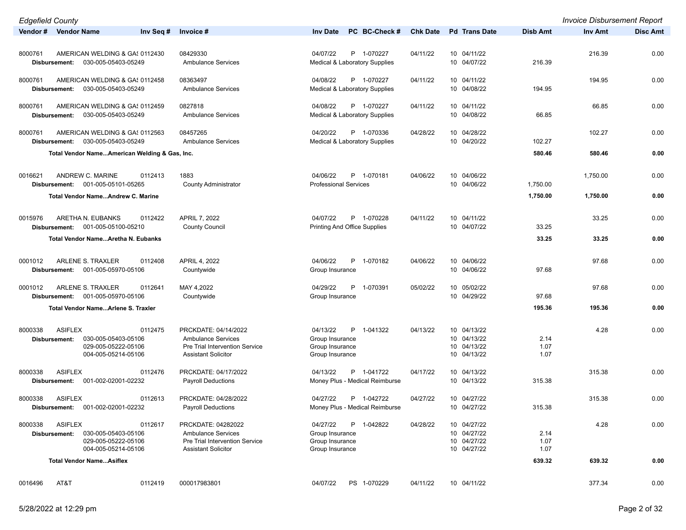| <b>Edgefield County</b>                                                                                                    |                                                                                                                   |                                                                                    |                 |                                                          |                      | <b>Invoice Disbursement Report</b> |                 |
|----------------------------------------------------------------------------------------------------------------------------|-------------------------------------------------------------------------------------------------------------------|------------------------------------------------------------------------------------|-----------------|----------------------------------------------------------|----------------------|------------------------------------|-----------------|
| Vendor # Vendor Name<br>Inv Seq #                                                                                          | Invoice #                                                                                                         | PC BC-Check #<br><b>Inv Date</b>                                                   | <b>Chk Date</b> | <b>Pd</b> Trans Date                                     | <b>Disb Amt</b>      | Inv Amt                            | <b>Disc Amt</b> |
| AMERICAN WELDING & GA! 0112430<br>8000761                                                                                  | 08429330                                                                                                          | 04/07/22<br>P 1-070227                                                             | 04/11/22        | 10 04/11/22                                              |                      | 216.39                             | 0.00            |
| 030-005-05403-05249<br>Disbursement:                                                                                       | <b>Ambulance Services</b>                                                                                         | Medical & Laboratory Supplies                                                      |                 | 10 04/07/22                                              | 216.39               |                                    |                 |
| AMERICAN WELDING & GA! 0112458<br>8000761<br>030-005-05403-05249<br>Disbursement:                                          | 08363497<br><b>Ambulance Services</b>                                                                             | 04/08/22<br>P 1-070227<br><b>Medical &amp; Laboratory Supplies</b>                 | 04/11/22        | 10 04/11/22<br>10 04/08/22                               | 194.95               | 194.95                             | 0.00            |
| 8000761<br>AMERICAN WELDING & GA! 0112459<br>030-005-05403-05249<br>Disbursement:                                          | 0827818<br><b>Ambulance Services</b>                                                                              | 04/08/22<br>P 1-070227<br><b>Medical &amp; Laboratory Supplies</b>                 | 04/11/22        | 10 04/11/22<br>10 04/08/22                               | 66.85                | 66.85                              | 0.00            |
| AMERICAN WELDING & GA! 0112563<br>8000761<br>Disbursement: 030-005-05403-05249                                             | 08457265<br><b>Ambulance Services</b>                                                                             | 04/20/22<br>P 1-070336<br><b>Medical &amp; Laboratory Supplies</b>                 | 04/28/22        | 10 04/28/22<br>10 04/20/22                               | 102.27               | 102.27                             | 0.00            |
| Total Vendor NameAmerican Welding & Gas, Inc.                                                                              |                                                                                                                   |                                                                                    |                 |                                                          | 580.46               | 580.46                             | 0.00            |
| ANDREW C. MARINE<br>0016621<br>0112413<br>Disbursement: 001-005-05101-05265                                                | 1883                                                                                                              | 04/06/22<br>P<br>1-070181<br><b>Professional Services</b>                          | 04/06/22        | 10 04/06/22<br>10 04/06/22                               | 1,750.00             | 1,750.00                           | 0.00            |
| Total Vendor NameAndrew C. Marine                                                                                          | <b>County Administrator</b>                                                                                       |                                                                                    |                 |                                                          | 1,750.00             | 1,750.00                           | 0.00            |
| 0015976<br>ARETHA N. EUBANKS<br>0112422                                                                                    | APRIL 7, 2022                                                                                                     | 04/07/22<br>P 1-070228                                                             | 04/11/22        | 10 04/11/22                                              |                      | 33.25                              | 0.00            |
| 001-005-05100-05210<br>Disbursement:                                                                                       | <b>County Council</b>                                                                                             | <b>Printing And Office Supplies</b>                                                |                 | 10 04/07/22                                              | 33.25                |                                    |                 |
| Total Vendor NameAretha N. Eubanks                                                                                         |                                                                                                                   |                                                                                    |                 |                                                          | 33.25                | 33.25                              | 0.00            |
| ARLENE S. TRAXLER<br>0001012<br>0112408<br>001-005-05970-05106<br>Disbursement:                                            | APRIL 4, 2022<br>Countywide                                                                                       | P<br>04/06/22<br>1-070182<br>Group Insurance                                       | 04/06/22        | 10 04/06/22<br>10 04/06/22                               | 97.68                | 97.68                              | 0.00            |
| ARLENE S. TRAXLER<br>0001012<br>0112641<br>Disbursement: 001-005-05970-05106                                               | MAY 4,2022<br>Countywide                                                                                          | 04/29/22<br>P<br>1-070391<br>Group Insurance                                       | 05/02/22        | 10 05/02/22<br>10 04/29/22                               | 97.68                | 97.68                              | 0.00            |
| Total Vendor NameArlene S. Traxler                                                                                         |                                                                                                                   |                                                                                    |                 |                                                          | 195.36               | 195.36                             | 0.00            |
| <b>ASIFLEX</b><br>8000338<br>0112475<br>030-005-05403-05106<br>Disbursement:<br>029-005-05222-05106<br>004-005-05214-05106 | PRCKDATE: 04/14/2022<br><b>Ambulance Services</b><br>Pre Trial Intervention Service<br><b>Assistant Solicitor</b> | 04/13/22<br>P<br>1-041322<br>Group Insurance<br>Group Insurance<br>Group Insurance | 04/13/22        | 10 04/13/22<br>10 04/13/22<br>10 04/13/22<br>10 04/13/22 | 2.14<br>1.07<br>1.07 | 4.28                               | 0.00            |
| 8000338<br><b>ASIFLEX</b><br>0112476<br>001-002-02001-02232<br>Disbursement:                                               | PRCKDATE: 04/17/2022<br><b>Payroll Deductions</b>                                                                 | 04/13/22<br>P 1-041722<br>Money Plus - Medical Reimburse                           | 04/17/22        | 10 04/13/22<br>10 04/13/22                               | 315.38               | 315.38                             | 0.00            |
| <b>ASIFLEX</b><br>8000338<br>0112613<br>001-002-02001-02232<br>Disbursement:                                               | PRCKDATE: 04/28/2022<br><b>Payroll Deductions</b>                                                                 | P 1-042722<br>04/27/22<br>Money Plus - Medical Reimburse                           | 04/27/22        | 10 04/27/22<br>10 04/27/22                               | 315.38               | 315.38                             | 0.00            |
| ASIFLEX<br>8000338<br>0112617<br>030-005-05403-05106<br>Disbursement:<br>029-005-05222-05106<br>004-005-05214-05106        | PRCKDATE: 04282022<br><b>Ambulance Services</b><br>Pre Trial Intervention Service<br><b>Assistant Solicitor</b>   | 04/27/22<br>P<br>1-042822<br>Group Insurance<br>Group Insurance<br>Group Insurance | 04/28/22        | 10 04/27/22<br>10 04/27/22<br>10 04/27/22<br>10 04/27/22 | 2.14<br>1.07<br>1.07 | 4.28                               | 0.00            |
| <b>Total Vendor NameAsiflex</b>                                                                                            |                                                                                                                   |                                                                                    |                 |                                                          | 639.32               | 639.32                             | 0.00            |
| AT&T<br>0112419<br>0016496                                                                                                 | 000017983801                                                                                                      | 04/07/22<br>PS 1-070229                                                            | 04/11/22        | 10 04/11/22                                              |                      | 377.34                             | 0.00            |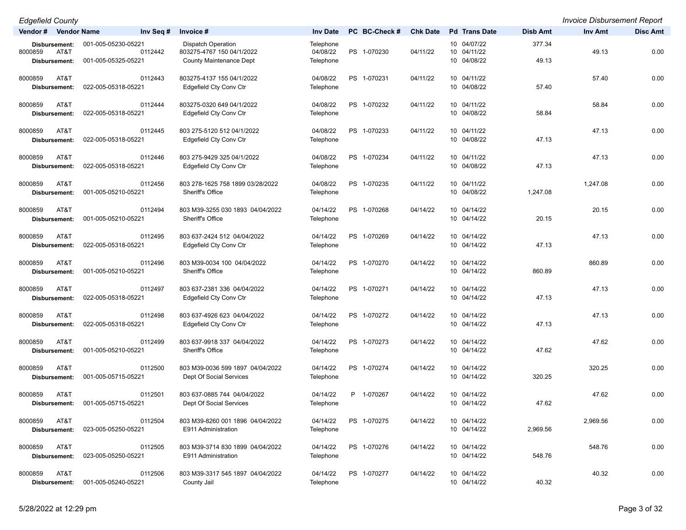| <b>Edgefield County</b>                           |                                                       |                                                                                          |                                    |               |                 |                                           |                 | <b>Invoice Disbursement Report</b> |                 |
|---------------------------------------------------|-------------------------------------------------------|------------------------------------------------------------------------------------------|------------------------------------|---------------|-----------------|-------------------------------------------|-----------------|------------------------------------|-----------------|
| Vendor # Vendor Name                              | Inv Seq #                                             | Invoice #                                                                                | <b>Inv Date</b>                    | PC BC-Check # | <b>Chk Date</b> | <b>Pd</b> Trans Date                      | Disb Amt        | Inv Amt                            | <b>Disc Amt</b> |
| Disbursement:<br>8000859<br>AT&T<br>Disbursement: | 001-005-05230-05221<br>0112442<br>001-005-05325-05221 | <b>Dispatch Operation</b><br>803275-4767 150 04/1/2022<br><b>County Maintenance Dept</b> | Telephone<br>04/08/22<br>Telephone | PS 1-070230   | 04/11/22        | 10 04/07/22<br>10 04/11/22<br>10 04/08/22 | 377.34<br>49.13 | 49.13                              | 0.00            |
| AT&T<br>8000859<br>Disbursement:                  | 0112443<br>022-005-05318-05221                        | 803275-4137 155 04/1/2022<br>Edgefield Cty Conv Ctr                                      | 04/08/22<br>Telephone              | PS 1-070231   | 04/11/22        | 10 04/11/22<br>10 04/08/22                | 57.40           | 57.40                              | 0.00            |
| 8000859<br>AT&T<br>Disbursement:                  | 0112444<br>022-005-05318-05221                        | 803275-0320 649 04/1/2022<br>Edgefield Cty Conv Ctr                                      | 04/08/22<br>Telephone              | PS 1-070232   | 04/11/22        | 10 04/11/22<br>10 04/08/22                | 58.84           | 58.84                              | 0.00            |
| 8000859<br>AT&T<br>Disbursement:                  | 0112445<br>022-005-05318-05221                        | 803 275-5120 512 04/1/2022<br>Edgefield Cty Conv Ctr                                     | 04/08/22<br>Telephone              | PS 1-070233   | 04/11/22        | 10 04/11/22<br>10 04/08/22                | 47.13           | 47.13                              | 0.00            |
| 8000859<br>AT&T<br>Disbursement:                  | 0112446<br>022-005-05318-05221                        | 803 275-9429 325 04/1/2022<br>Edgefield Cty Conv Ctr                                     | 04/08/22<br>Telephone              | PS 1-070234   | 04/11/22        | 10 04/11/22<br>10 04/08/22                | 47.13           | 47.13                              | 0.00            |
| 8000859<br>AT&T<br>Disbursement:                  | 0112456<br>001-005-05210-05221                        | 803 278-1625 758 1899 03/28/2022<br>Sheriff's Office                                     | 04/08/22<br>Telephone              | PS 1-070235   | 04/11/22        | 10 04/11/22<br>10 04/08/22                | 1,247.08        | 1,247.08                           | 0.00            |
| 8000859<br>AT&T<br>Disbursement:                  | 0112494<br>001-005-05210-05221                        | 803 M39-3255 030 1893 04/04/2022<br>Sheriff's Office                                     | 04/14/22<br>Telephone              | PS 1-070268   | 04/14/22        | 10 04/14/22<br>10 04/14/22                | 20.15           | 20.15                              | 0.00            |
| 8000859<br>AT&T<br>Disbursement:                  | 0112495<br>022-005-05318-05221                        | 803 637-2424 512 04/04/2022<br>Edgefield Cty Conv Ctr                                    | 04/14/22<br>Telephone              | PS 1-070269   | 04/14/22        | 10 04/14/22<br>10 04/14/22                | 47.13           | 47.13                              | 0.00            |
| AT&T<br>8000859<br>Disbursement:                  | 0112496<br>001-005-05210-05221                        | 803 M39-0034 100 04/04/2022<br>Sheriff's Office                                          | 04/14/22<br>Telephone              | PS 1-070270   | 04/14/22        | 10 04/14/22<br>10 04/14/22                | 860.89          | 860.89                             | 0.00            |
| 8000859<br>AT&T<br>Disbursement:                  | 0112497<br>022-005-05318-05221                        | 803 637-2381 336 04/04/2022<br>Edgefield Cty Conv Ctr                                    | 04/14/22<br>Telephone              | PS 1-070271   | 04/14/22        | 10 04/14/22<br>10 04/14/22                | 47.13           | 47.13                              | 0.00            |
| 8000859<br>AT&T<br>Disbursement:                  | 0112498<br>022-005-05318-05221                        | 803 637-4926 623 04/04/2022<br>Edgefield Cty Conv Ctr                                    | 04/14/22<br>Telephone              | PS 1-070272   | 04/14/22        | 10 04/14/22<br>10 04/14/22                | 47.13           | 47.13                              | 0.00            |
| 8000859<br>AT&T<br>Disbursement:                  | 0112499<br>001-005-05210-05221                        | 803 637-9918 337 04/04/2022<br>Sheriff's Office                                          | 04/14/22<br>Telephone              | PS 1-070273   | 04/14/22        | 10 04/14/22<br>10 04/14/22                | 47.62           | 47.62                              | 0.00            |
| 8000859<br>AT&T<br>Disbursement:                  | 0112500<br>001-005-05715-05221                        | 803 M39-0036 599 1897 04/04/2022<br>Dept Of Social Services                              | 04/14/22<br>Telephone              | PS 1-070274   | 04/14/22        | 10 04/14/22<br>10 04/14/22                | 320.25          | 320.25                             | 0.00            |
| 8000859<br>AT&T<br>Disbursement:                  | 0112501<br>001-005-05715-05221                        | 803 637-0885 744 04/04/2022<br>Dept Of Social Services                                   | 04/14/22<br>Telephone              | P 1-070267    | 04/14/22        | 10 04/14/22<br>10 04/14/22                | 47.62           | 47.62                              | 0.00            |
| 8000859<br>AT&T<br>Disbursement:                  | 0112504<br>023-005-05250-05221                        | 803 M39-8260 001 1896 04/04/2022<br>E911 Administration                                  | 04/14/22<br>Telephone              | PS 1-070275   | 04/14/22        | 10 04/14/22<br>10 04/14/22                | 2,969.56        | 2,969.56                           | 0.00            |
| 8000859<br>AT&T<br>Disbursement:                  | 0112505<br>023-005-05250-05221                        | 803 M39-3714 830 1899 04/04/2022<br>E911 Administration                                  | 04/14/22<br>Telephone              | PS 1-070276   | 04/14/22        | 10 04/14/22<br>10 04/14/22                | 548.76          | 548.76                             | 0.00            |
| 8000859<br>AT&T<br>Disbursement:                  | 0112506<br>001-005-05240-05221                        | 803 M39-3317 545 1897 04/04/2022<br>County Jail                                          | 04/14/22<br>Telephone              | PS 1-070277   | 04/14/22        | 10 04/14/22<br>10 04/14/22                | 40.32           | 40.32                              | 0.00            |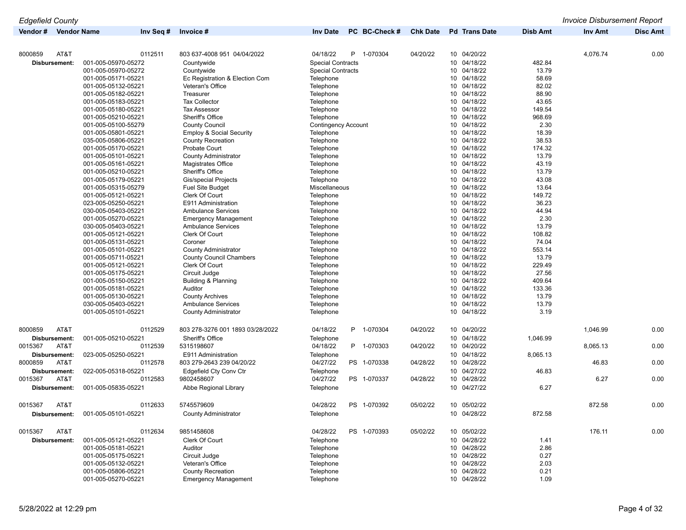| Vendor#              | <b>Vendor Name</b>  | Inv Seq # | Invoice #                           | <b>Inv Date</b>            | PC BC-Check #  | <b>Chk Date</b> | <b>Pd</b> Trans Date           | <b>Disb Amt</b> | Inv Amt  | <b>Disc Amt</b> |
|----------------------|---------------------|-----------|-------------------------------------|----------------------------|----------------|-----------------|--------------------------------|-----------------|----------|-----------------|
|                      |                     |           |                                     |                            |                |                 |                                |                 |          |                 |
| 8000859              | AT&T                | 0112511   | 803 637-4008 951 04/04/2022         | 04/18/22                   | P.<br>1-070304 | 04/20/22        | 10 04/20/22                    |                 | 4,076.74 | 0.00            |
| <b>Disbursement:</b> | 001-005-05970-05272 |           | Countywide                          | <b>Special Contracts</b>   |                |                 | 10 04/18/22                    | 482.84          |          |                 |
|                      | 001-005-05970-05272 |           | Countywide                          | <b>Special Contracts</b>   |                |                 | 10 04/18/22                    | 13.79           |          |                 |
|                      | 001-005-05171-05221 |           | Ec Registration & Election Com      | Telephone                  |                |                 | 04/18/22<br>10 <sup>°</sup>    | 58.69           |          |                 |
|                      | 001-005-05132-05221 |           | Veteran's Office                    | Telephone                  |                |                 | 04/18/22<br>10                 | 82.02           |          |                 |
|                      | 001-005-05182-05221 |           | Treasurer                           | Telephone                  |                |                 | 04/18/22<br>10 <sup>°</sup>    | 88.90           |          |                 |
|                      | 001-005-05183-05221 |           | <b>Tax Collector</b>                | Telephone                  |                |                 | 10 04/18/22                    | 43.65           |          |                 |
|                      | 001-005-05180-05221 |           | <b>Tax Assessor</b>                 | Telephone                  |                |                 | 04/18/22<br>10 <sup>°</sup>    | 149.54          |          |                 |
|                      | 001-005-05210-05221 |           | Sheriff's Office                    | Telephone                  |                |                 | 04/18/22<br>10                 | 968.69          |          |                 |
|                      | 001-005-05100-55279 |           | <b>County Council</b>               | <b>Contingency Account</b> |                |                 | 04/18/22<br>10 <sup>°</sup>    | 2.30            |          |                 |
|                      | 001-005-05801-05221 |           | <b>Employ &amp; Social Security</b> | Telephone                  |                |                 | 04/18/22<br>10 <sup>°</sup>    | 18.39           |          |                 |
|                      | 035-005-05806-05221 |           | <b>County Recreation</b>            | Telephone                  |                |                 | 04/18/22<br>10 <sup>°</sup>    | 38.53           |          |                 |
|                      | 001-005-05170-05221 |           | Probate Court                       | Telephone                  |                |                 | 04/18/22<br>10                 | 174.32          |          |                 |
|                      | 001-005-05101-05221 |           |                                     |                            |                |                 | 10 <sup>°</sup><br>04/18/22    | 13.79           |          |                 |
|                      | 001-005-05161-05221 |           | <b>County Administrator</b>         | Telephone                  |                |                 | 04/18/22                       | 43.19           |          |                 |
|                      |                     |           | Magistrates Office                  | Telephone                  |                |                 | 10<br>04/18/22                 | 13.79           |          |                 |
|                      | 001-005-05210-05221 |           | Sheriff's Office                    | Telephone                  |                |                 | 10 <sup>°</sup><br>10 04/18/22 | 43.08           |          |                 |
|                      | 001-005-05179-05221 |           | <b>Gis/special Projects</b>         | Telephone                  |                |                 |                                |                 |          |                 |
|                      | 001-005-05315-05279 |           | <b>Fuel Site Budget</b>             | Miscellaneous              |                |                 | 04/18/22<br>10                 | 13.64           |          |                 |
|                      | 001-005-05121-05221 |           | Clerk Of Court                      | Telephone                  |                |                 | 04/18/22<br>10 <sup>°</sup>    | 149.72          |          |                 |
|                      | 023-005-05250-05221 |           | E911 Administration                 | Telephone                  |                |                 | 10 04/18/22                    | 36.23           |          |                 |
|                      | 030-005-05403-05221 |           | <b>Ambulance Services</b>           | Telephone                  |                |                 | 04/18/22<br>10 <sup>°</sup>    | 44.94           |          |                 |
|                      | 001-005-05270-05221 |           | <b>Emergency Management</b>         | Telephone                  |                |                 | 10 <sup>°</sup><br>04/18/22    | 2.30            |          |                 |
|                      | 030-005-05403-05221 |           | <b>Ambulance Services</b>           | Telephone                  |                |                 | 04/18/22<br>10 <sup>°</sup>    | 13.79           |          |                 |
|                      | 001-005-05121-05221 |           | Clerk Of Court                      | Telephone                  |                |                 | 04/18/22<br>10 <sup>°</sup>    | 108.82          |          |                 |
|                      | 001-005-05131-05221 |           | Coroner                             | Telephone                  |                |                 | 04/18/22<br>10 <sup>°</sup>    | 74.04           |          |                 |
|                      | 001-005-05101-05221 |           | <b>County Administrator</b>         | Telephone                  |                |                 | 10 <sup>1</sup><br>04/18/22    | 553.14          |          |                 |
|                      | 001-005-05711-05221 |           | <b>County Council Chambers</b>      | Telephone                  |                |                 | 10 04/18/22                    | 13.79           |          |                 |
|                      | 001-005-05121-05221 |           | Clerk Of Court                      | Telephone                  |                |                 | 04/18/22<br>10 <sup>°</sup>    | 229.49          |          |                 |
|                      | 001-005-05175-05221 |           | Circuit Judge                       | Telephone                  |                |                 | 04/18/22<br>10 <sup>°</sup>    | 27.56           |          |                 |
|                      | 001-005-05150-05221 |           | Building & Planning                 | Telephone                  |                |                 | 10 04/18/22                    | 409.64          |          |                 |
|                      | 001-005-05181-05221 |           | Auditor                             | Telephone                  |                |                 | 10 <sup>°</sup><br>04/18/22    | 133.36          |          |                 |
|                      | 001-005-05130-05221 |           | <b>County Archives</b>              | Telephone                  |                |                 | 04/18/22<br>10 <sup>°</sup>    | 13.79           |          |                 |
|                      | 030-005-05403-05221 |           | <b>Ambulance Services</b>           | Telephone                  |                |                 | 04/18/22<br>10 <sup>°</sup>    | 13.79           |          |                 |
|                      | 001-005-05101-05221 |           | <b>County Administrator</b>         | Telephone                  |                |                 | 10 04/18/22                    | 3.19            |          |                 |
|                      |                     |           |                                     |                            |                |                 |                                |                 |          |                 |
| 8000859              | AT&T                | 0112529   | 803 278-3276 001 1893 03/28/2022    | 04/18/22                   | P 1-070304     | 04/20/22        | 10 04/20/22                    |                 | 1,046.99 | 0.00            |
| Disbursement:        | 001-005-05210-05221 |           | Sheriff's Office                    | Telephone                  |                |                 | 10 04/18/22                    | 1,046.99        |          |                 |
| 0015367              | AT&T                | 0112539   | 5315198607                          | 04/18/22                   | P 1-070303     | 04/20/22        | 10 04/20/22                    |                 | 8,065.13 | 0.00            |
| Disbursement:        | 023-005-05250-05221 |           | E911 Administration                 | Telephone                  |                |                 | 04/18/22<br>10 <sup>°</sup>    | 8,065.13        |          |                 |
| 8000859              | AT&T                | 0112578   | 803 279-2643 239 04/20/22           | 04/27/22                   | PS 1-070338    | 04/28/22        | 10 04/28/22                    |                 | 46.83    | 0.00            |
| Disbursement:        | 022-005-05318-05221 |           | Edgefield Cty Conv Ctr              | Telephone                  |                |                 | 10 04/27/22                    | 46.83           |          |                 |
| 0015367              | AT&T                | 0112583   | 9802458607                          | 04/27/22                   | PS 1-070337    | 04/28/22        | 04/28/22<br>10 <sup>1</sup>    |                 | 6.27     | 0.00            |
|                      | 001-005-05835-05221 |           |                                     |                            |                |                 | 10 04/27/22                    | 6.27            |          |                 |
| Disbursement:        |                     |           | Abbe Regional Library               | Telephone                  |                |                 |                                |                 |          |                 |
| 0015367              | AT&T                | 0112633   | 5745579609                          | 04/28/22                   | PS 1-070392    | 05/02/22        | 10 05/02/22                    |                 | 872.58   | 0.00            |
| Disbursement:        | 001-005-05101-05221 |           | <b>County Administrator</b>         | Telephone                  |                |                 | 10 04/28/22                    | 872.58          |          |                 |
| 0015367              | AT&T                | 0112634   | 9851458608                          | 04/28/22                   | PS 1-070393    | 05/02/22        | 10 05/02/22                    |                 | 176.11   | 0.00            |
|                      |                     |           |                                     |                            |                |                 |                                |                 |          |                 |
| Disbursement:        | 001-005-05121-05221 |           | Clerk Of Court                      | Telephone                  |                |                 | 04/28/22<br>10 <sup>°</sup>    | 1.41            |          |                 |
|                      | 001-005-05181-05221 |           | Auditor                             | Telephone                  |                |                 | 04/28/22<br>10 <sup>°</sup>    | 2.86            |          |                 |
|                      | 001-005-05175-05221 |           | Circuit Judge                       | Telephone                  |                |                 | 04/28/22<br>10 <sup>°</sup>    | 0.27            |          |                 |
|                      | 001-005-05132-05221 |           | Veteran's Office                    | Telephone                  |                |                 | 04/28/22<br>10                 | 2.03            |          |                 |
|                      | 001-005-05806-05221 |           | County Recreation                   | Telephone                  |                |                 | 10 04/28/22                    | 0.21            |          |                 |

001-005-05270-05221 Emergency Management Telephone 10 04/28/22 1.09

*Edgefield County Invoice Disbursement Report*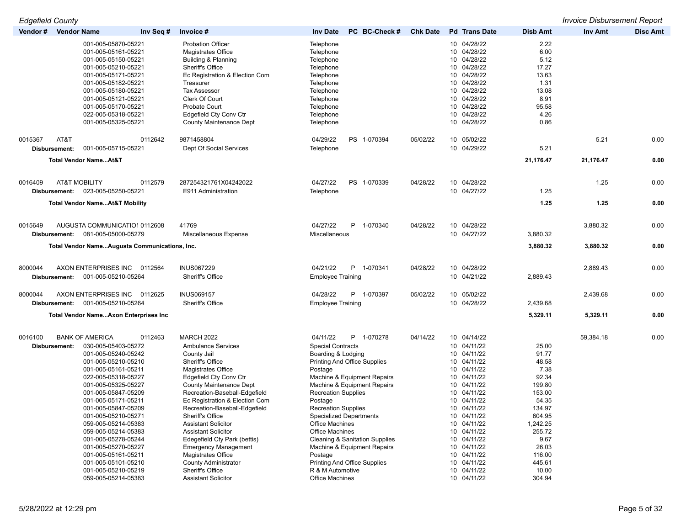| <b>Edgefield County</b>                        |                                                                 |                                                |                 |                            |                 | <b>Invoice Disbursement Report</b> |                 |
|------------------------------------------------|-----------------------------------------------------------------|------------------------------------------------|-----------------|----------------------------|-----------------|------------------------------------|-----------------|
| Vendor # Vendor Name<br>Inv Seq #              | Invoice #                                                       | PC BC-Check #<br><b>Inv Date</b>               | <b>Chk Date</b> | <b>Pd</b> Trans Date       | Disb Amt        | Inv Amt                            | <b>Disc Amt</b> |
| 001-005-05870-05221<br>001-005-05161-05221     | <b>Probation Officer</b><br><b>Magistrates Office</b>           | Telephone<br>Telephone                         |                 | 10 04/28/22<br>10 04/28/22 | 2.22<br>6.00    |                                    |                 |
| 001-005-05150-05221                            | Building & Planning                                             | Telephone                                      |                 | 10 04/28/22                | 5.12            |                                    |                 |
| 001-005-05210-05221                            | <b>Sheriff's Office</b>                                         | Telephone                                      |                 | 10 04/28/22                | 17.27           |                                    |                 |
| 001-005-05171-05221                            | Ec Registration & Election Com                                  | Telephone                                      |                 | 10 04/28/22                | 13.63           |                                    |                 |
| 001-005-05182-05221                            | Treasurer                                                       | Telephone                                      |                 | 10 04/28/22<br>10 04/28/22 | 1.31            |                                    |                 |
| 001-005-05180-05221<br>001-005-05121-05221     | <b>Tax Assessor</b><br>Clerk Of Court                           | Telephone<br>Telephone                         |                 | 10 04/28/22                | 13.08<br>8.91   |                                    |                 |
| 001-005-05170-05221                            | Probate Court                                                   | Telephone                                      |                 | 10 04/28/22                | 95.58           |                                    |                 |
| 022-005-05318-05221                            | Edgefield Cty Conv Ctr                                          | Telephone                                      |                 | 10 04/28/22                | 4.26            |                                    |                 |
| 001-005-05325-05221                            | <b>County Maintenance Dept</b>                                  | Telephone                                      |                 | 10 04/28/22                | 0.86            |                                    |                 |
| 0015367<br>AT&T<br>0112642                     | 9871458804                                                      | 04/29/22<br>PS 1-070394                        | 05/02/22        | 10 05/02/22                |                 | 5.21                               | 0.00            |
| 001-005-05715-05221<br>Disbursement:           | Dept Of Social Services                                         | Telephone                                      |                 | 10 04/29/22                | 5.21            |                                    |                 |
| Total Vendor NameAt&T                          |                                                                 |                                                |                 |                            | 21,176.47       | 21,176.47                          | 0.00            |
| <b>AT&amp;T MOBILITY</b><br>0112579<br>0016409 | 287254321761X04242022                                           | 04/27/22<br>PS 1-070339                        | 04/28/22        | 10 04/28/22                |                 | 1.25                               | 0.00            |
| 023-005-05250-05221<br>Disbursement:           | E911 Administration                                             | Telephone                                      |                 | 10 04/27/22                | 1.25            |                                    |                 |
| <b>Total Vendor NameAt&amp;T Mobility</b>      |                                                                 |                                                |                 |                            | 1.25            | 1.25                               | 0.00            |
|                                                |                                                                 |                                                |                 |                            |                 |                                    |                 |
| 0015649<br>AUGUSTA COMMUNICATIOI 0112608       | 41769                                                           | 04/27/22<br>P.<br>1-070340                     | 04/28/22        | 10 04/28/22                |                 | 3,880.32                           | 0.00            |
| 081-005-05000-05279<br>Disbursement:           | Miscellaneous Expense                                           | Miscellaneous                                  |                 | 10 04/27/22                | 3,880.32        |                                    |                 |
| Total Vendor NameAugusta Communications, Inc.  |                                                                 |                                                |                 |                            | 3,880.32        | 3,880.32                           | 0.00            |
| AXON ENTERPRISES INC<br>8000044<br>0112564     | <b>INUS067229</b>                                               | 04/21/22<br>P 1-070341                         | 04/28/22        | 10 04/28/22                |                 | 2,889.43                           | 0.00            |
| 001-005-05210-05264<br>Disbursement:           | Sheriff's Office                                                | <b>Employee Training</b>                       |                 | 10 04/21/22                | 2,889.43        |                                    |                 |
| AXON ENTERPRISES INC<br>8000044<br>0112625     | <b>INUS069157</b>                                               | 04/28/22<br>P<br>1-070397                      | 05/02/22        | 10 05/02/22                |                 | 2,439.68                           | 0.00            |
| 001-005-05210-05264<br>Disbursement:           | Sheriff's Office                                                | <b>Employee Training</b>                       |                 | 10 04/28/22                | 2,439.68        |                                    |                 |
| <b>Total Vendor NameAxon Enterprises Inc</b>   |                                                                 |                                                |                 |                            | 5,329.11        | 5,329.11                           | 0.00            |
| 0016100<br><b>BANK OF AMERICA</b><br>0112463   | <b>MARCH 2022</b>                                               | 04/11/22<br>P.<br>1-070278                     | 04/14/22        | 10 04/14/22                |                 | 59,384.18                          | 0.00            |
| 030-005-05403-05272<br>Disbursement:           | <b>Ambulance Services</b>                                       | <b>Special Contracts</b>                       |                 | 10 04/11/22                | 25.00           |                                    |                 |
| 001-005-05240-05242                            | County Jail                                                     | Boarding & Lodging                             |                 | 10 04/11/22                | 91.77           |                                    |                 |
| 001-005-05210-05210                            | Sheriff's Office                                                | <b>Printing And Office Supplies</b>            |                 | 10 04/11/22                | 48.58           |                                    |                 |
| 001-005-05161-05211                            | <b>Magistrates Office</b>                                       | Postage                                        |                 | 10 04/11/22                | 7.38            |                                    |                 |
| 022-005-05318-05227                            | Edgefield Cty Conv Ctr                                          | Machine & Equipment Repairs                    |                 | 10 04/11/22                | 92.34           |                                    |                 |
| 001-005-05325-05227                            | <b>County Maintenance Dept</b>                                  | Machine & Equipment Repairs                    |                 | 10 04/11/22                | 199.80          |                                    |                 |
| 001-005-05847-05209<br>001-005-05171-05211     | Recreation-Baseball-Edgefield<br>Ec Registration & Election Com | <b>Recreation Supplies</b><br>Postage          |                 | 10 04/11/22<br>10 04/11/22 | 153.00<br>54.35 |                                    |                 |
| 001-005-05847-05209                            | Recreation-Baseball-Edgefield                                   | <b>Recreation Supplies</b>                     |                 | 10 04/11/22                | 134.97          |                                    |                 |
| 001-005-05210-05271                            | Sheriff's Office                                                | <b>Specialized Departments</b>                 |                 | 10 04/11/22                | 604.95          |                                    |                 |
| 059-005-05214-05383                            | <b>Assistant Solicitor</b>                                      | Office Machines                                |                 | 10 04/11/22                | 1,242.25        |                                    |                 |
| 059-005-05214-05383                            | <b>Assistant Solicitor</b>                                      | Office Machines                                |                 | 10 04/11/22                | 255.72          |                                    |                 |
| 001-005-05278-05244                            | Edegefield Cty Park (bettis)                                    | <b>Cleaning &amp; Sanitation Supplies</b>      |                 | 10 04/11/22                | 9.67            |                                    |                 |
| 001-005-05270-05227                            | <b>Emergency Management</b>                                     | Machine & Equipment Repairs                    |                 | 10 04/11/22                | 26.03           |                                    |                 |
| 001-005-05161-05211                            | Magistrates Office                                              | Postage<br><b>Printing And Office Supplies</b> |                 | 10 04/11/22                | 116.00          |                                    |                 |
| 001-005-05101-05210<br>001-005-05210-05219     | <b>County Administrator</b><br>Sheriff's Office                 | R & M Automotive                               |                 | 10 04/11/22<br>10 04/11/22 | 445.61<br>10.00 |                                    |                 |
| 059-005-05214-05383                            | <b>Assistant Solicitor</b>                                      | Office Machines                                |                 | 10 04/11/22                | 304.94          |                                    |                 |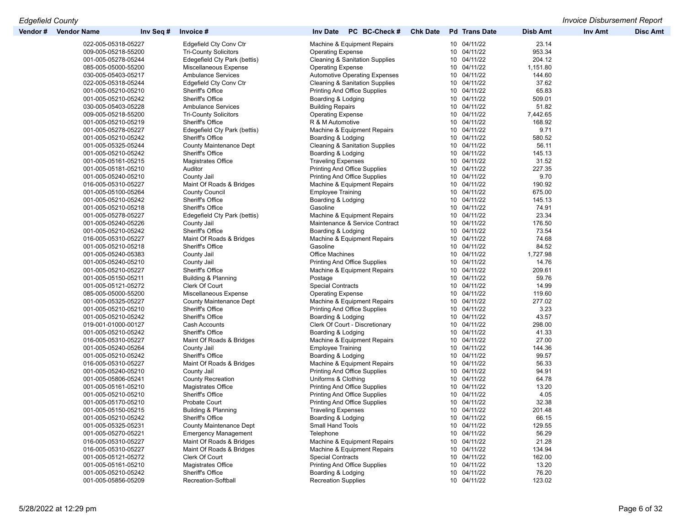| Vendor # | <b>Vendor Name</b>                         | Inv Seq # | Invoice#                                         | <b>Inv Date</b><br>PC BC-Check #                              | <b>Chk Date</b> | <b>Pd</b> Trans Date       | <b>Disb Amt</b> | <b>Inv Amt</b> | <b>Disc Amt</b> |
|----------|--------------------------------------------|-----------|--------------------------------------------------|---------------------------------------------------------------|-----------------|----------------------------|-----------------|----------------|-----------------|
|          | 022-005-05318-05227                        |           | Edgefield Cty Conv Ctr                           | Machine & Equipment Repairs                                   |                 | 10 04/11/22                | 23.14           |                |                 |
|          | 009-005-05218-55200                        |           | <b>Tri-County Solicitors</b>                     | <b>Operating Expense</b>                                      |                 | 10 04/11/22                | 953.34          |                |                 |
|          | 001-005-05278-05244                        |           | Edegefield Cty Park (bettis)                     | <b>Cleaning &amp; Sanitation Supplies</b>                     |                 | 10 04/11/22                | 204.12          |                |                 |
|          | 085-005-05000-55200                        |           | Miscellaneous Expense                            | <b>Operating Expense</b>                                      |                 | 10 04/11/22                | 1,151.80        |                |                 |
|          | 030-005-05403-05217                        |           | <b>Ambulance Services</b>                        | <b>Automotive Operating Expenses</b>                          |                 | 10 04/11/22                | 144.60          |                |                 |
|          | 022-005-05318-05244                        |           | Edgefield Cty Conv Ctr                           | <b>Cleaning &amp; Sanitation Supplies</b>                     |                 | 10 04/11/22                | 37.62           |                |                 |
|          | 001-005-05210-05210                        |           | Sheriff's Office                                 | <b>Printing And Office Supplies</b>                           |                 | 10 04/11/22                | 65.83           |                |                 |
|          | 001-005-05210-05242                        |           | <b>Sheriff's Office</b>                          | Boarding & Lodging                                            |                 | 10 04/11/22                | 509.01          |                |                 |
|          | 030-005-05403-05228                        |           | <b>Ambulance Services</b>                        | <b>Building Repairs</b>                                       |                 | 10 04/11/22                | 51.82           |                |                 |
|          | 009-005-05218-55200                        |           | <b>Tri-County Solicitors</b>                     | <b>Operating Expense</b>                                      |                 | 10 04/11/22                | 7,442.65        |                |                 |
|          | 001-005-05210-05219                        |           | Sheriff's Office                                 | R & M Automotive                                              |                 | 10 04/11/22                | 168.92          |                |                 |
|          | 001-005-05278-05227                        |           | Edegefield Cty Park (bettis)                     | Machine & Equipment Repairs                                   |                 | 10 04/11/22                | 9.71            |                |                 |
|          | 001-005-05210-05242                        |           | Sheriff's Office                                 | Boarding & Lodging                                            |                 | 10 04/11/22                | 580.52          |                |                 |
|          | 001-005-05325-05244                        |           | <b>County Maintenance Dept</b>                   | <b>Cleaning &amp; Sanitation Supplies</b>                     |                 | 10 04/11/22                | 56.11           |                |                 |
|          | 001-005-05210-05242                        |           | Sheriff's Office                                 | Boarding & Lodging                                            |                 | 10 04/11/22                | 145.13          |                |                 |
|          | 001-005-05161-05215                        |           | Magistrates Office                               | <b>Traveling Expenses</b>                                     |                 | 10 04/11/22                | 31.52           |                |                 |
|          | 001-005-05181-05210                        |           | Auditor                                          | <b>Printing And Office Supplies</b>                           |                 | 10 04/11/22                | 227.35          |                |                 |
|          | 001-005-05240-05210                        |           | County Jail                                      | <b>Printing And Office Supplies</b>                           |                 | 10 04/11/22                | 9.70            |                |                 |
|          | 016-005-05310-05227                        |           | Maint Of Roads & Bridges                         | Machine & Equipment Repairs                                   |                 | 10 04/11/22                | 190.92          |                |                 |
|          |                                            |           |                                                  |                                                               |                 | 10 04/11/22                |                 |                |                 |
|          | 001-005-05100-05264                        |           | <b>County Council</b><br><b>Sheriff's Office</b> | <b>Employee Training</b>                                      |                 | 10 04/11/22                | 675.00          |                |                 |
|          | 001-005-05210-05242<br>001-005-05210-05218 |           | Sheriff's Office                                 | Boarding & Lodging<br>Gasoline                                |                 | 10 04/11/22                | 145.13<br>74.91 |                |                 |
|          |                                            |           |                                                  |                                                               |                 | 10 04/11/22                |                 |                |                 |
|          | 001-005-05278-05227<br>001-005-05240-05226 |           | Edegefield Cty Park (bettis)<br>County Jail      | Machine & Equipment Repairs<br>Maintenance & Service Contract |                 | 10 04/11/22                | 23.34<br>176.50 |                |                 |
|          | 001-005-05210-05242                        |           | <b>Sheriff's Office</b>                          |                                                               |                 | 10 04/11/22                | 73.54           |                |                 |
|          |                                            |           |                                                  | Boarding & Lodging                                            |                 |                            | 74.68           |                |                 |
|          | 016-005-05310-05227                        |           | Maint Of Roads & Bridges                         | Machine & Equipment Repairs<br>Gasoline                       |                 | 10 04/11/22<br>10 04/11/22 | 84.52           |                |                 |
|          | 001-005-05210-05218                        |           | Sheriff's Office                                 |                                                               |                 | 10 04/11/22                |                 |                |                 |
|          | 001-005-05240-05383                        |           | County Jail                                      | Office Machines<br><b>Printing And Office Supplies</b>        |                 | 10 04/11/22                | 1,727.98        |                |                 |
|          | 001-005-05240-05210<br>001-005-05210-05227 |           | County Jail<br>Sheriff's Office                  | Machine & Equipment Repairs                                   |                 | 10 04/11/22                | 14.76<br>209.61 |                |                 |
|          | 001-005-05150-05211                        |           | Building & Planning                              | Postage                                                       |                 | 10 04/11/22                | 59.76           |                |                 |
|          | 001-005-05121-05272                        |           | Clerk Of Court                                   | <b>Special Contracts</b>                                      |                 | 10 04/11/22                | 14.99           |                |                 |
|          | 085-005-05000-55200                        |           | Miscellaneous Expense                            | <b>Operating Expense</b>                                      |                 | 10 04/11/22                | 119.60          |                |                 |
|          | 001-005-05325-05227                        |           | <b>County Maintenance Dept</b>                   | Machine & Equipment Repairs                                   |                 | 10 04/11/22                | 277.02          |                |                 |
|          | 001-005-05210-05210                        |           | Sheriff's Office                                 | <b>Printing And Office Supplies</b>                           |                 | 10 04/11/22                | 3.23            |                |                 |
|          | 001-005-05210-05242                        |           | <b>Sheriff's Office</b>                          | Boarding & Lodging                                            |                 | 10 04/11/22                | 43.57           |                |                 |
|          | 019-001-01000-00127                        |           | Cash Accounts                                    | Clerk Of Court - Discretionary                                |                 | 10 04/11/22                | 298.00          |                |                 |
|          | 001-005-05210-05242                        |           | Sheriff's Office                                 | Boarding & Lodging                                            |                 | 10 04/11/22                | 41.33           |                |                 |
|          | 016-005-05310-05227                        |           | Maint Of Roads & Bridges                         | Machine & Equipment Repairs                                   |                 | 10 04/11/22                | 27.00           |                |                 |
|          | 001-005-05240-05264                        |           | County Jail                                      | <b>Employee Training</b>                                      |                 | 10 04/11/22                | 144.36          |                |                 |
|          | 001-005-05210-05242                        |           | <b>Sheriff's Office</b>                          | Boarding & Lodging                                            |                 | 10 04/11/22                | 99.57           |                |                 |
|          | 016-005-05310-05227                        |           | Maint Of Roads & Bridges                         | Machine & Equipment Repairs                                   |                 | 10 04/11/22                | 56.33           |                |                 |
|          | 001-005-05240-05210                        |           | County Jail                                      | <b>Printing And Office Supplies</b>                           |                 | 10 04/11/22                | 94.91           |                |                 |
|          | 001-005-05806-05241                        |           | <b>County Recreation</b>                         | Uniforms & Clothing                                           |                 | 10 04/11/22                | 64.78           |                |                 |
|          | 001-005-05161-05210                        |           | Magistrates Office                               | <b>Printing And Office Supplies</b>                           |                 | 10 04/11/22                | 13.20           |                |                 |
|          | 001-005-05210-05210                        |           | Sheriff's Office                                 | <b>Printing And Office Supplies</b>                           |                 | 10 04/11/22                | 4.05            |                |                 |
|          | 001-005-05170-05210                        |           | <b>Probate Court</b>                             | <b>Printing And Office Supplies</b>                           |                 | 10 04/11/22                | 32.38           |                |                 |
|          | 001-005-05150-05215                        |           | Building & Planning                              | <b>Traveling Expenses</b>                                     |                 | 10 04/11/22                | 201.48          |                |                 |
|          | 001-005-05210-05242                        |           | Sheriff's Office                                 | Boarding & Lodging                                            |                 | 10 04/11/22                | 66.15           |                |                 |
|          | 001-005-05325-05231                        |           | <b>County Maintenance Dept</b>                   | Small Hand Tools                                              |                 | 10 04/11/22                | 129.55          |                |                 |
|          | 001-005-05270-05221                        |           | <b>Emergency Management</b>                      | Telephone                                                     |                 | 10 04/11/22                | 56.29           |                |                 |
|          | 016-005-05310-05227                        |           | Maint Of Roads & Bridges                         | Machine & Equipment Repairs                                   |                 | 10 04/11/22                | 21.28           |                |                 |
|          | 016-005-05310-05227                        |           | Maint Of Roads & Bridges                         | Machine & Equipment Repairs                                   |                 | 10 04/11/22                | 134.94          |                |                 |
|          | 001-005-05121-05272                        |           | Clerk Of Court                                   | <b>Special Contracts</b>                                      |                 | 10 04/11/22                | 162.00          |                |                 |
|          | 001-005-05161-05210                        |           | Magistrates Office                               | <b>Printing And Office Supplies</b>                           |                 | 10 04/11/22                | 13.20           |                |                 |
|          | 001-005-05210-05242                        |           | Sheriff's Office                                 | Boarding & Lodging                                            |                 | 10 04/11/22                | 76.20           |                |                 |
|          | 001-005-05856-05209                        |           | Recreation-Softball                              | <b>Recreation Supplies</b>                                    |                 | 10 04/11/22                | 123.02          |                |                 |
|          |                                            |           |                                                  |                                                               |                 |                            |                 |                |                 |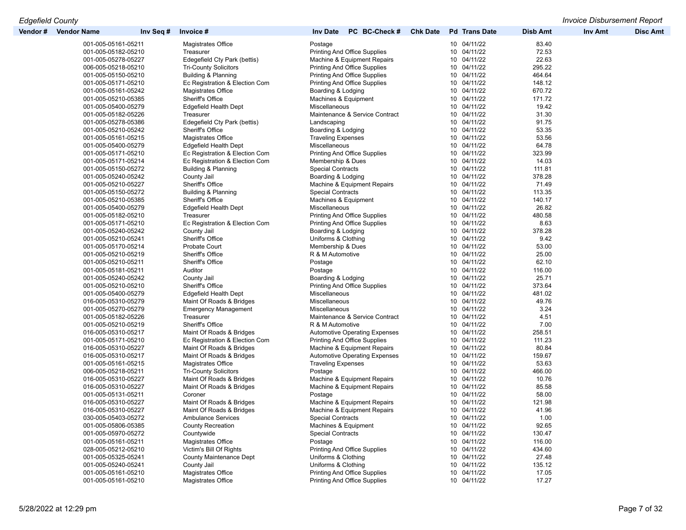| Vendor # | <b>Vendor Name</b>  | Inv Seq # | Invoice #                      | PC BC-Check #<br><b>Inv Date</b>     | <b>Chk Date</b> | <b>Pd</b> Trans Date | <b>Disb Amt</b> | <b>Inv Amt</b> | <b>Disc Amt</b> |
|----------|---------------------|-----------|--------------------------------|--------------------------------------|-----------------|----------------------|-----------------|----------------|-----------------|
|          | 001-005-05161-05211 |           | Magistrates Office             | Postage                              |                 | 10 04/11/22          | 83.40           |                |                 |
|          | 001-005-05182-05210 |           | Treasurer                      | Printing And Office Supplies         |                 | 10 04/11/22          | 72.53           |                |                 |
|          | 001-005-05278-05227 |           | Edegefield Cty Park (bettis)   | Machine & Equipment Repairs          |                 | 10 04/11/22          | 22.63           |                |                 |
|          | 006-005-05218-05210 |           | <b>Tri-County Solicitors</b>   | <b>Printing And Office Supplies</b>  |                 | 10 04/11/22          | 295.22          |                |                 |
|          | 001-005-05150-05210 |           | Building & Planning            | <b>Printing And Office Supplies</b>  |                 | 10 04/11/22          | 464.64          |                |                 |
|          | 001-005-05171-05210 |           | Ec Registration & Election Com | <b>Printing And Office Supplies</b>  |                 | 10 04/11/22          | 148.12          |                |                 |
|          | 001-005-05161-05242 |           | Magistrates Office             | Boarding & Lodging                   |                 | 10 04/11/22          | 670.72          |                |                 |
|          | 001-005-05210-05385 |           | Sheriff's Office               | Machines & Equipment                 |                 | 10 04/11/22          | 171.72          |                |                 |
|          | 001-005-05400-05279 |           | Edgefield Health Dept          | Miscellaneous                        |                 | 10 04/11/22          | 19.42           |                |                 |
|          | 001-005-05182-05226 |           | Treasurer                      | Maintenance & Service Contract       |                 | 10 04/11/22          | 31.30           |                |                 |
|          | 001-005-05278-05386 |           | Edegefield Cty Park (bettis)   | Landscaping                          |                 | 10 04/11/22          | 91.75           |                |                 |
|          | 001-005-05210-05242 |           | Sheriff's Office               | Boarding & Lodging                   |                 | 10 04/11/22          | 53.35           |                |                 |
|          | 001-005-05161-05215 |           | Magistrates Office             | <b>Traveling Expenses</b>            |                 | 10 04/11/22          | 53.56           |                |                 |
|          | 001-005-05400-05279 |           | Edgefield Health Dept          | Miscellaneous                        |                 | 10 04/11/22          | 64.78           |                |                 |
|          | 001-005-05171-05210 |           | Ec Registration & Election Com | <b>Printing And Office Supplies</b>  |                 | 10 04/11/22          | 323.99          |                |                 |
|          | 001-005-05171-05214 |           | Ec Registration & Election Com | Membership & Dues                    |                 | 10 04/11/22          | 14.03           |                |                 |
|          | 001-005-05150-05272 |           | Building & Planning            | <b>Special Contracts</b>             |                 | 10 04/11/22          | 111.81          |                |                 |
|          | 001-005-05240-05242 |           | County Jail                    | Boarding & Lodging                   |                 | 10 04/11/22          | 378.28          |                |                 |
|          | 001-005-05210-05227 |           | Sheriff's Office               | Machine & Equipment Repairs          |                 | 10 04/11/22          | 71.49           |                |                 |
|          | 001-005-05150-05272 |           | Building & Planning            | <b>Special Contracts</b>             |                 | 10 04/11/22          | 113.35          |                |                 |
|          | 001-005-05210-05385 |           | Sheriff's Office               | Machines & Equipment                 |                 | 10 04/11/22          | 140.17          |                |                 |
|          | 001-005-05400-05279 |           | Edgefield Health Dept          | Miscellaneous                        |                 | 10 04/11/22          | 26.82           |                |                 |
|          | 001-005-05182-05210 |           | Treasurer                      | <b>Printing And Office Supplies</b>  |                 | 10 04/11/22          | 480.58          |                |                 |
|          | 001-005-05171-05210 |           | Ec Registration & Election Com | <b>Printing And Office Supplies</b>  |                 | 10 04/11/22          | 8.63            |                |                 |
|          | 001-005-05240-05242 |           | County Jail                    | Boarding & Lodging                   |                 | 10 04/11/22          | 378.28          |                |                 |
|          | 001-005-05210-05241 |           | Sheriff's Office               | Uniforms & Clothing                  |                 | 10 04/11/22          | 9.42            |                |                 |
|          | 001-005-05170-05214 |           | <b>Probate Court</b>           | Membership & Dues                    |                 | 10 04/11/22          | 53.00           |                |                 |
|          | 001-005-05210-05219 |           | Sheriff's Office               | R & M Automotive                     |                 | 10 04/11/22          | 25.00           |                |                 |
|          | 001-005-05210-05211 |           | Sheriff's Office               | Postage                              |                 | 10 04/11/22          | 62.10           |                |                 |
|          | 001-005-05181-05211 |           | Auditor                        | Postage                              |                 | 10 04/11/22          | 116.00          |                |                 |
|          | 001-005-05240-05242 |           | County Jail                    | Boarding & Lodging                   |                 | 10 04/11/22          | 25.71           |                |                 |
|          | 001-005-05210-05210 |           | Sheriff's Office               | <b>Printing And Office Supplies</b>  |                 | 10 04/11/22          | 373.64          |                |                 |
|          | 001-005-05400-05279 |           | Edgefield Health Dept          | Miscellaneous                        |                 | 10 04/11/22          | 481.02          |                |                 |
|          | 016-005-05310-05279 |           | Maint Of Roads & Bridges       | Miscellaneous                        |                 | 10 04/11/22          | 49.76           |                |                 |
|          | 001-005-05270-05279 |           | <b>Emergency Management</b>    | Miscellaneous                        |                 | 10 04/11/22          | 3.24            |                |                 |
|          | 001-005-05182-05226 |           | Treasurer                      | Maintenance & Service Contract       |                 | 10 04/11/22          | 4.51            |                |                 |
|          | 001-005-05210-05219 |           | Sheriff's Office               | R & M Automotive                     |                 | 10 04/11/22          | 7.00            |                |                 |
|          | 016-005-05310-05217 |           | Maint Of Roads & Bridges       | <b>Automotive Operating Expenses</b> |                 | 10 04/11/22          | 258.51          |                |                 |
|          | 001-005-05171-05210 |           | Ec Registration & Election Com | <b>Printing And Office Supplies</b>  |                 | 10 04/11/22          | 111.23          |                |                 |
|          | 016-005-05310-05227 |           | Maint Of Roads & Bridges       | Machine & Equipment Repairs          |                 | 10 04/11/22          | 80.84           |                |                 |
|          | 016-005-05310-05217 |           | Maint Of Roads & Bridges       | <b>Automotive Operating Expenses</b> |                 | 10 04/11/22          | 159.67          |                |                 |
|          | 001-005-05161-05215 |           | Magistrates Office             | <b>Traveling Expenses</b>            |                 | 10 04/11/22          | 53.63           |                |                 |
|          | 006-005-05218-05211 |           | <b>Tri-County Solicitors</b>   | Postage                              |                 | 10 04/11/22          | 466.00          |                |                 |
|          | 016-005-05310-05227 |           | Maint Of Roads & Bridges       | Machine & Equipment Repairs          |                 | 10 04/11/22          | 10.76           |                |                 |
|          | 016-005-05310-05227 |           | Maint Of Roads & Bridges       | Machine & Equipment Repairs          |                 | 10 04/11/22          | 85.58           |                |                 |
|          | 001-005-05131-05211 |           | Coroner                        | Postage                              |                 | 10 04/11/22          | 58.00           |                |                 |
|          | 016-005-05310-05227 |           | Maint Of Roads & Bridges       | Machine & Equipment Repairs          |                 | 04/11/22<br>10       | 121.98          |                |                 |
|          | 016-005-05310-05227 |           | Maint Of Roads & Bridges       | Machine & Equipment Repairs          |                 | 10 04/11/22          | 41.96           |                |                 |
|          | 030-005-05403-05272 |           | <b>Ambulance Services</b>      | <b>Special Contracts</b>             |                 | 10 04/11/22          | 1.00            |                |                 |
|          | 001-005-05806-05385 |           | <b>County Recreation</b>       | Machines & Equipment                 |                 | 10 04/11/22          | 92.65           |                |                 |
|          | 001-005-05970-05272 |           | Countywide                     | <b>Special Contracts</b>             |                 | 10 04/11/22          | 130.47          |                |                 |
|          | 001-005-05161-05211 |           | Magistrates Office             | Postage                              |                 | 10 04/11/22          | 116.00          |                |                 |
|          | 028-005-05212-05210 |           | Victim's Bill Of Rights        | Printing And Office Supplies         |                 | 10 04/11/22          | 434.60          |                |                 |
|          | 001-005-05325-05241 |           | <b>County Maintenance Dept</b> | Uniforms & Clothing                  |                 | 10 04/11/22          | 27.48           |                |                 |
|          | 001-005-05240-05241 |           | County Jail                    | Uniforms & Clothing                  |                 | 10 04/11/22          | 135.12          |                |                 |
|          | 001-005-05161-05210 |           | <b>Magistrates Office</b>      | <b>Printing And Office Supplies</b>  |                 | 10 04/11/22          | 17.05           |                |                 |
|          | 001-005-05161-05210 |           | Magistrates Office             | <b>Printing And Office Supplies</b>  |                 | 10 04/11/22          | 17.27           |                |                 |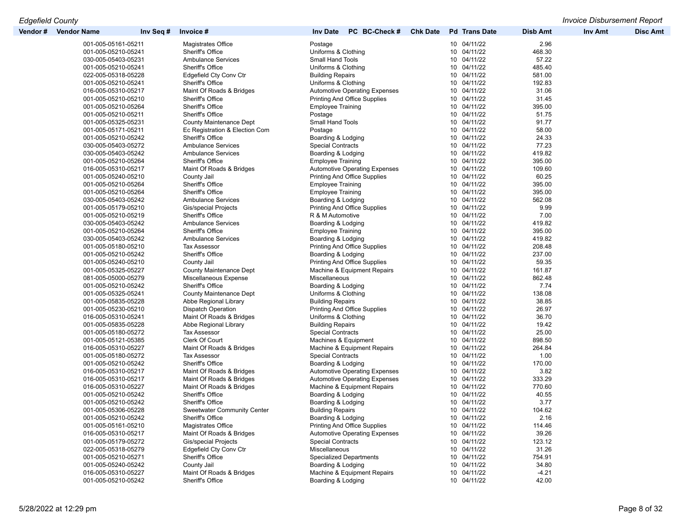| Vendor # | <b>Vendor Name</b>  | Invoice #<br>Inv Seq #             | PC BC-Check #<br><b>Inv Date</b>     | <b>Chk Date</b><br><b>Pd</b> Trans Date | <b>Disb Amt</b> | <b>Inv Amt</b> | <b>Disc Amt</b> |
|----------|---------------------|------------------------------------|--------------------------------------|-----------------------------------------|-----------------|----------------|-----------------|
|          | 001-005-05161-05211 | Magistrates Office                 | Postage                              | 10 04/11/22                             | 2.96            |                |                 |
|          | 001-005-05210-05241 | Sheriff's Office                   | Uniforms & Clothing                  | 10 04/11/22                             | 468.30          |                |                 |
|          | 030-005-05403-05231 | <b>Ambulance Services</b>          | <b>Small Hand Tools</b>              | 10 04/11/22                             | 57.22           |                |                 |
|          | 001-005-05210-05241 | Sheriff's Office                   | Uniforms & Clothing                  | 10 04/11/22                             | 485.40          |                |                 |
|          | 022-005-05318-05228 | Edgefield Cty Conv Ctr             | <b>Building Repairs</b>              | 10 04/11/22                             | 581.00          |                |                 |
|          | 001-005-05210-05241 | Sheriff's Office                   | Uniforms & Clothing                  | 10 04/11/22                             | 192.83          |                |                 |
|          | 016-005-05310-05217 | Maint Of Roads & Bridges           | <b>Automotive Operating Expenses</b> | 10 04/11/22                             | 31.06           |                |                 |
|          | 001-005-05210-05210 | Sheriff's Office                   | <b>Printing And Office Supplies</b>  | 10 04/11/22                             | 31.45           |                |                 |
|          | 001-005-05210-05264 | Sheriff's Office                   | <b>Employee Training</b>             | 10 04/11/22                             | 395.00          |                |                 |
|          | 001-005-05210-05211 | Sheriff's Office                   |                                      | 10 04/11/22                             | 51.75           |                |                 |
|          |                     |                                    | Postage                              |                                         |                 |                |                 |
|          | 001-005-05325-05231 | <b>County Maintenance Dept</b>     | <b>Small Hand Tools</b>              | 10 04/11/22                             | 91.77           |                |                 |
|          | 001-005-05171-05211 | Ec Registration & Election Com     | Postage                              | 10 04/11/22                             | 58.00           |                |                 |
|          | 001-005-05210-05242 | Sheriff's Office                   | Boarding & Lodging                   | 10 04/11/22                             | 24.33           |                |                 |
|          | 030-005-05403-05272 | <b>Ambulance Services</b>          | <b>Special Contracts</b>             | 10 04/11/22                             | 77.23           |                |                 |
|          | 030-005-05403-05242 | <b>Ambulance Services</b>          | Boarding & Lodging                   | 10 04/11/22                             | 419.82          |                |                 |
|          | 001-005-05210-05264 | Sheriff's Office                   | <b>Employee Training</b>             | 10 04/11/22                             | 395.00          |                |                 |
|          | 016-005-05310-05217 | Maint Of Roads & Bridges           | <b>Automotive Operating Expenses</b> | 10 04/11/22                             | 109.60          |                |                 |
|          | 001-005-05240-05210 | County Jail                        | <b>Printing And Office Supplies</b>  | 10 04/11/22                             | 60.25           |                |                 |
|          | 001-005-05210-05264 | Sheriff's Office                   | <b>Employee Training</b>             | 10 04/11/22                             | 395.00          |                |                 |
|          | 001-005-05210-05264 | Sheriff's Office                   | <b>Employee Training</b>             | 10 04/11/22                             | 395.00          |                |                 |
|          | 030-005-05403-05242 | <b>Ambulance Services</b>          | Boarding & Lodging                   | 10 04/11/22                             | 562.08          |                |                 |
|          | 001-005-05179-05210 | Gis/special Projects               | <b>Printing And Office Supplies</b>  | 10 04/11/22                             | 9.99            |                |                 |
|          | 001-005-05210-05219 | Sheriff's Office                   | R & M Automotive                     | 10 04/11/22                             | 7.00            |                |                 |
|          | 030-005-05403-05242 | <b>Ambulance Services</b>          | Boarding & Lodging                   | 10 04/11/22                             | 419.82          |                |                 |
|          | 001-005-05210-05264 | Sheriff's Office                   | <b>Employee Training</b>             | 10 04/11/22                             | 395.00          |                |                 |
|          | 030-005-05403-05242 | <b>Ambulance Services</b>          | Boarding & Lodging                   | 10 04/11/22                             | 419.82          |                |                 |
|          |                     | <b>Tax Assessor</b>                | <b>Printing And Office Supplies</b>  | 10 04/11/22                             |                 |                |                 |
|          | 001-005-05180-05210 |                                    |                                      |                                         | 208.48          |                |                 |
|          | 001-005-05210-05242 | Sheriff's Office                   | Boarding & Lodging                   | 10 04/11/22                             | 237.00          |                |                 |
|          | 001-005-05240-05210 | County Jail                        | <b>Printing And Office Supplies</b>  | 10 04/11/22                             | 59.35           |                |                 |
|          | 001-005-05325-05227 | <b>County Maintenance Dept</b>     | Machine & Equipment Repairs          | 10 04/11/22                             | 161.87          |                |                 |
|          | 081-005-05000-05279 | Miscellaneous Expense              | Miscellaneous                        | 10 04/11/22                             | 862.48          |                |                 |
|          | 001-005-05210-05242 | Sheriff's Office                   | Boarding & Lodging                   | 10 04/11/22                             | 7.74            |                |                 |
|          | 001-005-05325-05241 | County Maintenance Dept            | Uniforms & Clothing                  | 10 04/11/22                             | 138.08          |                |                 |
|          | 001-005-05835-05228 | Abbe Regional Library              | <b>Building Repairs</b>              | 10 04/11/22                             | 38.85           |                |                 |
|          | 001-005-05230-05210 | <b>Dispatch Operation</b>          | <b>Printing And Office Supplies</b>  | 10 04/11/22                             | 26.97           |                |                 |
|          | 016-005-05310-05241 | Maint Of Roads & Bridges           | Uniforms & Clothing                  | 10 04/11/22                             | 36.70           |                |                 |
|          | 001-005-05835-05228 | Abbe Regional Library              | <b>Building Repairs</b>              | 10 04/11/22                             | 19.42           |                |                 |
|          | 001-005-05180-05272 | <b>Tax Assessor</b>                | <b>Special Contracts</b>             | 10 04/11/22                             | 25.00           |                |                 |
|          | 001-005-05121-05385 | Clerk Of Court                     | Machines & Equipment                 | 10 04/11/22                             | 898.50          |                |                 |
|          | 016-005-05310-05227 | Maint Of Roads & Bridges           | Machine & Equipment Repairs          | 10 04/11/22                             | 264.84          |                |                 |
|          | 001-005-05180-05272 | <b>Tax Assessor</b>                | <b>Special Contracts</b>             | 10 04/11/22                             | 1.00            |                |                 |
|          | 001-005-05210-05242 | Sheriff's Office                   | Boarding & Lodging                   | 10 04/11/22                             | 170.00          |                |                 |
|          | 016-005-05310-05217 | Maint Of Roads & Bridges           | <b>Automotive Operating Expenses</b> | 10 04/11/22                             | 3.82            |                |                 |
|          | 016-005-05310-05217 | Maint Of Roads & Bridges           | <b>Automotive Operating Expenses</b> | 10 04/11/22                             | 333.29          |                |                 |
|          | 016-005-05310-05227 | Maint Of Roads & Bridges           | Machine & Equipment Repairs          | 10 04/11/22                             | 770.60          |                |                 |
|          | 001-005-05210-05242 | Sheriff's Office                   |                                      | 10 04/11/22                             | 40.55           |                |                 |
|          | 001-005-05210-05242 | Sheriff's Office                   | Boarding & Lodging                   | 10 04/11/22                             | 3.77            |                |                 |
|          |                     |                                    | Boarding & Lodging                   |                                         |                 |                |                 |
|          | 001-005-05306-05228 | <b>Sweetwater Community Center</b> | <b>Building Repairs</b>              | 10 04/11/22                             | 104.62          |                |                 |
|          | 001-005-05210-05242 | Sheriff's Office                   | Boarding & Lodging                   | 10 04/11/22                             | 2.16            |                |                 |
|          | 001-005-05161-05210 | Magistrates Office                 | <b>Printing And Office Supplies</b>  | 10 04/11/22                             | 114.46          |                |                 |
|          | 016-005-05310-05217 | Maint Of Roads & Bridges           | <b>Automotive Operating Expenses</b> | 10 04/11/22                             | 39.26           |                |                 |
|          | 001-005-05179-05272 | <b>Gis/special Projects</b>        | <b>Special Contracts</b>             | 10 04/11/22                             | 123.12          |                |                 |
|          | 022-005-05318-05279 | Edgefield Cty Conv Ctr             | Miscellaneous                        | 10 04/11/22                             | 31.26           |                |                 |
|          | 001-005-05210-05271 | Sheriff's Office                   | <b>Specialized Departments</b>       | 10 04/11/22                             | 754.91          |                |                 |
|          | 001-005-05240-05242 | County Jail                        | Boarding & Lodging                   | 10 04/11/22                             | 34.80           |                |                 |
|          | 016-005-05310-05227 | Maint Of Roads & Bridges           | Machine & Equipment Repairs          | 10 04/11/22                             | $-4.21$         |                |                 |
|          | 001-005-05210-05242 | Sheriff's Office                   | Boarding & Lodging                   | 10 04/11/22                             | 42.00           |                |                 |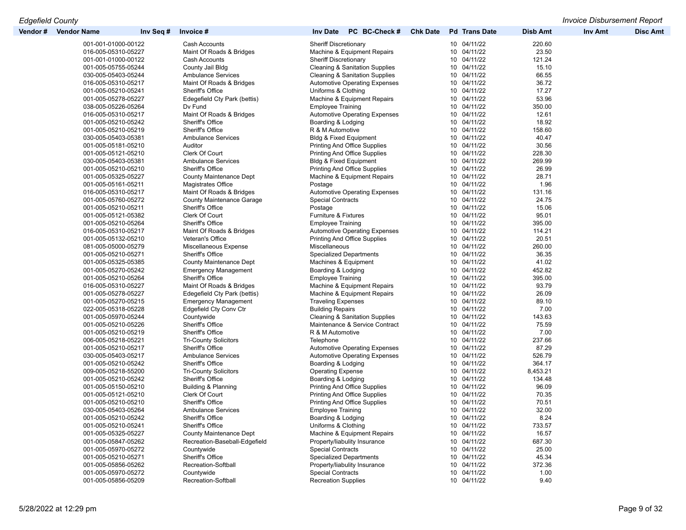| Vendor # | <b>Vendor Name</b>  | Inv Seq # | Invoice#                       | <b>Inv Date</b><br>PC BC-Check #          | <b>Chk Date</b> | <b>Pd</b> Trans Date       | <b>Disb Amt</b> | <b>Inv Amt</b> | <b>Disc Amt</b> |
|----------|---------------------|-----------|--------------------------------|-------------------------------------------|-----------------|----------------------------|-----------------|----------------|-----------------|
|          | 001-001-01000-00122 |           | Cash Accounts                  | <b>Sheriff Discretionary</b>              |                 | 10 04/11/22                | 220.60          |                |                 |
|          | 016-005-05310-05227 |           | Maint Of Roads & Bridges       | Machine & Equipment Repairs               |                 | 10 04/11/22                | 23.50           |                |                 |
|          | 001-001-01000-00122 |           | Cash Accounts                  | <b>Sheriff Discretionary</b>              |                 | 10 04/11/22                | 121.24          |                |                 |
|          | 001-005-05755-05244 |           | County Jail Bldg               | <b>Cleaning &amp; Sanitation Supplies</b> |                 | 10 04/11/22                | 15.10           |                |                 |
|          | 030-005-05403-05244 |           | <b>Ambulance Services</b>      | <b>Cleaning &amp; Sanitation Supplies</b> |                 | 10 04/11/22                | 66.55           |                |                 |
|          | 016-005-05310-05217 |           | Maint Of Roads & Bridges       | <b>Automotive Operating Expenses</b>      |                 | 10 04/11/22                | 36.72           |                |                 |
|          | 001-005-05210-05241 |           | Sheriff's Office               | Uniforms & Clothing                       |                 | 10 04/11/22                | 17.27           |                |                 |
|          | 001-005-05278-05227 |           | Edegefield Cty Park (bettis)   | Machine & Equipment Repairs               |                 | 10 04/11/22                | 53.96           |                |                 |
|          | 038-005-05226-05264 |           | Dv Fund                        | <b>Employee Training</b>                  |                 | 10 04/11/22                | 350.00          |                |                 |
|          | 016-005-05310-05217 |           | Maint Of Roads & Bridges       | <b>Automotive Operating Expenses</b>      |                 | 10 04/11/22                | 12.61           |                |                 |
|          | 001-005-05210-05242 |           | Sheriff's Office               | Boarding & Lodging                        |                 | 10 04/11/22                | 18.92           |                |                 |
|          | 001-005-05210-05219 |           | <b>Sheriff's Office</b>        | R & M Automotive                          |                 | 10 04/11/22                | 158.60          |                |                 |
|          | 030-005-05403-05381 |           | <b>Ambulance Services</b>      | <b>Bldg &amp; Fixed Equipment</b>         |                 | 10 04/11/22                | 40.47           |                |                 |
|          | 001-005-05181-05210 |           | Auditor                        |                                           |                 | 10 04/11/22                | 30.56           |                |                 |
|          |                     |           |                                | <b>Printing And Office Supplies</b>       |                 | 10 04/11/22                |                 |                |                 |
|          | 001-005-05121-05210 |           | Clerk Of Court                 | <b>Printing And Office Supplies</b>       |                 |                            | 228.30          |                |                 |
|          | 030-005-05403-05381 |           | <b>Ambulance Services</b>      | Bldg & Fixed Equipment                    |                 | 10 04/11/22                | 269.99          |                |                 |
|          | 001-005-05210-05210 |           | Sheriff's Office               | <b>Printing And Office Supplies</b>       |                 | 10 04/11/22                | 26.99           |                |                 |
|          | 001-005-05325-05227 |           | <b>County Maintenance Dept</b> | Machine & Equipment Repairs               |                 | 10 04/11/22                | 28.71           |                |                 |
|          | 001-005-05161-05211 |           | Magistrates Office             | Postage                                   |                 | 10 04/11/22                | 1.96            |                |                 |
|          | 016-005-05310-05217 |           | Maint Of Roads & Bridges       | <b>Automotive Operating Expenses</b>      |                 | 10 04/11/22                | 131.16          |                |                 |
|          | 001-005-05760-05272 |           | County Maintenance Garage      | <b>Special Contracts</b>                  |                 | 10 04/11/22                | 24.75           |                |                 |
|          | 001-005-05210-05211 |           | Sheriff's Office               | Postage                                   |                 | 10 04/11/22                | 15.06           |                |                 |
|          | 001-005-05121-05382 |           | Clerk Of Court                 | Furniture & Fixtures                      |                 | 10 04/11/22                | 95.01           |                |                 |
|          | 001-005-05210-05264 |           | Sheriff's Office               | <b>Employee Training</b>                  |                 | 10 04/11/22                | 395.00          |                |                 |
|          | 016-005-05310-05217 |           | Maint Of Roads & Bridges       | <b>Automotive Operating Expenses</b>      |                 | 10 04/11/22                | 114.21          |                |                 |
|          | 001-005-05132-05210 |           | Veteran's Office               | <b>Printing And Office Supplies</b>       |                 | 10 04/11/22                | 20.51           |                |                 |
|          | 081-005-05000-05279 |           | Miscellaneous Expense          | Miscellaneous                             |                 | 10 04/11/22                | 260.00          |                |                 |
|          | 001-005-05210-05271 |           | Sheriff's Office               | <b>Specialized Departments</b>            |                 | 10 04/11/22                | 36.35           |                |                 |
|          | 001-005-05325-05385 |           | <b>County Maintenance Dept</b> | Machines & Equipment                      |                 | 10 04/11/22                | 41.02           |                |                 |
|          | 001-005-05270-05242 |           | <b>Emergency Management</b>    | Boarding & Lodging                        |                 | 10 04/11/22                | 452.82          |                |                 |
|          | 001-005-05210-05264 |           | Sheriff's Office               | <b>Employee Training</b>                  |                 | 10 04/11/22                | 395.00          |                |                 |
|          | 016-005-05310-05227 |           | Maint Of Roads & Bridges       | Machine & Equipment Repairs               |                 | 10 04/11/22                | 93.79           |                |                 |
|          | 001-005-05278-05227 |           | Edegefield Cty Park (bettis)   | Machine & Equipment Repairs               |                 | 10 04/11/22                | 26.09           |                |                 |
|          | 001-005-05270-05215 |           | <b>Emergency Management</b>    | <b>Traveling Expenses</b>                 |                 | 10 04/11/22                | 89.10           |                |                 |
|          | 022-005-05318-05228 |           | Edgefield Cty Conv Ctr         | <b>Building Repairs</b>                   |                 | 10 04/11/22                | 7.00            |                |                 |
|          | 001-005-05970-05244 |           | Countywide                     | <b>Cleaning &amp; Sanitation Supplies</b> |                 | 10 04/11/22                | 143.63          |                |                 |
|          | 001-005-05210-05226 |           | <b>Sheriff's Office</b>        | Maintenance & Service Contract            |                 | 10 04/11/22                | 75.59           |                |                 |
|          | 001-005-05210-05219 |           | Sheriff's Office               | R & M Automotive                          |                 | 10 04/11/22                | 7.00            |                |                 |
|          | 006-005-05218-05221 |           | <b>Tri-County Solicitors</b>   | Telephone                                 |                 | 10 04/11/22                | 237.66          |                |                 |
|          | 001-005-05210-05217 |           | Sheriff's Office               | <b>Automotive Operating Expenses</b>      |                 | 10 04/11/22                | 87.29           |                |                 |
|          | 030-005-05403-05217 |           | <b>Ambulance Services</b>      | <b>Automotive Operating Expenses</b>      |                 | 10 04/11/22                | 526.79          |                |                 |
|          | 001-005-05210-05242 |           | Sheriff's Office               | Boarding & Lodging                        |                 | 10 04/11/22                | 364.17          |                |                 |
|          | 009-005-05218-55200 |           | <b>Tri-County Solicitors</b>   | <b>Operating Expense</b>                  |                 | 10 04/11/22                | 8,453.21        |                |                 |
|          |                     |           |                                |                                           |                 |                            |                 |                |                 |
|          | 001-005-05210-05242 |           | Sheriff's Office               | Boarding & Lodging                        |                 | 10 04/11/22<br>10 04/11/22 | 134.48          |                |                 |
|          | 001-005-05150-05210 |           | Building & Planning            | <b>Printing And Office Supplies</b>       |                 |                            | 96.09           |                |                 |
|          | 001-005-05121-05210 |           | Clerk Of Court                 | <b>Printing And Office Supplies</b>       |                 | 10 04/11/22                | 70.35           |                |                 |
|          | 001-005-05210-05210 |           | <b>Sheriff's Office</b>        | <b>Printing And Office Supplies</b>       |                 | 10 04/11/22                | 70.51           |                |                 |
|          | 030-005-05403-05264 |           | <b>Ambulance Services</b>      | <b>Employee Training</b>                  |                 | 10 04/11/22                | 32.00           |                |                 |
|          | 001-005-05210-05242 |           | Sheriff's Office               | Boarding & Lodging                        |                 | 10 04/11/22                | 8.24            |                |                 |
|          | 001-005-05210-05241 |           | Sheriff's Office               | Uniforms & Clothing                       |                 | 10 04/11/22                | 733.57          |                |                 |
|          | 001-005-05325-05227 |           | County Maintenance Dept        | Machine & Equipment Repairs               |                 | 10 04/11/22                | 16.57           |                |                 |
|          | 001-005-05847-05262 |           | Recreation-Baseball-Edgefield  | Property/liabulity Insurance              |                 | 10 04/11/22                | 687.30          |                |                 |
|          | 001-005-05970-05272 |           | Countywide                     | <b>Special Contracts</b>                  |                 | 10 04/11/22                | 25.00           |                |                 |
|          | 001-005-05210-05271 |           | Sheriff's Office               | <b>Specialized Departments</b>            |                 | 10 04/11/22                | 45.34           |                |                 |
|          | 001-005-05856-05262 |           | Recreation-Softball            | Property/liabulity Insurance              |                 | 10 04/11/22                | 372.36          |                |                 |
|          | 001-005-05970-05272 |           | Countywide                     | <b>Special Contracts</b>                  |                 | 10 04/11/22                | 1.00            |                |                 |
|          | 001-005-05856-05209 |           | Recreation-Softball            | <b>Recreation Supplies</b>                |                 | 10 04/11/22                | 9.40            |                |                 |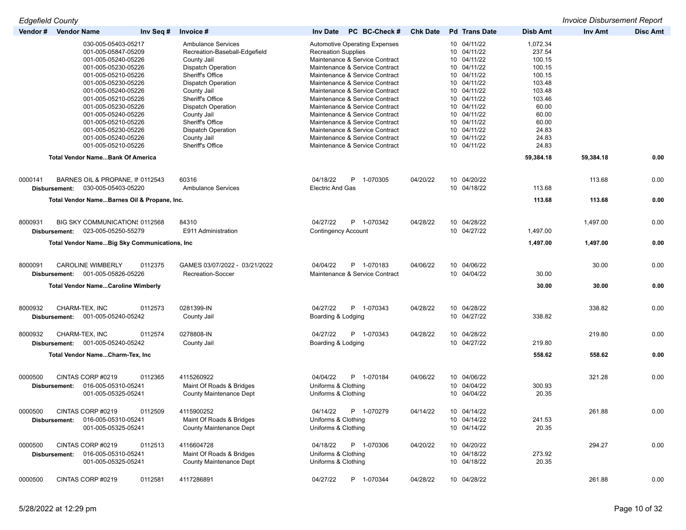| <b>Edgefield County</b> |               |                                                |           |                                          |                                                                  |                 |                            |                  | <b>Invoice Disbursement Report</b> |                 |
|-------------------------|---------------|------------------------------------------------|-----------|------------------------------------------|------------------------------------------------------------------|-----------------|----------------------------|------------------|------------------------------------|-----------------|
| Vendor # Vendor Name    |               |                                                | Inv Seq # | Invoice #                                | PC BC-Check #<br><b>Inv Date</b>                                 | <b>Chk Date</b> | <b>Pd</b> Trans Date       | <b>Disb Amt</b>  | Inv Amt                            | <b>Disc Amt</b> |
|                         |               | 030-005-05403-05217                            |           | <b>Ambulance Services</b>                | <b>Automotive Operating Expenses</b>                             |                 | 10 04/11/22                | 1,072.34         |                                    |                 |
|                         |               | 001-005-05847-05209                            |           | Recreation-Baseball-Edgefield            | <b>Recreation Supplies</b>                                       |                 | 10 04/11/22                | 237.54           |                                    |                 |
|                         |               | 001-005-05240-05226                            |           | County Jail                              | Maintenance & Service Contract                                   |                 | 10 04/11/22                | 100.15           |                                    |                 |
|                         |               | 001-005-05230-05226                            |           | <b>Dispatch Operation</b>                | Maintenance & Service Contract                                   |                 | 10 04/11/22                | 100.15           |                                    |                 |
|                         |               | 001-005-05210-05226                            |           | Sheriff's Office                         | Maintenance & Service Contract                                   |                 | 10 04/11/22<br>10 04/11/22 | 100.15           |                                    |                 |
|                         |               | 001-005-05230-05226<br>001-005-05240-05226     |           | <b>Dispatch Operation</b><br>County Jail | Maintenance & Service Contract<br>Maintenance & Service Contract |                 | 10 04/11/22                | 103.48<br>103.48 |                                    |                 |
|                         |               | 001-005-05210-05226                            |           | Sheriff's Office                         | Maintenance & Service Contract                                   |                 | 10 04/11/22                | 103.46           |                                    |                 |
|                         |               | 001-005-05230-05226                            |           | <b>Dispatch Operation</b>                | Maintenance & Service Contract                                   |                 | 10 04/11/22                | 60.00            |                                    |                 |
|                         |               | 001-005-05240-05226                            |           | County Jail                              | Maintenance & Service Contract                                   |                 | 10 04/11/22                | 60.00            |                                    |                 |
|                         |               | 001-005-05210-05226                            |           | Sheriff's Office                         | Maintenance & Service Contract                                   |                 | 10 04/11/22                | 60.00            |                                    |                 |
|                         |               | 001-005-05230-05226                            |           | Dispatch Operation                       | Maintenance & Service Contract                                   |                 | 10 04/11/22                | 24.83            |                                    |                 |
|                         |               | 001-005-05240-05226                            |           | County Jail                              | Maintenance & Service Contract                                   |                 | 10 04/11/22                | 24.83            |                                    |                 |
|                         |               | 001-005-05210-05226                            |           | Sheriff's Office                         | Maintenance & Service Contract                                   |                 | 10 04/11/22                | 24.83            |                                    |                 |
|                         |               | <b>Total Vendor NameBank Of America</b>        |           |                                          |                                                                  |                 |                            | 59,384.18        | 59,384.18                          | 0.00            |
| 0000141                 |               | BARNES OIL & PROPANE, IN 0112543               |           | 60316                                    | 04/18/22<br>P 1-070305                                           | 04/20/22        | 10 04/20/22                |                  | 113.68                             | 0.00            |
|                         | Disbursement: | 030-005-05403-05220                            |           | <b>Ambulance Services</b>                | <b>Electric And Gas</b>                                          |                 | 10 04/18/22                | 113.68           |                                    |                 |
|                         |               |                                                |           |                                          |                                                                  |                 |                            |                  |                                    |                 |
|                         |               | Total Vendor NameBarnes Oil & Propane, Inc.    |           |                                          |                                                                  |                 |                            | 113.68           | 113.68                             | 0.00            |
| 8000931                 |               | BIG SKY COMMUNICATION: 0112568                 |           | 84310                                    | 04/27/22<br>P 1-070342                                           | 04/28/22        | 10 04/28/22                |                  | 1,497.00                           | 0.00            |
|                         | Disbursement: | 023-005-05250-55279                            |           | E911 Administration                      | <b>Contingency Account</b>                                       |                 | 10 04/27/22                | 1,497.00         |                                    |                 |
|                         |               | Total Vendor Name Big Sky Communications, Inc. |           |                                          |                                                                  |                 |                            | 1,497.00         | 1,497.00                           | 0.00            |
|                         |               |                                                |           |                                          |                                                                  |                 |                            |                  |                                    |                 |
| 8000091                 |               | <b>CAROLINE WIMBERLY</b>                       | 0112375   | GAMES 03/07/2022 - 03/21/2022            | 04/04/22<br>P 1-070183                                           | 04/06/22        | 10 04/06/22                |                  | 30.00                              | 0.00            |
|                         | Disbursement: | 001-005-05826-05226                            |           | Recreation-Soccer                        | Maintenance & Service Contract                                   |                 | 10 04/04/22                | 30.00            |                                    |                 |
|                         |               | <b>Total Vendor NameCaroline Wimberly</b>      |           |                                          |                                                                  |                 |                            | 30.00            | 30.00                              | 0.00            |
| 8000932                 |               | CHARM-TEX, INC                                 | 0112573   | 0281399-IN                               | 04/27/22<br>P 1-070343                                           | 04/28/22        | 10 04/28/22                |                  | 338.82                             | 0.00            |
|                         | Disbursement: | 001-005-05240-05242                            |           | County Jail                              | Boarding & Lodging                                               |                 | 10 04/27/22                | 338.82           |                                    |                 |
| 8000932                 |               | CHARM-TEX, INC                                 | 0112574   | 0278808-IN                               | 04/27/22<br>P 1-070343                                           | 04/28/22        | 10 04/28/22                |                  | 219.80                             | 0.00            |
|                         | Disbursement: | 001-005-05240-05242                            |           | County Jail                              | Boarding & Lodging                                               |                 | 10 04/27/22                | 219.80           |                                    |                 |
|                         |               |                                                |           |                                          |                                                                  |                 |                            |                  |                                    |                 |
|                         |               | Total Vendor NameCharm-Tex, Inc                |           |                                          |                                                                  |                 |                            | 558.62           | 558.62                             | 0.00            |
| 0000500                 |               | CINTAS CORP #0219                              | 0112365   | 4115260922                               | 04/04/22<br>P 1-070184                                           | 04/06/22        | 10 04/06/22                |                  | 321.28                             | 0.00            |
|                         | Disbursement: | 016-005-05310-05241                            |           | Maint Of Roads & Bridges                 | Uniforms & Clothing                                              |                 | 10 04/04/22                | 300.93           |                                    |                 |
|                         |               | 001-005-05325-05241                            |           | <b>County Maintenance Dept</b>           | Uniforms & Clothing                                              |                 | 10 04/04/22                | 20.35            |                                    |                 |
| 0000500                 |               | CINTAS CORP #0219                              | 0112509   | 4115900252                               | 04/14/22<br>P 1-070279                                           | 04/14/22        | 10 04/14/22                |                  | 261.88                             | 0.00            |
|                         | Disbursement: | 016-005-05310-05241                            |           | Maint Of Roads & Bridges                 | Uniforms & Clothing                                              |                 | 10 04/14/22                | 241.53           |                                    |                 |
|                         |               | 001-005-05325-05241                            |           | <b>County Maintenance Dept</b>           | Uniforms & Clothing                                              |                 | 10 04/14/22                | 20.35            |                                    |                 |
| 0000500                 |               | CINTAS CORP #0219                              | 0112513   | 4116604728                               | P 1-070306<br>04/18/22                                           | 04/20/22        | 10 04/20/22                |                  | 294.27                             | 0.00            |
|                         | Disbursement: | 016-005-05310-05241                            |           | Maint Of Roads & Bridges                 | Uniforms & Clothing                                              |                 | 10 04/18/22                | 273.92           |                                    |                 |
|                         |               | 001-005-05325-05241                            |           | <b>County Maintenance Dept</b>           | Uniforms & Clothing                                              |                 | 10 04/18/22                | 20.35            |                                    |                 |
| 0000500                 |               | CINTAS CORP #0219                              | 0112581   | 4117286891                               | 04/27/22<br>P 1-070344                                           | 04/28/22        | 10 04/28/22                |                  | 261.88                             | 0.00            |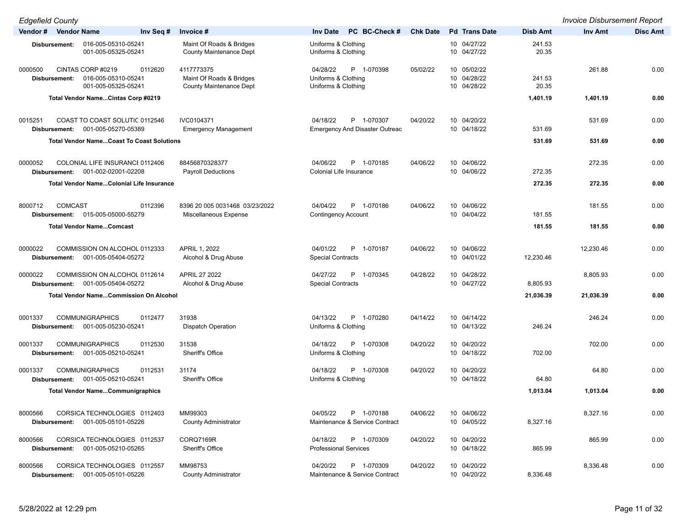*Edgefield County Invoice Disbursement Report*

| -agonoia ooaniy      |                |                                                  |           |                                                            |                                               |               |                 |                            |                 |           | ,,,,,,,,,,,     |
|----------------------|----------------|--------------------------------------------------|-----------|------------------------------------------------------------|-----------------------------------------------|---------------|-----------------|----------------------------|-----------------|-----------|-----------------|
| Vendor # Vendor Name |                |                                                  | Inv Seq # | Invoice #                                                  | <b>Inv Date</b>                               | PC BC-Check # | <b>Chk Date</b> | <b>Pd</b> Trans Date       | <b>Disb Amt</b> | Inv Amt   | <b>Disc Amt</b> |
|                      | Disbursement:  | 016-005-05310-05241<br>001-005-05325-05241       |           | Maint Of Roads & Bridges<br><b>County Maintenance Dept</b> | Uniforms & Clothing<br>Uniforms & Clothing    |               |                 | 10 04/27/22<br>10 04/27/22 | 241.53<br>20.35 |           |                 |
| 0000500              | Disbursement:  | CINTAS CORP #0219<br>016-005-05310-05241         | 0112620   | 4117773375<br>Maint Of Roads & Bridges                     | 04/28/22<br>P 1-070398<br>Uniforms & Clothing |               | 05/02/22        | 10 05/02/22<br>10 04/28/22 | 241.53          | 261.88    | 0.00            |
|                      |                | 001-005-05325-05241                              |           | <b>County Maintenance Dept</b>                             | Uniforms & Clothing                           |               |                 | 10 04/28/22                | 20.35           |           |                 |
|                      |                |                                                  |           |                                                            |                                               |               |                 |                            |                 |           |                 |
|                      |                | Total Vendor NameCintas Corp #0219               |           |                                                            |                                               |               |                 |                            | 1,401.19        | 1,401.19  | 0.00            |
| 0015251              |                | COAST TO COAST SOLUTIC 0112546                   |           | IVC0104371                                                 | 04/18/22<br>P 1-070307                        |               | 04/20/22        | 10 04/20/22                |                 | 531.69    | 0.00            |
|                      | Disbursement:  | 001-005-05270-05389                              |           | <b>Emergency Management</b>                                | <b>Emergency And Disaster Outreac</b>         |               |                 | 10 04/18/22                | 531.69          |           |                 |
|                      |                |                                                  |           |                                                            |                                               |               |                 |                            |                 |           |                 |
|                      |                | <b>Total Vendor NameCoast To Coast Solutions</b> |           |                                                            |                                               |               |                 |                            | 531.69          | 531.69    | 0.00            |
| 0000052              |                | COLONIAL LIFE INSURANCE 0112406                  |           | 88456870328377                                             | 04/06/22<br>P 1-070185                        |               | 04/06/22        | 10 04/06/22                |                 | 272.35    | 0.00            |
|                      | Disbursement:  | 001-002-02001-02208                              |           | <b>Payroll Deductions</b>                                  | Colonial Life Insurance                       |               |                 | 10 04/06/22                | 272.35          |           |                 |
|                      |                |                                                  |           |                                                            |                                               |               |                 |                            |                 |           |                 |
|                      |                | <b>Total Vendor NameColonial Life Insurance</b>  |           |                                                            |                                               |               |                 |                            | 272.35          | 272.35    | 0.00            |
| 8000712              | <b>COMCAST</b> |                                                  | 0112396   | 8396 20 005 0031468 03/23/2022                             | 04/04/22<br>P 1-070186                        |               | 04/06/22        | 10 04/06/22                |                 | 181.55    | 0.00            |
|                      |                |                                                  |           |                                                            |                                               |               |                 | 10 04/04/22                |                 |           |                 |
|                      |                | Disbursement: 015-005-05000-55279                |           | Miscellaneous Expense                                      | <b>Contingency Account</b>                    |               |                 |                            | 181.55          |           |                 |
|                      |                | <b>Total Vendor NameComcast</b>                  |           |                                                            |                                               |               |                 |                            | 181.55          | 181.55    | 0.00            |
| 0000022              |                | COMMISSION ON ALCOHOL 0112333                    |           | APRIL 1, 2022                                              | 04/01/22<br>P 1-070187                        |               | 04/06/22        | 10 04/06/22                |                 | 12,230.46 | 0.00            |
|                      |                | 001-005-05404-05272                              |           | Alcohol & Drug Abuse                                       | <b>Special Contracts</b>                      |               |                 | 10 04/01/22                | 12,230.46       |           |                 |
|                      | Disbursement:  |                                                  |           |                                                            |                                               |               |                 |                            |                 |           |                 |
| 0000022              |                | COMMISSION ON ALCOHOL 0112614                    |           | APRIL 27 2022                                              | 04/27/22<br>P 1-070345                        |               | 04/28/22        | 10 04/28/22                |                 | 8,805.93  | 0.00            |
|                      | Disbursement:  | 001-005-05404-05272                              |           | Alcohol & Drug Abuse                                       | <b>Special Contracts</b>                      |               |                 | 10 04/27/22                | 8,805.93        |           |                 |
|                      |                | <b>Total Vendor NameCommission On Alcohol</b>    |           |                                                            |                                               |               |                 |                            | 21,036.39       | 21,036.39 | 0.00            |
|                      |                |                                                  |           |                                                            |                                               |               |                 |                            |                 |           |                 |
| 0001337              |                | <b>COMMUNIGRAPHICS</b>                           | 0112477   | 31938                                                      | 04/13/22<br>P 1-070280                        |               | 04/14/22        | 10 04/14/22                |                 | 246.24    | 0.00            |
|                      | Disbursement:  | 001-005-05230-05241                              |           | <b>Dispatch Operation</b>                                  | Uniforms & Clothing                           |               |                 | 10 04/13/22                | 246.24          |           |                 |
|                      |                |                                                  |           |                                                            |                                               |               |                 |                            |                 |           |                 |
| 0001337              |                | <b>COMMUNIGRAPHICS</b>                           | 0112530   | 31538                                                      | 04/18/22<br>P 1-070308                        |               | 04/20/22        | 10 04/20/22                |                 | 702.00    | 0.00            |
|                      | Disbursement:  | 001-005-05210-05241                              |           | Sheriff's Office                                           | Uniforms & Clothing                           |               |                 | 10 04/18/22                | 702.00          |           |                 |
|                      |                |                                                  |           |                                                            |                                               |               |                 |                            |                 |           |                 |
| 0001337              |                | <b>COMMUNIGRAPHICS</b>                           | 0112531   | 31174                                                      | 04/18/22<br>P 1-070308                        |               | 04/20/22        | 10 04/20/22                |                 | 64.80     | 0.00            |
|                      | Disbursement:  | 001-005-05210-05241                              |           | Sheriff's Office                                           | Uniforms & Clothing                           |               |                 | 10 04/18/22                | 64.80           |           |                 |
|                      |                | <b>Total Vendor NameCommunigraphics</b>          |           |                                                            |                                               |               |                 |                            | 1,013.04        | 1,013.04  | 0.00            |
|                      |                |                                                  |           |                                                            |                                               |               |                 |                            |                 |           |                 |
| 8000566              |                | CORSICA TECHNOLOGIES 0112403                     |           | MM99303                                                    | 04/05/22<br>P 1-070188                        |               | 04/06/22        | 10 04/06/22                |                 | 8,327.16  | 0.00            |
|                      |                | Disbursement: 001-005-05101-05226                |           | County Administrator                                       | Maintenance & Service Contract                |               |                 | 10 04/05/22                | 8,327.16        |           |                 |
|                      |                |                                                  |           |                                                            |                                               |               |                 |                            |                 |           |                 |
| 8000566              |                | CORSICA TECHNOLOGIES 0112537                     |           | CORQ7169R                                                  | 04/18/22<br>P 1-070309                        |               | 04/20/22        | 10 04/20/22                |                 | 865.99    | 0.00            |
|                      |                | Disbursement: 001-005-05210-05265                |           | Sheriff's Office                                           | <b>Professional Services</b>                  |               |                 | 10 04/18/22                | 865.99          |           |                 |
|                      |                |                                                  |           |                                                            |                                               |               |                 |                            |                 |           |                 |
| 8000566              |                | CORSICA TECHNOLOGIES 0112557                     |           | MM98753                                                    | 04/20/22<br>P 1-070309                        |               | 04/20/22        | 10 04/20/22                |                 | 8,336.48  | 0.00            |
|                      |                | Disbursement: 001-005-05101-05226                |           | <b>County Administrator</b>                                | Maintenance & Service Contract                |               |                 | 10 04/20/22                | 8,336.48        |           |                 |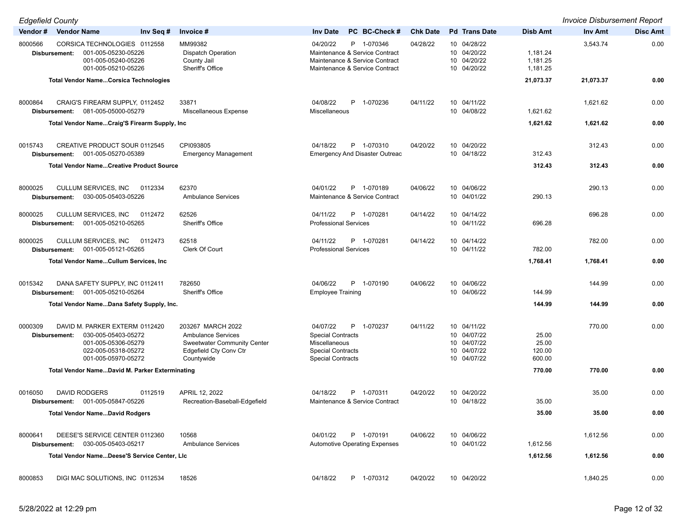*Edgefield County Invoice Disbursement Report*

| Vendor# | <b>Vendor Name</b>                                                                                                                          | Inv Seq # | Invoice #                                                                                                                    | PC BC-Check #<br><b>Inv Date</b>                                                                                             | <b>Chk Date</b> | <b>Pd</b> Trans Date                                                    | <b>Disb Amt</b>                    | <b>Inv Amt</b> | <b>Disc Amt</b> |
|---------|---------------------------------------------------------------------------------------------------------------------------------------------|-----------|------------------------------------------------------------------------------------------------------------------------------|------------------------------------------------------------------------------------------------------------------------------|-----------------|-------------------------------------------------------------------------|------------------------------------|----------------|-----------------|
| 8000566 | CORSICA TECHNOLOGIES 0112558<br>001-005-05230-05226<br>Disbursement:<br>001-005-05240-05226<br>001-005-05210-05226                          |           | MM99382<br><b>Dispatch Operation</b><br>County Jail<br>Sheriff's Office                                                      | 04/20/22<br>P 1-070346<br>Maintenance & Service Contract<br>Maintenance & Service Contract<br>Maintenance & Service Contract | 04/28/22        | 10 04/28/22<br>10 04/20/22<br>10 04/20/22<br>10 04/20/22                | 1,181.24<br>1,181.25<br>1,181.25   | 3,543.74       | 0.00            |
|         | <b>Total Vendor NameCorsica Technologies</b>                                                                                                |           |                                                                                                                              |                                                                                                                              |                 |                                                                         | 21,073.37                          | 21,073.37      | 0.00            |
| 8000864 | CRAIG'S FIREARM SUPPLY, 0112452<br>Disbursement: 081-005-05000-05279                                                                        |           | 33871<br>Miscellaneous Expense                                                                                               | 04/08/22<br>P 1-070236<br>Miscellaneous                                                                                      | 04/11/22        | 10 04/11/22<br>10 04/08/22                                              | 1,621.62                           | 1,621.62       | 0.00            |
|         | Total Vendor NameCraig'S Firearm Supply, Inc.                                                                                               |           |                                                                                                                              |                                                                                                                              |                 |                                                                         | 1,621.62                           | 1,621.62       | 0.00            |
| 0015743 | <b>CREATIVE PRODUCT SOUR 0112545</b><br>001-005-05270-05389<br>Disbursement:                                                                |           | CPI093805<br><b>Emergency Management</b>                                                                                     | P 1-070310<br>04/18/22<br><b>Emergency And Disaster Outreac</b>                                                              | 04/20/22        | 10 04/20/22<br>10 04/18/22                                              | 312.43                             | 312.43         | 0.00            |
|         | <b>Total Vendor NameCreative Product Source</b>                                                                                             |           |                                                                                                                              |                                                                                                                              |                 |                                                                         | 312.43                             | 312.43         | 0.00            |
| 8000025 | CULLUM SERVICES, INC<br>030-005-05403-05226<br>Disbursement:                                                                                | 0112334   | 62370<br><b>Ambulance Services</b>                                                                                           | 04/01/22<br>P 1-070189<br>Maintenance & Service Contract                                                                     | 04/06/22        | 10 04/06/22<br>10 04/01/22                                              | 290.13                             | 290.13         | 0.00            |
| 8000025 | CULLUM SERVICES, INC<br>Disbursement: 001-005-05210-05265                                                                                   | 0112472   | 62526<br>Sheriff's Office                                                                                                    | 04/11/22<br>P 1-070281<br><b>Professional Services</b>                                                                       | 04/14/22        | 10 04/14/22<br>10 04/11/22                                              | 696.28                             | 696.28         | 0.00            |
| 8000025 | CULLUM SERVICES, INC<br>Disbursement: 001-005-05121-05265                                                                                   | 0112473   | 62518<br>Clerk Of Court                                                                                                      | 04/11/22<br>P 1-070281<br><b>Professional Services</b>                                                                       | 04/14/22        | 10 04/14/22<br>10 04/11/22                                              | 782.00                             | 782.00         | 0.00            |
|         | Total Vendor NameCullum Services, Inc.                                                                                                      |           |                                                                                                                              |                                                                                                                              |                 |                                                                         | 1,768.41                           | 1,768.41       | 0.00            |
| 0015342 | DANA SAFETY SUPPLY, INC 0112411<br>Disbursement: 001-005-05210-05264                                                                        |           | 782650<br><b>Sheriff's Office</b>                                                                                            | 04/06/22<br>P 1-070190<br><b>Employee Training</b>                                                                           | 04/06/22        | 10 04/06/22<br>10 04/06/22                                              | 144.99                             | 144.99         | 0.00            |
|         | Total Vendor NameDana Safety Supply, Inc.                                                                                                   |           |                                                                                                                              |                                                                                                                              |                 |                                                                         | 144.99                             | 144.99         | 0.00            |
| 0000309 | DAVID M. PARKER EXTERM 0112420<br>030-005-05403-05272<br>Disbursement:<br>001-005-05306-05279<br>022-005-05318-05272<br>001-005-05970-05272 |           | 203267 MARCH 2022<br><b>Ambulance Services</b><br><b>Sweetwater Community Center</b><br>Edgefield Cty Conv Ctr<br>Countywide | 04/07/22<br>P 1-070237<br><b>Special Contracts</b><br>Miscellaneous<br><b>Special Contracts</b><br><b>Special Contracts</b>  | 04/11/22        | 10 04/11/22<br>10 04/07/22<br>10 04/07/22<br>10 04/07/22<br>10 04/07/22 | 25.00<br>25.00<br>120.00<br>600.00 | 770.00         | 0.00            |
|         | <b>Total Vendor NameDavid M. Parker Exterminating</b>                                                                                       |           |                                                                                                                              |                                                                                                                              |                 |                                                                         | 770.00                             | 770.00         | 0.00            |
| 0016050 | <b>DAVID RODGERS</b><br>Disbursement: 001-005-05847-05226                                                                                   | 0112519   | APRIL 12, 2022<br>Recreation-Baseball-Edgefield                                                                              | 04/18/22<br>P 1-070311<br>Maintenance & Service Contract                                                                     | 04/20/22        | 10 04/20/22<br>10 04/18/22                                              | 35.00                              | 35.00          | 0.00            |
|         | <b>Total Vendor NameDavid Rodgers</b>                                                                                                       |           |                                                                                                                              |                                                                                                                              |                 |                                                                         | 35.00                              | 35.00          | 0.00            |
| 8000641 | DEESE'S SERVICE CENTER 0112360<br>Disbursement: 030-005-05403-05217                                                                         |           | 10568<br><b>Ambulance Services</b>                                                                                           | 04/01/22<br>P 1-070191<br><b>Automotive Operating Expenses</b>                                                               | 04/06/22        | 10 04/06/22<br>10 04/01/22                                              | 1,612.56                           | 1,612.56       | 0.00            |
|         | Total Vendor NameDeese'S Service Center, LIc                                                                                                |           |                                                                                                                              |                                                                                                                              |                 |                                                                         | 1,612.56                           | 1,612.56       | 0.00            |
| 8000853 | DIGI MAC SOLUTIONS, INC 0112534                                                                                                             |           | 18526                                                                                                                        | 04/18/22<br>P 1-070312                                                                                                       | 04/20/22        | 10 04/20/22                                                             |                                    | 1,840.25       | 0.00            |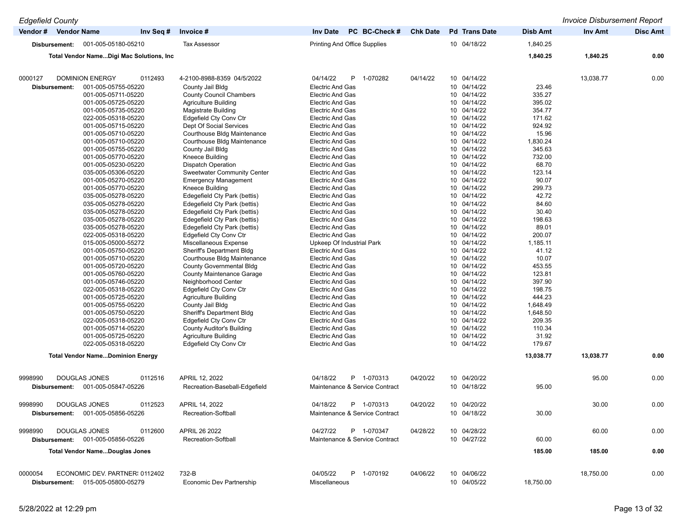| <b>Edgefield County</b>                    |                                               |                                                    |                 |                            |                  | <b>Invoice Disbursement Report</b> |                 |
|--------------------------------------------|-----------------------------------------------|----------------------------------------------------|-----------------|----------------------------|------------------|------------------------------------|-----------------|
| Vendor # Vendor Name                       | Invoice #<br>Inv Seq #                        | PC BC-Check #<br><b>Inv Date</b>                   | <b>Chk Date</b> | <b>Pd</b> Trans Date       | <b>Disb Amt</b>  | Inv Amt                            | <b>Disc Amt</b> |
| 001-005-05180-05210<br>Disbursement:       | <b>Tax Assessor</b>                           | <b>Printing And Office Supplies</b>                |                 | 10 04/18/22                | 1,840.25         |                                    |                 |
| Total Vendor NameDigi Mac Solutions, Inc.  |                                               |                                                    |                 |                            | 1,840.25         | 1,840.25                           | 0.00            |
| 0000127<br><b>DOMINION ENERGY</b>          | 4-2100-8988-8359 04/5/2022<br>0112493         | 04/14/22<br>P 1-070282                             | 04/14/22        | 10 04/14/22                |                  | 13,038.77                          | 0.00            |
| 001-005-05755-05220                        | County Jail Bldg                              | <b>Electric And Gas</b>                            |                 | 10 04/14/22                | 23.46            |                                    |                 |
| Disbursement:<br>001-005-05711-05220       | <b>County Council Chambers</b>                | <b>Electric And Gas</b>                            |                 | 10 04/14/22                | 335.27           |                                    |                 |
| 001-005-05725-05220                        | Agriculture Building                          | <b>Electric And Gas</b>                            |                 | 10 04/14/22                | 395.02           |                                    |                 |
| 001-005-05735-05220                        | Magistrate Building                           | <b>Electric And Gas</b>                            |                 | 10 04/14/22                | 354.77           |                                    |                 |
| 022-005-05318-05220                        | <b>Edgefield Cty Conv Ctr</b>                 | <b>Electric And Gas</b>                            |                 | 10 04/14/22                | 171.62           |                                    |                 |
| 001-005-05715-05220                        | Dept Of Social Services                       | <b>Electric And Gas</b>                            |                 | 10 04/14/22                | 924.92           |                                    |                 |
| 001-005-05710-05220                        | Courthouse Bldg Maintenance                   | <b>Electric And Gas</b>                            |                 | 10 04/14/22                | 15.96            |                                    |                 |
| 001-005-05710-05220                        | Courthouse Bldg Maintenance                   | <b>Electric And Gas</b>                            |                 | 10 04/14/22                | 1,830.24         |                                    |                 |
| 001-005-05755-05220                        | County Jail Bldg                              | <b>Electric And Gas</b>                            |                 | 10 04/14/22                | 345.63           |                                    |                 |
| 001-005-05770-05220                        | Kneece Building                               | <b>Electric And Gas</b>                            |                 | 10 04/14/22                | 732.00           |                                    |                 |
| 001-005-05230-05220                        | <b>Dispatch Operation</b>                     | <b>Electric And Gas</b>                            |                 | 10 04/14/22                | 68.70            |                                    |                 |
| 035-005-05306-05220                        | <b>Sweetwater Community Center</b>            | <b>Electric And Gas</b>                            |                 | 10 04/14/22                | 123.14           |                                    |                 |
| 001-005-05270-05220                        | <b>Emergency Management</b>                   | <b>Electric And Gas</b>                            |                 | 10 04/14/22                | 90.07            |                                    |                 |
| 001-005-05770-05220                        | Kneece Building                               | <b>Electric And Gas</b>                            |                 | 10 04/14/22                | 299.73           |                                    |                 |
| 035-005-05278-05220                        | Edegefield Cty Park (bettis)                  | <b>Electric And Gas</b>                            |                 | 10 04/14/22                | 42.72            |                                    |                 |
| 035-005-05278-05220                        | Edegefield Cty Park (bettis)                  | <b>Electric And Gas</b>                            |                 | 10 04/14/22                | 84.60            |                                    |                 |
| 035-005-05278-05220                        | Edegefield Cty Park (bettis)                  | <b>Electric And Gas</b>                            |                 | 10 04/14/22                | 30.40            |                                    |                 |
| 035-005-05278-05220                        | Edegefield Cty Park (bettis)                  | <b>Electric And Gas</b>                            |                 | 10 04/14/22                | 198.63           |                                    |                 |
| 035-005-05278-05220                        | Edegefield Cty Park (bettis)                  | <b>Electric And Gas</b>                            |                 | 10 04/14/22                | 89.01            |                                    |                 |
| 022-005-05318-05220                        | Edgefield Cty Conv Ctr                        | <b>Electric And Gas</b>                            |                 | 10 04/14/22                | 200.07           |                                    |                 |
| 015-005-05000-55272                        | Miscellaneous Expense                         | Upkeep Of Industrial Park                          |                 | 10 04/14/22                | 1,185.11         |                                    |                 |
| 001-005-05750-05220                        | Sheriff's Department Bldg                     | <b>Electric And Gas</b>                            |                 | 10 04/14/22                | 41.12            |                                    |                 |
| 001-005-05710-05220                        | Courthouse Bldg Maintenance                   | <b>Electric And Gas</b>                            |                 | 10 04/14/22                | 10.07            |                                    |                 |
| 001-005-05720-05220                        | <b>County Governmental Bldg</b>               | <b>Electric And Gas</b>                            |                 | 10 04/14/22                | 453.55           |                                    |                 |
| 001-005-05760-05220                        | <b>County Maintenance Garage</b>              | <b>Electric And Gas</b>                            |                 | 10 04/14/22<br>10 04/14/22 | 123.81           |                                    |                 |
| 001-005-05746-05220<br>022-005-05318-05220 | Neighborhood Center<br>Edgefield Cty Conv Ctr | <b>Electric And Gas</b><br><b>Electric And Gas</b> |                 | 10 04/14/22                | 397.90<br>198.75 |                                    |                 |
| 001-005-05725-05220                        | <b>Agriculture Building</b>                   | <b>Electric And Gas</b>                            |                 | 10 04/14/22                | 444.23           |                                    |                 |
| 001-005-05755-05220                        | County Jail Bldg                              | <b>Electric And Gas</b>                            |                 | 10 04/14/22                | 1,648.49         |                                    |                 |
| 001-005-05750-05220                        | Sheriff's Department Bldg                     | <b>Electric And Gas</b>                            |                 | 10 04/14/22                | 1,648.50         |                                    |                 |
| 022-005-05318-05220                        | Edgefield Cty Conv Ctr                        | <b>Electric And Gas</b>                            |                 | 10 04/14/22                | 209.35           |                                    |                 |
| 001-005-05714-05220                        | County Auditor's Building                     | <b>Electric And Gas</b>                            |                 | 10 04/14/22                | 110.34           |                                    |                 |
| 001-005-05725-05220                        | <b>Agriculture Building</b>                   | <b>Electric And Gas</b>                            |                 | 10 04/14/22                | 31.92            |                                    |                 |
| 022-005-05318-05220                        | <b>Edgefield Cty Conv Ctr</b>                 | <b>Electric And Gas</b>                            |                 | 10 04/14/22                | 179.67           |                                    |                 |
| <b>Total Vendor NameDominion Energy</b>    |                                               |                                                    |                 |                            | 13,038.77        | 13,038.77                          | 0.00            |
|                                            |                                               |                                                    |                 |                            |                  |                                    |                 |
| 9998990<br>DOUGLAS JONES                   | 0112516<br>APRIL 12, 2022                     | 04/18/22<br>P 1-070313                             | 04/20/22        | 10 04/20/22                |                  | 95.00                              | 0.00            |
| 001-005-05847-05226<br>Disbursement:       | Recreation-Baseball-Edgefield                 | Maintenance & Service Contract                     |                 | 10 04/18/22                | 95.00            |                                    |                 |
| 9998990<br>DOUGLAS JONES                   | 0112523<br>APRIL 14, 2022                     | 04/18/22<br>P 1-070313                             | 04/20/22        | 10 04/20/22                |                  | 30.00                              | 0.00            |
| Disbursement: 001-005-05856-05226          | Recreation-Softball                           | Maintenance & Service Contract                     |                 | 10 04/18/22                | 30.00            |                                    |                 |
| 9998990<br>DOUGLAS JONES                   | APRIL 26 2022<br>0112600                      | 04/27/22<br>P 1-070347                             | 04/28/22        | 10 04/28/22                |                  | 60.00                              | 0.00            |
| Disbursement: 001-005-05856-05226          | Recreation-Softball                           | Maintenance & Service Contract                     |                 | 10 04/27/22                | 60.00            |                                    |                 |
| <b>Total Vendor NameDouglas Jones</b>      |                                               |                                                    |                 |                            | 185.00           | 185.00                             | 0.00            |
| ECONOMIC DEV. PARTNER: 0112402<br>0000054  | 732-B                                         | 04/05/22<br>P 1-070192                             | 04/06/22        | 10 04/06/22                |                  | 18,750.00                          | 0.00            |
| Disbursement: 015-005-05800-05279          | Economic Dev Partnership                      | <b>Miscellaneous</b>                               |                 | 10 04/05/22                | 18,750.00        |                                    |                 |
|                                            |                                               |                                                    |                 |                            |                  |                                    |                 |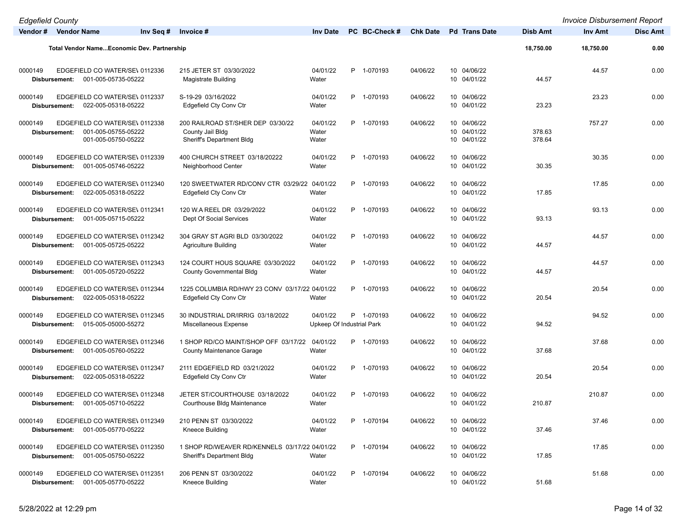| <b>Edgefield County</b>  |                                                                              |                                                                                    |                                       |               |                 |                                           |                  | <b>Invoice Disbursement Report</b> |                 |
|--------------------------|------------------------------------------------------------------------------|------------------------------------------------------------------------------------|---------------------------------------|---------------|-----------------|-------------------------------------------|------------------|------------------------------------|-----------------|
| Vendor # Vendor Name     | Inv Seq #                                                                    | Invoice #                                                                          | <b>Inv Date</b>                       | PC BC-Check # | <b>Chk Date</b> | <b>Pd</b> Trans Date                      | <b>Disb Amt</b>  | Inv Amt                            | <b>Disc Amt</b> |
|                          | <b>Total Vendor NameEconomic Dev. Partnership</b>                            |                                                                                    |                                       |               |                 |                                           | 18,750.00        | 18,750.00                          | 0.00            |
|                          |                                                                              |                                                                                    |                                       |               |                 |                                           |                  |                                    |                 |
| 0000149<br>Disbursement: | EDGEFIELD CO WATER/SE\ 0112336<br>001-005-05735-05222                        | 215 JETER ST 03/30/2022<br>Magistrate Building                                     | 04/01/22<br>Water                     | P 1-070193    | 04/06/22        | 10 04/06/22<br>10 04/01/22                | 44.57            | 44.57                              | 0.00            |
| 0000149<br>Disbursement: | EDGEFIELD CO WATER/SE\ 0112337<br>022-005-05318-05222                        | S-19-29 03/16/2022<br>Edgefield Cty Conv Ctr                                       | 04/01/22<br>Water                     | P 1-070193    | 04/06/22        | 10 04/06/22<br>10 04/01/22                | 23.23            | 23.23                              | 0.00            |
| 0000149<br>Disbursement: | EDGEFIELD CO WATER/SE\ 0112338<br>001-005-05755-05222<br>001-005-05750-05222 | 200 RAILROAD ST/SHER DEP 03/30/22<br>County Jail Bldg<br>Sheriff's Department Bldg | 04/01/22<br>Water<br>Water            | P 1-070193    | 04/06/22        | 10 04/06/22<br>10 04/01/22<br>10 04/01/22 | 378.63<br>378.64 | 757.27                             | 0.00            |
| 0000149<br>Disbursement: | EDGEFIELD CO WATER/SE\ 0112339<br>001-005-05746-05222                        | 400 CHURCH STREET 03/18/20222<br>Neighborhood Center                               | 04/01/22<br>Water                     | P 1-070193    | 04/06/22        | 10 04/06/22<br>10 04/01/22                | 30.35            | 30.35                              | 0.00            |
| 0000149<br>Disbursement: | EDGEFIELD CO WATER/SE\ 0112340<br>022-005-05318-05222                        | 120 SWEETWATER RD/CONV CTR 03/29/22 04/01/22<br><b>Edgefield Cty Conv Ctr</b>      | Water                                 | P 1-070193    | 04/06/22        | 10 04/06/22<br>10 04/01/22                | 17.85            | 17.85                              | 0.00            |
| 0000149<br>Disbursement: | EDGEFIELD CO WATER/SE\ 0112341<br>001-005-05715-05222                        | 120 W.A REEL DR 03/29/2022<br>Dept Of Social Services                              | 04/01/22<br>Water                     | P 1-070193    | 04/06/22        | 10 04/06/22<br>10 04/01/22                | 93.13            | 93.13                              | 0.00            |
| 0000149<br>Disbursement: | EDGEFIELD CO WATER/SE\ 0112342<br>001-005-05725-05222                        | 304 GRAY ST AGRI BLD 03/30/2022<br><b>Agriculture Building</b>                     | 04/01/22<br>Water                     | P 1-070193    | 04/06/22        | 10 04/06/22<br>10 04/01/22                | 44.57            | 44.57                              | 0.00            |
| 0000149<br>Disbursement: | EDGEFIELD CO WATER/SE\ 0112343<br>001-005-05720-05222                        | 124 COURT HOUS SQUARE 03/30/2022<br><b>County Governmental Bldg</b>                | 04/01/22<br>Water                     | P 1-070193    | 04/06/22        | 10 04/06/22<br>10 04/01/22                | 44.57            | 44.57                              | 0.00            |
| 0000149<br>Disbursement: | EDGEFIELD CO WATER/SE\ 0112344<br>022-005-05318-05222                        | 1225 COLUMBIA RD/HWY 23 CONV 03/17/22 04/01/22<br>Edgefield Cty Conv Ctr           | Water                                 | P 1-070193    | 04/06/22        | 10 04/06/22<br>10 04/01/22                | 20.54            | 20.54                              | 0.00            |
| 0000149<br>Disbursement: | EDGEFIELD CO WATER/SE\ 0112345<br>015-005-05000-55272                        | 30 INDUSTRIAL DR/IRRIG 03/18/2022<br>Miscellaneous Expense                         | 04/01/22<br>Upkeep Of Industrial Park | P 1-070193    | 04/06/22        | 10 04/06/22<br>10 04/01/22                | 94.52            | 94.52                              | 0.00            |
| 0000149<br>Disbursement: | EDGEFIELD CO WATER/SE\ 0112346<br>001-005-05760-05222                        | 1 SHOP RD/CO MAINT/SHOP OFF 03/17/22 04/01/22<br><b>County Maintenance Garage</b>  | Water                                 | P 1-070193    | 04/06/22        | 10 04/06/22<br>10 04/01/22                | 37.68            | 37.68                              | 0.00            |
| 0000149<br>Disbursement: | EDGEFIELD CO WATER/SE\ 0112347<br>022-005-05318-05222                        | 2111 EDGEFIELD RD 03/21/2022<br>Edgefield Cty Conv Ctr                             | 04/01/22<br>Water                     | P 1-070193    | 04/06/22        | 10 04/06/22<br>10 04/01/22                | 20.54            | 20.54                              | 0.00            |
| 0000149                  | EDGEFIELD CO WATER/SE\ 0112348<br>Disbursement: 001-005-05710-05222          | JETER ST/COURTHOUSE 03/18/2022<br>Courthouse Bldg Maintenance                      | 04/01/22<br>Water                     | P 1-070193    | 04/06/22        | 10 04/06/22<br>10 04/01/22                | 210.87           | 210.87                             | 0.00            |
| 0000149                  | EDGEFIELD CO WATER/SE\ 0112349<br>Disbursement: 001-005-05770-05222          | 210 PENN ST 03/30/2022<br>Kneece Building                                          | 04/01/22<br>Water                     | P 1-070194    | 04/06/22        | 10 04/06/22<br>10 04/01/22                | 37.46            | 37.46                              | 0.00            |
| 0000149<br>Disbursement: | EDGEFIELD CO WATER/SE\ 0112350<br>001-005-05750-05222                        | 1 SHOP RD/WEAVER RD/KENNELS 03/17/22 04/01/22<br>Sheriff's Department Bldg         | Water                                 | P 1-070194    | 04/06/22        | 10 04/06/22<br>10 04/01/22                | 17.85            | 17.85                              | 0.00            |
| 0000149<br>Disbursement: | EDGEFIELD CO WATER/SE\ 0112351<br>001-005-05770-05222                        | 206 PENN ST 03/30/2022<br>Kneece Building                                          | 04/01/22<br>Water                     | P 1-070194    | 04/06/22        | 10 04/06/22<br>10 04/01/22                | 51.68            | 51.68                              | 0.00            |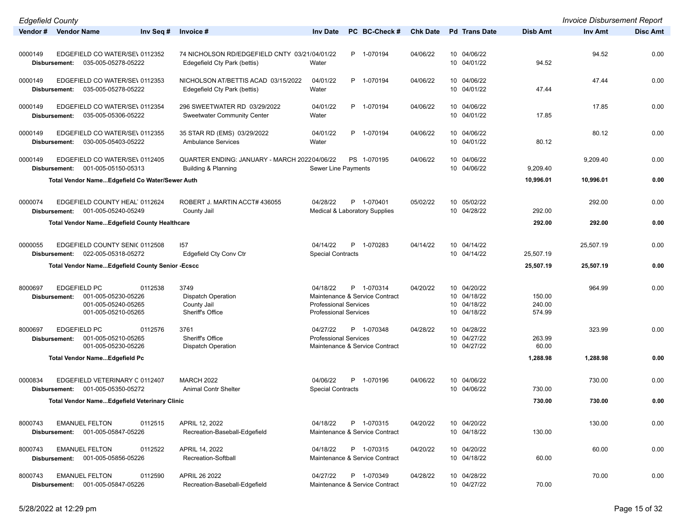| <b>Edgefield County</b>                                                           |                                                                                |                                                          |                 |                            |                 | <b>Invoice Disbursement Report</b> |                 |
|-----------------------------------------------------------------------------------|--------------------------------------------------------------------------------|----------------------------------------------------------|-----------------|----------------------------|-----------------|------------------------------------|-----------------|
| Vendor # Vendor Name<br>Inv Sea #                                                 | Invoice #                                                                      | PC BC-Check #<br><b>Inv Date</b>                         | <b>Chk Date</b> | <b>Pd</b> Trans Date       | <b>Disb Amt</b> | Inv Amt                            | <b>Disc Amt</b> |
|                                                                                   |                                                                                |                                                          |                 |                            |                 |                                    |                 |
| 0000149<br>EDGEFIELD CO WATER/SE\ 0112352                                         | 74 NICHOLSON RD/EDGEFIELD CNTY 03/21/04/01/22                                  | P 1-070194                                               | 04/06/22        | 10 04/06/22                |                 | 94.52                              | 0.00            |
| 035-005-05278-05222<br>Disbursement:                                              | Edegefield Cty Park (bettis)                                                   | Water                                                    |                 | 10 04/01/22                | 94.52           |                                    |                 |
|                                                                                   |                                                                                |                                                          |                 |                            |                 |                                    |                 |
| EDGEFIELD CO WATER/SE\ 0112353<br>0000149                                         | NICHOLSON AT/BETTIS ACAD 03/15/2022                                            | 04/01/22<br>P 1-070194                                   | 04/06/22        | 10 04/06/22                |                 | 47.44                              | 0.00            |
| 035-005-05278-05222<br>Disbursement:                                              | Edegefield Cty Park (bettis)                                                   | Water                                                    |                 | 10 04/01/22                | 47.44           |                                    |                 |
|                                                                                   |                                                                                |                                                          |                 |                            |                 |                                    |                 |
| EDGEFIELD CO WATER/SE\ 0112354<br>0000149                                         | 296 SWEETWATER RD 03/29/2022                                                   | 04/01/22<br>P 1-070194                                   | 04/06/22        | 10 04/06/22                |                 | 17.85                              | 0.00            |
| 035-005-05306-05222<br>Disbursement:                                              | <b>Sweetwater Community Center</b>                                             | Water                                                    |                 | 10 04/01/22                | 17.85           |                                    |                 |
|                                                                                   |                                                                                |                                                          |                 |                            |                 |                                    |                 |
| 0000149<br>EDGEFIELD CO WATER/SE\ 0112355                                         | 35 STAR RD (EMS) 03/29/2022                                                    | 04/01/22<br>P 1-070194                                   | 04/06/22        | 10 04/06/22                |                 | 80.12                              | 0.00            |
| 030-005-05403-05222<br>Disbursement:                                              | <b>Ambulance Services</b>                                                      | Water                                                    |                 | 10 04/01/22                | 80.12           |                                    |                 |
|                                                                                   |                                                                                |                                                          |                 |                            |                 |                                    |                 |
| EDGEFIELD CO WATER/SE\ 0112405<br>0000149<br>001-005-05150-05313<br>Disbursement: | QUARTER ENDING: JANUARY - MARCH 202204/06/22<br><b>Building &amp; Planning</b> | PS 1-070195<br>Sewer Line Payments                       | 04/06/22        | 10 04/06/22<br>10 04/06/22 | 9,209.40        | 9,209.40                           | 0.00            |
|                                                                                   |                                                                                |                                                          |                 |                            |                 |                                    |                 |
| Total Vendor NameEdgefield Co Water/Sewer Auth                                    |                                                                                |                                                          |                 |                            | 10,996.01       | 10,996.01                          | 0.00            |
|                                                                                   |                                                                                |                                                          |                 |                            |                 |                                    |                 |
| EDGEFIELD COUNTY HEAL 0112624<br>0000074                                          | ROBERT J. MARTIN ACCT# 436055                                                  | P 1-070401<br>04/28/22                                   | 05/02/22        | 10 05/02/22                |                 | 292.00                             | 0.00            |
| 001-005-05240-05249<br>Disbursement:                                              | County Jail                                                                    | <b>Medical &amp; Laboratory Supplies</b>                 |                 | 10 04/28/22                | 292.00          |                                    |                 |
| <b>Total Vendor NameEdgefield County Healthcare</b>                               |                                                                                |                                                          |                 |                            | 292.00          | 292.00                             | 0.00            |
|                                                                                   |                                                                                |                                                          |                 |                            |                 |                                    |                 |
|                                                                                   |                                                                                |                                                          |                 |                            |                 |                                    |                 |
| EDGEFIELD COUNTY SENI( 0112508<br>0000055                                         | 157                                                                            | 04/14/22<br>P 1-070283                                   | 04/14/22        | 10 04/14/22                |                 | 25,507.19                          | 0.00            |
| 022-005-05318-05272<br>Disbursement:                                              | Edgefield Cty Conv Ctr                                                         | <b>Special Contracts</b>                                 |                 | 10 04/14/22                | 25,507.19       |                                    |                 |
| <b>Total Vendor NameEdgefield County Senior -Ecscc</b>                            |                                                                                |                                                          |                 |                            | 25,507.19       | 25,507.19                          | 0.00            |
|                                                                                   |                                                                                |                                                          |                 |                            |                 |                                    |                 |
| 8000697<br><b>EDGEFIELD PC</b><br>0112538                                         | 3749                                                                           | P 1-070314<br>04/18/22                                   | 04/20/22        | 10 04/20/22                |                 | 964.99                             | 0.00            |
| 001-005-05230-05226<br>Disbursement:                                              | <b>Dispatch Operation</b>                                                      | Maintenance & Service Contract                           |                 | 10 04/18/22                | 150.00          |                                    |                 |
| 001-005-05240-05265                                                               | County Jail                                                                    | <b>Professional Services</b>                             |                 | 10 04/18/22                | 240.00          |                                    |                 |
| 001-005-05210-05265                                                               | Sheriff's Office                                                               | <b>Professional Services</b>                             |                 | 10 04/18/22                | 574.99          |                                    |                 |
| 8000697<br><b>EDGEFIELD PC</b><br>0112576                                         | 3761                                                                           | 04/27/22<br>P 1-070348                                   | 04/28/22        | 10 04/28/22                |                 | 323.99                             | 0.00            |
| 001-005-05210-05265<br>Disbursement:                                              | Sheriff's Office                                                               | <b>Professional Services</b>                             |                 | 10 04/27/22                | 263.99          |                                    |                 |
| 001-005-05230-05226                                                               | <b>Dispatch Operation</b>                                                      | Maintenance & Service Contract                           |                 | 10 04/27/22                | 60.00           |                                    |                 |
| <b>Total Vendor NameEdgefield Pc</b>                                              |                                                                                |                                                          |                 |                            | 1,288.98        | 1,288.98                           | 0.00            |
|                                                                                   |                                                                                |                                                          |                 |                            |                 |                                    |                 |
|                                                                                   |                                                                                |                                                          |                 |                            |                 |                                    |                 |
| 0000834<br>EDGEFIELD VETERINARY C 0112407                                         | <b>MARCH 2022</b>                                                              | 04/06/22<br>P 1-070196                                   | 04/06/22        | 10 04/06/22                |                 | 730.00                             | 0.00            |
| 001-005-05350-05272<br>Disbursement:                                              | Animal Contr Shelter                                                           | <b>Special Contracts</b>                                 |                 | 10 04/06/22                | 730.00          |                                    |                 |
| Total Vendor NameEdgefield Veterinary Clinic                                      |                                                                                |                                                          |                 |                            | 730.00          | 730.00                             | 0.00            |
|                                                                                   |                                                                                |                                                          |                 |                            |                 |                                    |                 |
| 8000743<br><b>EMANUEL FELTON</b><br>0112515                                       | APRIL 12, 2022                                                                 | P 1-070315<br>04/18/22                                   | 04/20/22        | 10 04/20/22                |                 | 130.00                             | 0.00            |
| Disbursement: 001-005-05847-05226                                                 | Recreation-Baseball-Edgefield                                                  | Maintenance & Service Contract                           |                 | 10 04/18/22                | 130.00          |                                    |                 |
|                                                                                   |                                                                                |                                                          |                 |                            |                 |                                    |                 |
| 8000743<br><b>EMANUEL FELTON</b><br>0112522                                       | APRIL 14, 2022                                                                 | 04/18/22<br>P 1-070315                                   | 04/20/22        | 10 04/20/22                |                 | 60.00                              | 0.00            |
| 001-005-05856-05226<br>Disbursement:                                              | Recreation-Softball                                                            | Maintenance & Service Contract                           |                 | 10 04/18/22                | 60.00           |                                    |                 |
|                                                                                   |                                                                                |                                                          |                 |                            |                 |                                    |                 |
| 8000743<br><b>EMANUEL FELTON</b><br>0112590                                       | APRIL 26 2022<br>Recreation-Baseball-Edgefield                                 | 04/27/22<br>P 1-070349<br>Maintenance & Service Contract | 04/28/22        | 10 04/28/22<br>10 04/27/22 | 70.00           | 70.00                              | 0.00            |
| 001-005-05847-05226<br>Disbursement:                                              |                                                                                |                                                          |                 |                            |                 |                                    |                 |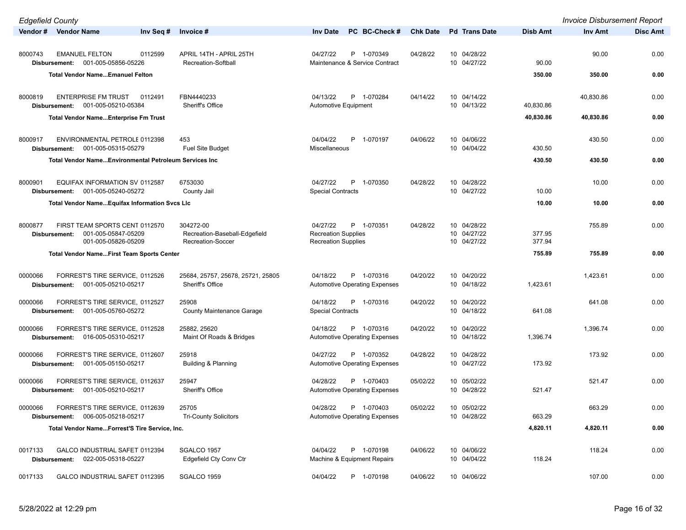| <b>Edgefield County</b>  |                                                                              |                                                                 |                                                                                    |                 |                                           |                  | <b>Invoice Disbursement Report</b> |                 |
|--------------------------|------------------------------------------------------------------------------|-----------------------------------------------------------------|------------------------------------------------------------------------------------|-----------------|-------------------------------------------|------------------|------------------------------------|-----------------|
| Vendor # Vendor Name     | Inv Seg #                                                                    | Invoice #                                                       | PC BC-Check #<br><b>Inv Date</b>                                                   | <b>Chk Date</b> | <b>Pd</b> Trans Date                      | <b>Disb Amt</b>  | <b>Inv Amt</b>                     | <b>Disc Amt</b> |
| 8000743<br>Disbursement: | <b>EMANUEL FELTON</b><br>0112599<br>001-005-05856-05226                      | APRIL 14TH - APRIL 25TH<br>Recreation-Softball                  | 04/27/22<br>P 1-070349<br>Maintenance & Service Contract                           | 04/28/22        | 10 04/28/22<br>10 04/27/22                | 90.00            | 90.00                              | 0.00            |
|                          | <b>Total Vendor NameEmanuel Felton</b>                                       |                                                                 |                                                                                    |                 |                                           | 350.00           | 350.00                             | 0.00            |
| 8000819<br>Disbursement: | <b>ENTERPRISE FM TRUST</b><br>0112491<br>001-005-05210-05384                 | FBN4440233<br>Sheriff's Office                                  | 04/13/22<br>P 1-070284<br>Automotive Equipment                                     | 04/14/22        | 10 04/14/22<br>10 04/13/22                | 40,830.86        | 40,830.86                          | 0.00            |
|                          | <b>Total Vendor NameEnterprise Fm Trust</b>                                  |                                                                 |                                                                                    |                 |                                           | 40,830.86        | 40,830.86                          | 0.00            |
|                          |                                                                              |                                                                 |                                                                                    |                 |                                           |                  |                                    |                 |
| 8000917<br>Disbursement: | ENVIRONMENTAL PETROLE 0112398<br>001-005-05315-05279                         | 453<br><b>Fuel Site Budget</b>                                  | 04/04/22<br>P<br>1-070197<br>Miscellaneous                                         | 04/06/22        | 10 04/06/22<br>10 04/04/22                | 430.50           | 430.50                             | 0.00            |
|                          | Total Vendor NameEnvironmental Petroleum Services Inc                        |                                                                 |                                                                                    |                 |                                           | 430.50           | 430.50                             | 0.00            |
| 8000901<br>Disbursement: | EQUIFAX INFORMATION SV 0112587<br>001-005-05240-05272                        | 6753030<br>County Jail                                          | 04/27/22<br>P<br>1-070350<br><b>Special Contracts</b>                              | 04/28/22        | 10 04/28/22<br>10 04/27/22                | 10.00            | 10.00                              | 0.00            |
|                          | Total Vendor NameEquifax Information Svcs LIc                                |                                                                 |                                                                                    |                 |                                           | 10.00            | 10.00                              | 0.00            |
|                          |                                                                              |                                                                 |                                                                                    |                 |                                           |                  |                                    |                 |
| 8000877<br>Disbursement: | FIRST TEAM SPORTS CENT 0112570<br>001-005-05847-05209<br>001-005-05826-05209 | 304272-00<br>Recreation-Baseball-Edgefield<br>Recreation-Soccer | 04/27/22<br>P 1-070351<br><b>Recreation Supplies</b><br><b>Recreation Supplies</b> | 04/28/22        | 10 04/28/22<br>10 04/27/22<br>10 04/27/22 | 377.95<br>377.94 | 755.89                             | 0.00            |
|                          | <b>Total Vendor NameFirst Team Sports Center</b>                             |                                                                 |                                                                                    |                 |                                           | 755.89           | 755.89                             | 0.00            |
|                          |                                                                              |                                                                 |                                                                                    |                 |                                           |                  |                                    |                 |
| 0000066<br>Disbursement: | FORREST'S TIRE SERVICE, 0112526<br>001-005-05210-05217                       | 25684, 25757, 25678, 25721, 25805<br>Sheriff's Office           | 04/18/22<br>P 1-070316<br><b>Automotive Operating Expenses</b>                     | 04/20/22        | 10 04/20/22<br>10 04/18/22                | 1,423.61         | 1,423.61                           | 0.00            |
| 0000066                  | FORREST'S TIRE SERVICE, 0112527                                              | 25908                                                           | 04/18/22<br>P 1-070316                                                             | 04/20/22        | 10 04/20/22                               |                  | 641.08                             | 0.00            |
|                          | Disbursement: 001-005-05760-05272                                            | <b>County Maintenance Garage</b>                                | <b>Special Contracts</b>                                                           |                 | 10 04/18/22                               | 641.08           |                                    |                 |
| 0000066                  | FORREST'S TIRE SERVICE, 0112528<br>Disbursement: 016-005-05310-05217         | 25882, 25620<br>Maint Of Roads & Bridges                        | 04/18/22<br>P 1-070316<br><b>Automotive Operating Expenses</b>                     | 04/20/22        | 10 04/20/22<br>10 04/18/22                | 1,396.74         | 1,396.74                           | 0.00            |
| 0000066                  | FORREST'S TIRE SERVICE, 0112607<br>Disbursement: 001-005-05150-05217         | 25918<br>Building & Planning                                    | 04/27/22<br>P 1-070352<br><b>Automotive Operating Expenses</b>                     | 04/28/22        | 10 04/28/22<br>10 04/27/22                | 173.92           | 173.92                             | 0.00            |
| 0000066<br>Disbursement: | FORREST'S TIRE SERVICE, 0112637<br>001-005-05210-05217                       | 25947<br>Sheriff's Office                                       | 04/28/22<br>P 1-070403<br><b>Automotive Operating Expenses</b>                     | 05/02/22        | 10 05/02/22<br>10 04/28/22                | 521.47           | 521.47                             | 0.00            |
| 0000066<br>Disbursement: | FORREST'S TIRE SERVICE, 0112639<br>006-005-05218-05217                       | 25705<br><b>Tri-County Solicitors</b>                           | P 1-070403<br>04/28/22<br><b>Automotive Operating Expenses</b>                     | 05/02/22        | 10 05/02/22<br>10 04/28/22                | 663.29           | 663.29                             | 0.00            |
|                          | Total Vendor NameForrest'S Tire Service, Inc.                                |                                                                 |                                                                                    |                 |                                           | 4,820.11         | 4,820.11                           | 0.00            |
|                          |                                                                              |                                                                 |                                                                                    |                 |                                           |                  |                                    |                 |
| 0017133                  | GALCO INDUSTRIAL SAFET 0112394<br>Disbursement: 022-005-05318-05227          | SGALCO 1957<br>Edgefield Cty Conv Ctr                           | 04/04/22<br>P 1-070198<br>Machine & Equipment Repairs                              | 04/06/22        | 10 04/06/22<br>10 04/04/22                | 118.24           | 118.24                             | 0.00            |
| 0017133                  | GALCO INDUSTRIAL SAFET 0112395                                               | SGALCO 1959                                                     | P 1-070198<br>04/04/22                                                             | 04/06/22        | 10 04/06/22                               |                  | 107.00                             | 0.00            |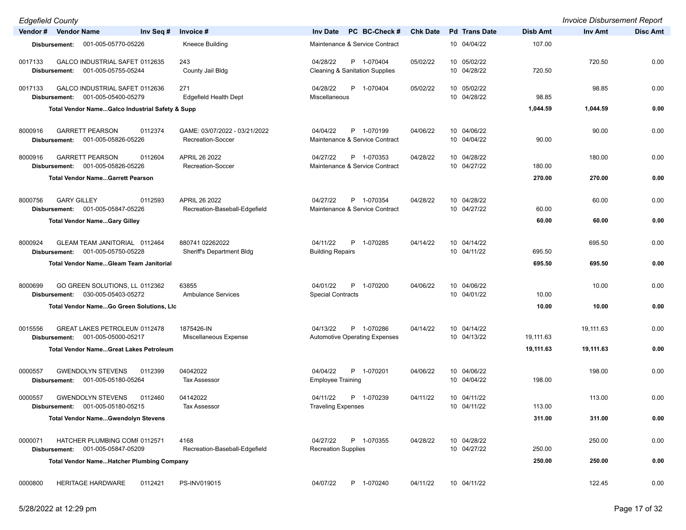| <b>Edgefield County</b> |                                     |                                                       |           |                                                    |                                                                     |                 |                            |                 | <b>Invoice Disbursement Report</b> |                 |
|-------------------------|-------------------------------------|-------------------------------------------------------|-----------|----------------------------------------------------|---------------------------------------------------------------------|-----------------|----------------------------|-----------------|------------------------------------|-----------------|
| Vendor # Vendor Name    |                                     |                                                       | Inv Seq # | Invoice #                                          | PC BC-Check #<br><b>Inv Date</b>                                    | <b>Chk Date</b> | <b>Pd Trans Date</b>       | <b>Disb Amt</b> | <b>Inv Amt</b>                     | <b>Disc Amt</b> |
|                         | Disbursement:                       | 001-005-05770-05226                                   |           | Kneece Building                                    | Maintenance & Service Contract                                      |                 | 10 04/04/22                | 107.00          |                                    |                 |
| 0017133                 | Disbursement:                       | GALCO INDUSTRIAL SAFET 0112635<br>001-005-05755-05244 |           | 243<br>County Jail Bldg                            | 04/28/22<br>P 1-070404<br><b>Cleaning &amp; Sanitation Supplies</b> | 05/02/22        | 10 05/02/22<br>10 04/28/22 | 720.50          | 720.50                             | 0.00            |
| 0017133                 | Disbursement:                       | GALCO INDUSTRIAL SAFET 0112636<br>001-005-05400-05279 |           | 271<br><b>Edgefield Health Dept</b>                | P 1-070404<br>04/28/22<br>Miscellaneous                             | 05/02/22        | 10 05/02/22<br>10 04/28/22 | 98.85           | 98.85                              | 0.00            |
|                         |                                     | Total Vendor NameGalco Industrial Safety & Supp       |           |                                                    |                                                                     |                 |                            | 1,044.59        | 1,044.59                           | 0.00            |
| 8000916                 | Disbursement:                       | <b>GARRETT PEARSON</b><br>001-005-05826-05226         | 0112374   | GAME: 03/07/2022 - 03/21/2022<br>Recreation-Soccer | P 1-070199<br>04/04/22<br>Maintenance & Service Contract            | 04/06/22        | 10 04/06/22<br>10 04/04/22 | 90.00           | 90.00                              | 0.00            |
| 8000916                 | Disbursement:                       | <b>GARRETT PEARSON</b><br>001-005-05826-05226         | 0112604   | APRIL 26 2022<br>Recreation-Soccer                 | 04/27/22<br>P 1-070353<br>Maintenance & Service Contract            | 04/28/22        | 10 04/28/22<br>10 04/27/22 | 180.00          | 180.00                             | 0.00            |
|                         |                                     | <b>Total Vendor NameGarrett Pearson</b>               |           |                                                    |                                                                     |                 |                            | 270.00          | 270.00                             | 0.00            |
| 8000756                 | <b>GARY GILLEY</b><br>Disbursement: | 001-005-05847-05226                                   | 0112593   | APRIL 26 2022<br>Recreation-Baseball-Edgefield     | P 1-070354<br>04/27/22<br>Maintenance & Service Contract            | 04/28/22        | 10 04/28/22<br>10 04/27/22 | 60.00           | 60.00                              | 0.00            |
|                         |                                     | <b>Total Vendor NameGary Gilley</b>                   |           |                                                    |                                                                     |                 |                            | 60.00           | 60.00                              | 0.00            |
| 8000924                 | Disbursement:                       | GLEAM TEAM JANITORIAL 0112464<br>001-005-05750-05228  |           | 880741 02262022<br>Sheriff's Department Bldg       | 04/11/22<br>P<br>1-070285<br><b>Building Repairs</b>                | 04/14/22        | 10 04/14/22<br>10 04/11/22 | 695.50          | 695.50                             | 0.00            |
|                         |                                     | <b>Total Vendor NameGleam Team Janitorial</b>         |           |                                                    |                                                                     |                 |                            | 695.50          | 695.50                             | 0.00            |
| 8000699                 | Disbursement:                       | GO GREEN SOLUTIONS, LL 0112362<br>030-005-05403-05272 |           | 63855<br><b>Ambulance Services</b>                 | 04/01/22<br>P 1-070200<br><b>Special Contracts</b>                  | 04/06/22        | 10 04/06/22<br>10 04/01/22 | 10.00           | 10.00                              | 0.00            |
|                         |                                     | Total Vendor NameGo Green Solutions, LIc              |           |                                                    |                                                                     |                 |                            | 10.00           | 10.00                              | 0.00            |
| 0015556                 | Disbursement:                       | GREAT LAKES PETROLEUN 0112478<br>001-005-05000-05217  |           | 1875426-IN<br>Miscellaneous Expense                | P 1-070286<br>04/13/22<br><b>Automotive Operating Expenses</b>      | 04/14/22        | 10 04/14/22<br>10 04/13/22 | 19,111.63       | 19,111.63                          | 0.00            |
|                         |                                     | <b>Total Vendor NameGreat Lakes Petroleum</b>         |           |                                                    |                                                                     |                 |                            | 19,111.63       | 19,111.63                          | 0.00            |
| 0000557                 | Disbursement:                       | <b>GWENDOLYN STEVENS</b><br>001-005-05180-05264       | 0112399   | 04042022<br><b>Tax Assessor</b>                    | 04/04/22<br>P 1-070201<br><b>Employee Training</b>                  | 04/06/22        | 10 04/06/22<br>10 04/04/22 | 198.00          | 198.00                             | 0.00            |
| 0000557                 | Disbursement:                       | <b>GWENDOLYN STEVENS</b><br>001-005-05180-05215       | 0112460   | 04142022<br>Tax Assessor                           | P 1-070239<br>04/11/22<br>Traveling Expenses                        | 04/11/22        | 10 04/11/22<br>10 04/11/22 | 113.00          | 113.00                             | 0.00            |
|                         |                                     | <b>Total Vendor NameGwendolyn Stevens</b>             |           |                                                    |                                                                     |                 |                            | 311.00          | 311.00                             | 0.00            |
| 0000071                 | Disbursement:                       | HATCHER PLUMBING COMI 0112571<br>001-005-05847-05209  |           | 4168<br>Recreation-Baseball-Edgefield              | P 1-070355<br>04/27/22<br><b>Recreation Supplies</b>                | 04/28/22        | 10 04/28/22<br>10 04/27/22 | 250.00          | 250.00                             | 0.00            |
|                         |                                     | <b>Total Vendor NameHatcher Plumbing Company</b>      |           |                                                    |                                                                     |                 |                            | 250.00          | 250.00                             | 0.00            |
| 0000800                 |                                     | HERITAGE HARDWARE                                     | 0112421   | PS-INV019015                                       | 04/07/22<br>P 1-070240                                              | 04/11/22        | 10 04/11/22                |                 | 122.45                             | 0.00            |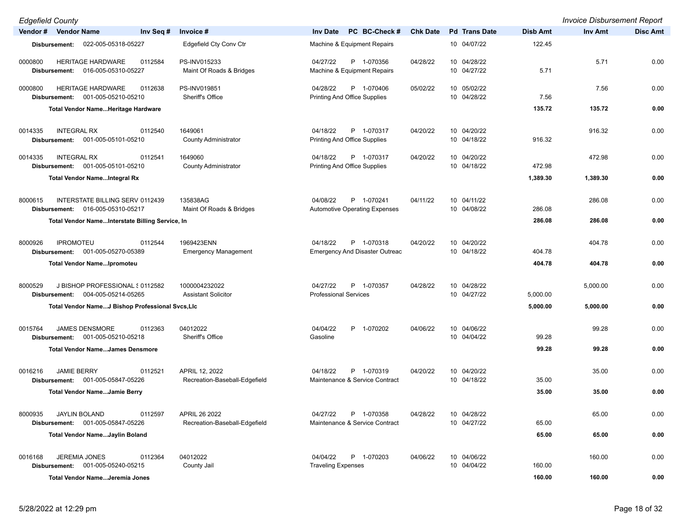| <b>Edgefield County</b>                                                            |                                                   |                                           |                                                     |                 |                            |                 | <b>Invoice Disbursement Report</b> |                 |
|------------------------------------------------------------------------------------|---------------------------------------------------|-------------------------------------------|-----------------------------------------------------|-----------------|----------------------------|-----------------|------------------------------------|-----------------|
| Vendor # Vendor Name                                                               | Inv Seq #<br>Invoice #                            | <b>Inv Date</b>                           | PC BC-Check #                                       | <b>Chk Date</b> | <b>Pd</b> Trans Date       | <b>Disb Amt</b> | Inv Amt                            | <b>Disc Amt</b> |
| 022-005-05318-05227<br>Disbursement:                                               | Edgefield Cty Conv Ctr                            |                                           | Machine & Equipment Repairs                         |                 | 10 04/07/22                | 122.45          |                                    |                 |
| <b>HERITAGE HARDWARE</b><br>0000800<br>016-005-05310-05227<br>Disbursement:        | 0112584<br>PS-INV015233                           | 04/27/22<br>Maint Of Roads & Bridges      | P 1-070356<br>Machine & Equipment Repairs           | 04/28/22        | 10 04/28/22<br>10 04/27/22 | 5.71            | 5.71                               | 0.00            |
| <b>HERITAGE HARDWARE</b><br>0000800<br>Disbursement: 001-005-05210-05210           | 0112638<br>PS-INV019851<br>Sheriff's Office       | 04/28/22                                  | P 1-070406<br><b>Printing And Office Supplies</b>   | 05/02/22        | 10 05/02/22<br>10 04/28/22 | 7.56            | 7.56                               | 0.00            |
| Total Vendor NameHeritage Hardware                                                 |                                                   |                                           |                                                     |                 |                            | 135.72          | 135.72                             | 0.00            |
| 0014335<br><b>INTEGRAL RX</b><br>001-005-05101-05210<br>Disbursement:              | 0112540<br>1649061<br><b>County Administrator</b> | 04/18/22                                  | P 1-070317<br><b>Printing And Office Supplies</b>   | 04/20/22        | 10 04/20/22<br>10 04/18/22 | 916.32          | 916.32                             | 0.00            |
| <b>INTEGRAL RX</b><br>0014335<br>001-005-05101-05210<br>Disbursement:              | 1649060<br>0112541<br><b>County Administrator</b> | 04/18/22                                  | P 1-070317<br>Printing And Office Supplies          | 04/20/22        | 10 04/20/22<br>10 04/18/22 | 472.98          | 472.98                             | 0.00            |
| <b>Total Vendor NameIntegral Rx</b>                                                |                                                   |                                           |                                                     |                 |                            | 1,389.30        | 1,389.30                           | 0.00            |
| 8000615<br>INTERSTATE BILLING SERV 0112439<br>016-005-05310-05217<br>Disbursement: | 135838AG                                          | 04/08/22<br>Maint Of Roads & Bridges      | P 1-070241<br><b>Automotive Operating Expenses</b>  | 04/11/22        | 10 04/11/22<br>10 04/08/22 | 286.08          | 286.08                             | 0.00            |
| Total Vendor NameInterstate Billing Service, In                                    |                                                   |                                           |                                                     |                 |                            | 286.08          | 286.08                             | 0.00            |
| <b>IPROMOTEU</b><br>8000926<br>001-005-05270-05389<br>Disbursement:                | 1969423ENN<br>0112544                             | 04/18/22<br><b>Emergency Management</b>   | P 1-070318<br><b>Emergency And Disaster Outreac</b> | 04/20/22        | 10 04/20/22<br>10 04/18/22 | 404.78          | 404.78                             | 0.00            |
| <b>Total Vendor NameIpromoteu</b>                                                  |                                                   |                                           |                                                     |                 |                            | 404.78          | 404.78                             | 0.00            |
| J BISHOP PROFESSIONAL § 0112582<br>8000529<br>Disbursement: 004-005-05214-05265    | 1000004232022<br><b>Assistant Solicitor</b>       | 04/27/22                                  | P 1-070357<br><b>Professional Services</b>          | 04/28/22        | 10 04/28/22<br>10 04/27/22 | 5,000.00        | 5,000.00                           | 0.00            |
| Total Vendor NameJ Bishop Professional Svcs,LIc                                    |                                                   |                                           |                                                     |                 |                            | 5,000.00        | 5,000.00                           | 0.00            |
| 0015764<br><b>JAMES DENSMORE</b><br>001-005-05210-05218<br>Disbursement:           | 04012022<br>0112363<br>Sheriff's Office           | 04/04/22<br>Gasoline                      | P 1-070202                                          | 04/06/22        | 10 04/06/22<br>10 04/04/22 | 99.28           | 99.28                              | 0.00            |
| <b>Total Vendor NameJames Densmore</b>                                             |                                                   |                                           |                                                     |                 |                            | 99.28           | 99.28                              | 0.00            |
| <b>JAMIE BERRY</b><br>0016216<br>Disbursement: 001-005-05847-05226                 | 0112521<br>APRIL 12, 2022                         | 04/18/22<br>Recreation-Baseball-Edgefield | P 1-070319<br>Maintenance & Service Contract        | 04/20/22        | 10 04/20/22<br>10 04/18/22 | 35.00           | 35.00                              | 0.00            |
| <b>Total Vendor NameJamie Berry</b>                                                |                                                   |                                           |                                                     |                 |                            | 35.00           | 35.00                              | 0.00            |
| 8000935<br><b>JAYLIN BOLAND</b><br>001-005-05847-05226<br>Disbursement:            | 0112597<br>APRIL 26 2022                          | 04/27/22<br>Recreation-Baseball-Edgefield | P 1-070358<br>Maintenance & Service Contract        | 04/28/22        | 10 04/28/22<br>10 04/27/22 | 65.00           | 65.00                              | 0.00            |
| Total Vendor NameJaylin Boland                                                     |                                                   |                                           |                                                     |                 |                            | 65.00           | 65.00                              | 0.00            |
| <b>JEREMIA JONES</b><br>0016168<br>Disbursement: 001-005-05240-05215               | 0112364<br>04012022<br>County Jail                | 04/04/22<br><b>Traveling Expenses</b>     | P 1-070203                                          | 04/06/22        | 10 04/06/22<br>10 04/04/22 | 160.00          | 160.00                             | 0.00            |
| Total Vendor NameJeremia Jones                                                     |                                                   |                                           |                                                     |                 |                            | 160.00          | 160.00                             | 0.00            |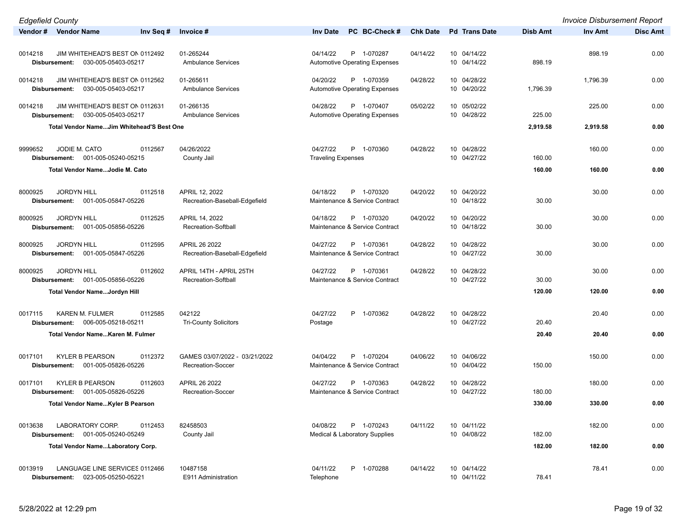| <b>Edgefield County</b>                                                                                           |                                                    |                                                                |                 |                            |                 | <b>Invoice Disbursement Report</b> |                 |
|-------------------------------------------------------------------------------------------------------------------|----------------------------------------------------|----------------------------------------------------------------|-----------------|----------------------------|-----------------|------------------------------------|-----------------|
| Vendor # Vendor Name<br>Inv Seq #                                                                                 | Invoice #                                          | PC BC-Check #<br><b>Inv Date</b>                               | <b>Chk Date</b> | <b>Pd</b> Trans Date       | <b>Disb Amt</b> | Inv Amt                            | <b>Disc Amt</b> |
| 0014218<br>JIM WHITEHEAD'S BEST ON 0112492<br>030-005-05403-05217<br>Disbursement:                                | 01-265244<br>Ambulance Services                    | 04/14/22<br>P 1-070287<br><b>Automotive Operating Expenses</b> | 04/14/22        | 10 04/14/22<br>10 04/14/22 | 898.19          | 898.19                             | 0.00            |
| JIM WHITEHEAD'S BEST ON 0112562<br>0014218<br>030-005-05403-05217<br>Disbursement:                                | 01-265611<br><b>Ambulance Services</b>             | P 1-070359<br>04/20/22<br><b>Automotive Operating Expenses</b> | 04/28/22        | 10 04/28/22<br>10 04/20/22 | 1,796.39        | 1,796.39                           | 0.00            |
| JIM WHITEHEAD'S BEST ON 0112631<br>0014218<br>030-005-05403-05217<br>Disbursement:                                | 01-266135<br><b>Ambulance Services</b>             | P 1-070407<br>04/28/22<br>Automotive Operating Expenses        | 05/02/22        | 10 05/02/22<br>10 04/28/22 | 225.00          | 225.00                             | 0.00            |
| Total Vendor NameJim Whitehead'S Best One                                                                         |                                                    |                                                                |                 |                            | 2,919.58        | 2,919.58                           | 0.00            |
| JODIE M. CATO<br>9999652<br>0112567<br>Disbursement: 001-005-05240-05215                                          | 04/26/2022<br>County Jail                          | 04/27/22<br>P 1-070360<br><b>Traveling Expenses</b>            | 04/28/22        | 10 04/28/22<br>10 04/27/22 | 160.00          | 160.00                             | 0.00            |
| Total Vendor NameJodie M. Cato                                                                                    |                                                    |                                                                |                 |                            | 160.00          | 160.00                             | 0.00            |
| <b>JORDYN HILL</b><br>8000925<br>0112518<br>001-005-05847-05226<br>Disbursement:                                  | APRIL 12, 2022<br>Recreation-Baseball-Edgefield    | P 1-070320<br>04/18/22<br>Maintenance & Service Contract       | 04/20/22        | 10 04/20/22<br>10 04/18/22 | 30.00           | 30.00                              | 0.00            |
| <b>JORDYN HILL</b><br>8000925<br>0112525<br>001-005-05856-05226<br>Disbursement:                                  | APRIL 14, 2022<br>Recreation-Softball              | 04/18/22<br>P 1-070320<br>Maintenance & Service Contract       | 04/20/22        | 10 04/20/22<br>10 04/18/22 | 30.00           | 30.00                              | 0.00            |
| <b>JORDYN HILL</b><br>0112595<br>8000925<br>001-005-05847-05226<br>Disbursement:                                  | APRIL 26 2022<br>Recreation-Baseball-Edgefield     | 04/27/22<br>P 1-070361<br>Maintenance & Service Contract       | 04/28/22        | 10 04/28/22<br>10 04/27/22 | 30.00           | 30.00                              | 0.00            |
| <b>JORDYN HILL</b><br>8000925<br>0112602<br>001-005-05856-05226<br>Disbursement:                                  | APRIL 14TH - APRIL 25TH<br>Recreation-Softball     | P 1-070361<br>04/27/22<br>Maintenance & Service Contract       | 04/28/22        | 10 04/28/22<br>10 04/27/22 | 30.00           | 30.00                              | 0.00            |
| Total Vendor NameJordyn Hill                                                                                      |                                                    |                                                                |                 |                            | 120.00          | 120.00                             | 0.00            |
| 0017115<br>KAREN M. FULMER<br>0112585<br>006-005-05218-05211<br>Disbursement:<br>Total Vendor NameKaren M. Fulmer | 042122<br><b>Tri-County Solicitors</b>             | 04/27/22<br>P 1-070362<br>Postage                              | 04/28/22        | 10 04/28/22<br>10 04/27/22 | 20.40<br>20.40  | 20.40<br>20.40                     | 0.00<br>0.00    |
| 0017101<br><b>KYLER B PEARSON</b><br>0112372<br>Disbursement: 001-005-05826-05226                                 | GAMES 03/07/2022 - 03/21/2022<br>Recreation-Soccer | 04/04/22<br>P 1-070204<br>Maintenance & Service Contract       | 04/06/22        | 10 04/06/22<br>10 04/04/22 | 150.00          | 150.00                             | 0.00            |
| 0017101<br><b>KYLER B PEARSON</b><br>0112603<br>Disbursement: 001-005-05826-05226                                 | APRIL 26 2022<br>Recreation-Soccer                 | 04/27/22<br>P 1-070363<br>Maintenance & Service Contract       | 04/28/22        | 10 04/28/22<br>10 04/27/22 | 180.00          | 180.00                             | 0.00            |
| Total Vendor NameKyler B Pearson                                                                                  |                                                    |                                                                |                 |                            | 330.00          | 330.00                             | 0.00            |
| LABORATORY CORP.<br>0013638<br>0112453<br>Disbursement: 001-005-05240-05249                                       | 82458503<br>County Jail                            | P 1-070243<br>04/08/22<br>Medical & Laboratory Supplies        | 04/11/22        | 10 04/11/22<br>10 04/08/22 | 182.00          | 182.00                             | 0.00            |
| Total Vendor NameLaboratory Corp.                                                                                 |                                                    |                                                                |                 |                            | 182.00          | 182.00                             | 0.00            |
| LANGUAGE LINE SERVICES 0112466<br>0013919<br>Disbursement: 023-005-05250-05221                                    | 10487158<br>E911 Administration                    | P 1-070288<br>04/11/22<br>Telephone                            | 04/14/22        | 10 04/14/22<br>10 04/11/22 | 78.41           | 78.41                              | 0.00            |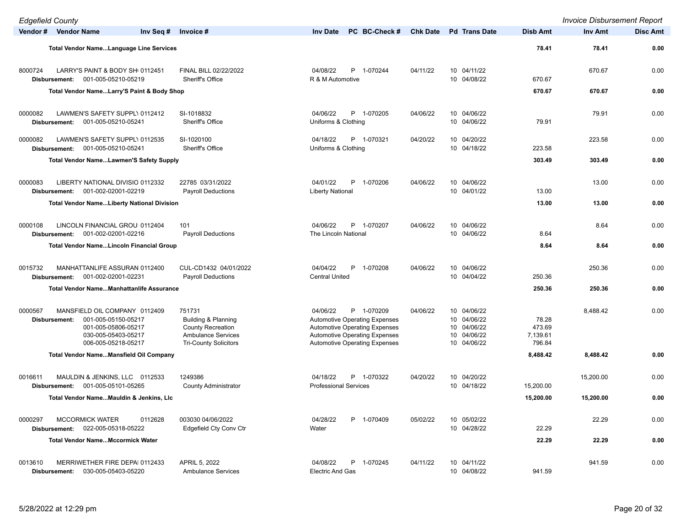| <b>Edgefield County</b>                                                                                                                               |                                                                                                                        |                                                                                                                                                                                        |                 |                                                                         |                                       | <b>Invoice Disbursement Report</b> |                 |
|-------------------------------------------------------------------------------------------------------------------------------------------------------|------------------------------------------------------------------------------------------------------------------------|----------------------------------------------------------------------------------------------------------------------------------------------------------------------------------------|-----------------|-------------------------------------------------------------------------|---------------------------------------|------------------------------------|-----------------|
| Vendor # Vendor Name<br>Inv Seq #                                                                                                                     | Invoice #                                                                                                              | PC BC-Check#<br><b>Inv Date</b>                                                                                                                                                        | <b>Chk Date</b> | <b>Pd</b> Trans Date                                                    | <b>Disb Amt</b>                       | <b>Inv Amt</b>                     | <b>Disc Amt</b> |
| <b>Total Vendor NameLanguage Line Services</b>                                                                                                        |                                                                                                                        |                                                                                                                                                                                        |                 |                                                                         | 78.41                                 | 78.41                              | 0.00            |
| 8000724<br>LARRY'S PAINT & BODY SH( 0112451<br>001-005-05210-05219<br>Disbursement:                                                                   | FINAL BILL 02/22/2022<br>Sheriff's Office                                                                              | 04/08/22<br>P 1-070244<br>R & M Automotive                                                                                                                                             | 04/11/22        | 10 04/11/22<br>10 04/08/22                                              | 670.67                                | 670.67                             | 0.00            |
| Total Vendor NameLarry'S Paint & Body Shop                                                                                                            |                                                                                                                        |                                                                                                                                                                                        |                 |                                                                         | 670.67                                | 670.67                             | 0.00            |
| 0000082<br>LAWMEN'S SAFETY SUPPLY 0112412<br>001-005-05210-05241<br>Disbursement:                                                                     | SI-1018832<br>Sheriff's Office                                                                                         | 04/06/22<br>P 1-070205<br>Uniforms & Clothing                                                                                                                                          | 04/06/22        | 10 04/06/22<br>10 04/06/22                                              | 79.91                                 | 79.91                              | 0.00            |
| LAWMEN'S SAFETY SUPPL\ 0112535<br>0000082<br>001-005-05210-05241<br>Disbursement:                                                                     | SI-1020100<br>Sheriff's Office                                                                                         | 04/18/22<br>P 1-070321<br>Uniforms & Clothing                                                                                                                                          | 04/20/22        | 10 04/20/22<br>10 04/18/22                                              | 223.58                                | 223.58                             | 0.00            |
| <b>Total Vendor NameLawmen'S Safety Supply</b>                                                                                                        |                                                                                                                        |                                                                                                                                                                                        |                 |                                                                         | 303.49                                | 303.49                             | 0.00            |
| 0000083<br>LIBERTY NATIONAL DIVISIO 0112332<br>001-002-02001-02219<br>Disbursement:                                                                   | 22785 03/31/2022<br><b>Payroll Deductions</b>                                                                          | 04/01/22<br>P 1-070206<br><b>Liberty National</b>                                                                                                                                      | 04/06/22        | 10 04/06/22<br>10 04/01/22                                              | 13.00                                 | 13.00                              | 0.00            |
| <b>Total Vendor NameLiberty National Division</b>                                                                                                     |                                                                                                                        |                                                                                                                                                                                        |                 |                                                                         | 13.00                                 | 13.00                              | 0.00            |
| LINCOLN FINANCIAL GROU 0112404<br>0000108<br>001-002-02001-02216<br>Disbursement:                                                                     | 101<br><b>Pavroll Deductions</b>                                                                                       | 04/06/22<br>P 1-070207<br>The Lincoln National                                                                                                                                         | 04/06/22        | 10 04/06/22<br>10 04/06/22                                              | 8.64                                  | 8.64                               | 0.00            |
| <b>Total Vendor NameLincoln Financial Group</b>                                                                                                       |                                                                                                                        |                                                                                                                                                                                        |                 |                                                                         | 8.64                                  | 8.64                               | 0.00            |
| 0015732<br>MANHATTANLIFE ASSURAN 0112400<br>001-002-02001-02231<br>Disbursement:                                                                      | CUL-CD1432 04/01/2022<br><b>Payroll Deductions</b>                                                                     | 04/04/22<br>P 1-070208<br><b>Central United</b>                                                                                                                                        | 04/06/22        | 10 04/06/22<br>10 04/04/22                                              | 250.36                                | 250.36                             | 0.00            |
| <b>Total Vendor NameManhattanlife Assurance</b>                                                                                                       |                                                                                                                        |                                                                                                                                                                                        |                 |                                                                         | 250.36                                | 250.36                             | 0.00            |
| 0000567<br>MANSFIELD OIL COMPANY 0112409<br>001-005-05150-05217<br>Disbursement:<br>001-005-05806-05217<br>030-005-05403-05217<br>006-005-05218-05217 | 751731<br>Building & Planning<br><b>County Recreation</b><br><b>Ambulance Services</b><br><b>Tri-County Solicitors</b> | 04/06/22<br>P 1-070209<br><b>Automotive Operating Expenses</b><br><b>Automotive Operating Expenses</b><br><b>Automotive Operating Expenses</b><br><b>Automotive Operating Expenses</b> | 04/06/22        | 10 04/06/22<br>10 04/06/22<br>10 04/06/22<br>10 04/06/22<br>10 04/06/22 | 78.28<br>473.69<br>7,139.61<br>796.84 | 8,488.42                           | 0.00            |
| Total Vendor Name Mansfield Oil Company                                                                                                               |                                                                                                                        |                                                                                                                                                                                        |                 |                                                                         | 8,488.42                              | 8,488.42                           | 0.00            |
| 0016611<br>MAULDIN & JENKINS, LLC 0112533<br>001-005-05101-05265<br>Disbursement:                                                                     | 1249386<br><b>County Administrator</b>                                                                                 | 04/18/22<br>P 1-070322<br><b>Professional Services</b>                                                                                                                                 | 04/20/22        | 10 04/20/22<br>10 04/18/22                                              | 15,200.00                             | 15,200.00                          | 0.00            |
| Total Vendor NameMauldin & Jenkins, LIc                                                                                                               |                                                                                                                        |                                                                                                                                                                                        |                 |                                                                         | 15,200.00                             | 15,200.00                          | 0.00            |
| 0000297<br><b>MCCORMICK WATER</b><br>0112628<br>022-005-05318-05222<br>Disbursement:                                                                  | 003030 04/06/2022<br>Edgefield Cty Conv Ctr                                                                            | 04/28/22<br>P 1-070409<br>Water                                                                                                                                                        | 05/02/22        | 10 05/02/22<br>10 04/28/22                                              | 22.29                                 | 22.29                              | 0.00            |
| <b>Total Vendor NameMccormick Water</b>                                                                                                               |                                                                                                                        |                                                                                                                                                                                        |                 |                                                                         | 22.29                                 | 22.29                              | 0.00            |
| 0013610<br>MERRIWETHER FIRE DEPAI 0112433<br>030-005-05403-05220<br>Disbursement:                                                                     | APRIL 5, 2022<br><b>Ambulance Services</b>                                                                             | P 1-070245<br>04/08/22<br><b>Electric And Gas</b>                                                                                                                                      | 04/11/22        | 10 04/11/22<br>10 04/08/22                                              | 941.59                                | 941.59                             | 0.00            |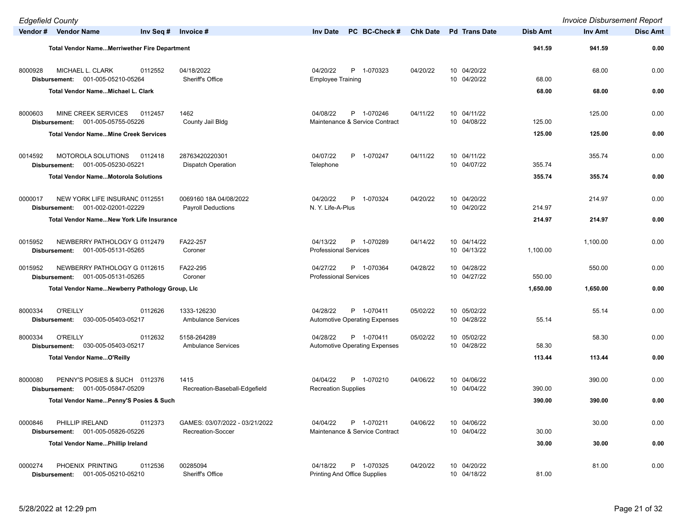| <b>Edgefield County</b> |                                                                        |           |                                                     |                                                                |                 |                            |                 | <b>Invoice Disbursement Report</b> |                 |
|-------------------------|------------------------------------------------------------------------|-----------|-----------------------------------------------------|----------------------------------------------------------------|-----------------|----------------------------|-----------------|------------------------------------|-----------------|
|                         | Vendor # Vendor Name                                                   | Inv Seq # | Invoice #                                           | PC BC-Check#<br><b>Inv Date</b>                                | <b>Chk Date</b> | <b>Pd</b> Trans Date       | <b>Disb Amt</b> | Inv Amt                            | <b>Disc Amt</b> |
|                         | <b>Total Vendor NameMerriwether Fire Department</b>                    |           |                                                     |                                                                |                 |                            | 941.59          | 941.59                             | 0.00            |
| 8000928                 | MICHAEL L. CLARK<br>001-005-05210-05264<br>Disbursement:               | 0112552   | 04/18/2022<br>Sheriff's Office                      | 04/20/22<br>P 1-070323<br><b>Employee Training</b>             | 04/20/22        | 10 04/20/22<br>10 04/20/22 | 68.00           | 68.00                              | 0.00            |
|                         | Total Vendor NameMichael L. Clark                                      |           |                                                     |                                                                |                 |                            | 68.00           | 68.00                              | 0.00            |
| 8000603                 | MINE CREEK SERVICES<br>001-005-05755-05226<br>Disbursement:            | 0112457   | 1462<br>County Jail Bldg                            | P 1-070246<br>04/08/22<br>Maintenance & Service Contract       | 04/11/22        | 10 04/11/22<br>10 04/08/22 | 125.00          | 125.00                             | 0.00            |
|                         | <b>Total Vendor NameMine Creek Services</b>                            |           |                                                     |                                                                |                 |                            | 125.00          | 125.00                             | 0.00            |
| 0014592                 | MOTOROLA SOLUTIONS<br>001-005-05230-05221<br>Disbursement:             | 0112418   | 28763420220301<br><b>Dispatch Operation</b>         | 04/07/22<br>P 1-070247<br>Telephone                            | 04/11/22        | 10 04/11/22<br>10 04/07/22 | 355.74          | 355.74                             | 0.00            |
|                         | <b>Total Vendor Name Motorola Solutions</b>                            |           |                                                     |                                                                |                 |                            | 355.74          | 355.74                             | 0.00            |
| 0000017                 | NEW YORK LIFE INSURANC 0112551<br>001-002-02001-02229<br>Disbursement: |           | 0069160 18A 04/08/2022<br><b>Payroll Deductions</b> | P<br>04/20/22<br>1-070324<br>N. Y. Life-A-Plus                 | 04/20/22        | 10 04/20/22<br>10 04/20/22 | 214.97          | 214.97                             | 0.00            |
|                         | <b>Total Vendor NameNew York Life Insurance</b>                        |           |                                                     |                                                                |                 |                            | 214.97          | 214.97                             | 0.00            |
| 0015952                 | NEWBERRY PATHOLOGY G 0112479<br>001-005-05131-05265<br>Disbursement:   |           | FA22-257<br>Coroner                                 | P 1-070289<br>04/13/22<br><b>Professional Services</b>         | 04/14/22        | 10 04/14/22<br>10 04/13/22 | 1,100.00        | 1,100.00                           | 0.00            |
| 0015952                 | NEWBERRY PATHOLOGY G 0112615<br>001-005-05131-05265<br>Disbursement:   |           | FA22-295<br>Coroner                                 | P 1-070364<br>04/27/22<br><b>Professional Services</b>         | 04/28/22        | 10 04/28/22<br>10 04/27/22 | 550.00          | 550.00                             | 0.00            |
|                         | Total Vendor NameNewberry Pathology Group, Lic                         |           |                                                     |                                                                |                 |                            | 1,650.00        | 1,650.00                           | 0.00            |
| 8000334                 | <b>O'REILLY</b><br>030-005-05403-05217<br>Disbursement:                | 0112626   | 1333-126230<br><b>Ambulance Services</b>            | 04/28/22<br>P 1-070411<br><b>Automotive Operating Expenses</b> | 05/02/22        | 10 05/02/22<br>10 04/28/22 | 55.14           | 55.14                              | 0.00            |
| 8000334                 | <b>O'REILLY</b><br>030-005-05403-05217<br>Disbursement:                | 0112632   | 5158-264289<br><b>Ambulance Services</b>            | 04/28/22<br>P 1-070411<br><b>Automotive Operating Expenses</b> | 05/02/22        | 10 05/02/22<br>10 04/28/22 | 58.30           | 58.30                              | 0.00            |
|                         | <b>Total Vendor NameO'Reilly</b>                                       |           |                                                     |                                                                |                 |                            | 113.44          | 113.44                             | 0.00            |
| 8000080                 | PENNY'S POSIES & SUCH 0112376<br>001-005-05847-05209<br>Disbursement:  |           | 1415<br>Recreation-Baseball-Edgefield               | 04/04/22<br>P 1-070210<br><b>Recreation Supplies</b>           | 04/06/22        | 10 04/06/22<br>10 04/04/22 | 390.00          | 390.00                             | 0.00            |
|                         | Total Vendor NamePenny'S Posies & Such                                 |           |                                                     |                                                                |                 |                            | 390.00          | 390.00                             | 0.00            |
| 0000846                 | PHILLIP IRELAND<br>Disbursement: 001-005-05826-05226                   | 0112373   | GAMES: 03/07/2022 - 03/21/2022<br>Recreation-Soccer | P 1-070211<br>04/04/22<br>Maintenance & Service Contract       | 04/06/22        | 10 04/06/22<br>10 04/04/22 | 30.00           | 30.00                              | 0.00            |
|                         | <b>Total Vendor NamePhillip Ireland</b>                                |           |                                                     |                                                                |                 |                            | 30.00           | 30.00                              | 0.00            |
| 0000274                 | PHOENIX PRINTING<br>001-005-05210-05210<br>Disbursement:               | 0112536   | 00285094<br>Sheriff's Office                        | 04/18/22<br>P 1-070325<br>Printing And Office Supplies         | 04/20/22        | 10 04/20/22<br>10 04/18/22 | 81.00           | 81.00                              | 0.00            |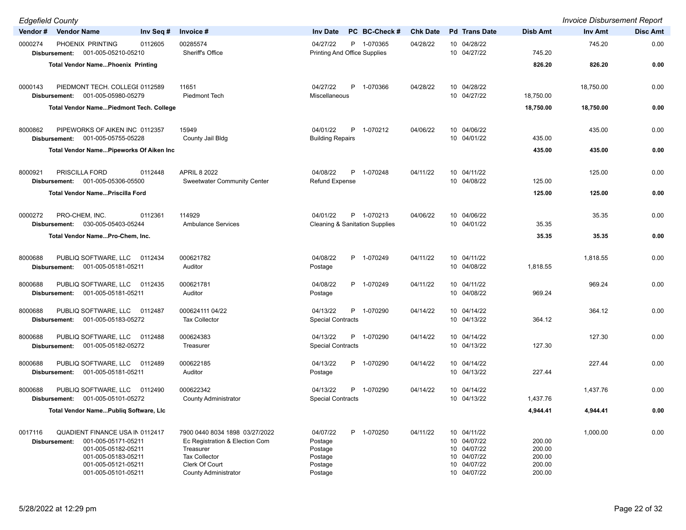| <b>Edgefield County</b>                                                                                                                                                               |                                                                                                                                                        |                                                                               |                                                                                                    |                                                | <b>Invoice Disbursement Report</b> |                 |
|---------------------------------------------------------------------------------------------------------------------------------------------------------------------------------------|--------------------------------------------------------------------------------------------------------------------------------------------------------|-------------------------------------------------------------------------------|----------------------------------------------------------------------------------------------------|------------------------------------------------|------------------------------------|-----------------|
| Vendor #<br><b>Vendor Name</b>                                                                                                                                                        | Inv Seq #<br>Invoice #                                                                                                                                 | PC BC-Check #<br><b>Inv Date</b>                                              | <b>Chk Date</b><br><b>Pd</b> Trans Date                                                            | <b>Disb Amt</b>                                | Inv Amt                            | <b>Disc Amt</b> |
| 0000274<br>PHOENIX PRINTING<br>001-005-05210-05210<br>Disbursement:                                                                                                                   | 00285574<br>0112605<br>Sheriff's Office                                                                                                                | 04/27/22<br>P 1-070365<br><b>Printing And Office Supplies</b>                 | 04/28/22<br>10 04/28/22<br>10 04/27/22                                                             | 745.20                                         | 745.20                             | 0.00            |
| <b>Total Vendor NamePhoenix Printing</b>                                                                                                                                              |                                                                                                                                                        |                                                                               |                                                                                                    | 826.20                                         | 826.20                             | 0.00            |
| PIEDMONT TECH. COLLEGE 0112589<br>0000143<br>001-005-05980-05279<br>Disbursement:                                                                                                     | 11651<br><b>Piedmont Tech</b>                                                                                                                          | P<br>04/27/22<br>1-070366<br>Miscellaneous                                    | 04/28/22<br>10 04/28/22<br>10 04/27/22                                                             | 18,750.00                                      | 18,750.00                          | 0.00            |
| <b>Total Vendor NamePiedmont Tech. College</b>                                                                                                                                        |                                                                                                                                                        |                                                                               |                                                                                                    | 18,750.00                                      | 18,750.00                          | 0.00            |
| 8000862<br>PIPEWORKS OF AIKEN INC 0112357<br>001-005-05755-05228<br>Disbursement:                                                                                                     | 15949<br>County Jail Bldg                                                                                                                              | 04/01/22<br>P<br>1-070212<br><b>Building Repairs</b>                          | 10 04/06/22<br>04/06/22<br>10 04/01/22                                                             | 435.00                                         | 435.00                             | 0.00            |
| Total Vendor Name Pipeworks Of Aiken Inc                                                                                                                                              |                                                                                                                                                        |                                                                               |                                                                                                    | 435.00                                         | 435.00                             | 0.00            |
| 8000921<br>PRISCILLA FORD<br>001-005-05306-05500<br>Disbursement:                                                                                                                     | 0112448<br><b>APRIL 8 2022</b><br><b>Sweetwater Community Center</b>                                                                                   | 04/08/22<br>P 1-070248<br><b>Refund Expense</b>                               | 10 04/11/22<br>04/11/22<br>10 04/08/22                                                             | 125.00                                         | 125.00                             | 0.00            |
| Total Vendor NamePriscilla Ford                                                                                                                                                       |                                                                                                                                                        |                                                                               |                                                                                                    | 125.00                                         | 125.00                             | 0.00            |
| 0000272<br>PRO-CHEM, INC.<br>030-005-05403-05244<br>Disbursement:                                                                                                                     | 114929<br>0112361<br><b>Ambulance Services</b>                                                                                                         | 04/01/22<br>P 1-070213<br><b>Cleaning &amp; Sanitation Supplies</b>           | 04/06/22<br>10 04/06/22<br>10 04/01/22                                                             | 35.35                                          | 35.35                              | 0.00            |
| Total Vendor NamePro-Chem, Inc.                                                                                                                                                       |                                                                                                                                                        |                                                                               |                                                                                                    | 35.35                                          | 35.35                              | 0.00            |
| PUBLIQ SOFTWARE, LLC 0112434<br>8000688<br>001-005-05181-05211<br>Disbursement:                                                                                                       | 000621782<br>Auditor                                                                                                                                   | 04/08/22<br>P 1-070249<br>Postage                                             | 04/11/22<br>10 04/11/22<br>10 04/08/22                                                             | 1,818.55                                       | 1,818.55                           | 0.00            |
| PUBLIQ SOFTWARE, LLC<br>8000688<br>001-005-05181-05211<br>Disbursement:                                                                                                               | 000621781<br>0112435<br>Auditor                                                                                                                        | P 1-070249<br>04/08/22<br>Postage                                             | 10 04/11/22<br>04/11/22<br>10 04/08/22                                                             | 969.24                                         | 969.24                             | 0.00            |
| PUBLIQ SOFTWARE, LLC<br>8000688<br>001-005-05183-05272<br>Disbursement:                                                                                                               | 000624111 04/22<br>0112487<br><b>Tax Collector</b>                                                                                                     | 04/13/22<br>P 1-070290<br><b>Special Contracts</b>                            | 10 04/14/22<br>04/14/22<br>10 04/13/22                                                             | 364.12                                         | 364.12                             | 0.00            |
| 8000688<br>PUBLIQ SOFTWARE, LLC<br>001-005-05182-05272<br>Disbursement:                                                                                                               | 000624383<br>0112488<br>Treasurer                                                                                                                      | 04/13/22<br>P<br>1-070290<br><b>Special Contracts</b>                         | 10 04/14/22<br>04/14/22<br>10 04/13/22                                                             | 127.30                                         | 127.30                             | 0.00            |
| PUBLIQ SOFTWARE, LLC<br>8000688<br>001-005-05181-05211<br>Disbursement:                                                                                                               | 000622185<br>0112489<br>Auditor                                                                                                                        | 04/13/22<br>P 1-070290<br>Postage                                             | 04/14/22<br>10 04/14/22<br>10 04/13/22                                                             | 227.44                                         | 227.44                             | 0.00            |
| PUBLIQ SOFTWARE, LLC<br>8000688<br>001-005-05101-05272<br>Disbursement:                                                                                                               | 000622342<br>0112490<br><b>County Administrator</b>                                                                                                    | 04/13/22<br>P 1-070290<br><b>Special Contracts</b>                            | 04/14/22<br>10 04/14/22<br>10 04/13/22                                                             | 1,437.76                                       | 1,437.76                           | 0.00            |
| Total Vendor NamePubliq Software, LIc                                                                                                                                                 |                                                                                                                                                        |                                                                               |                                                                                                    | 4,944.41                                       | 4,944.41                           | 0.00            |
| 0017116<br><b>QUADIENT FINANCE USA IN 0112417</b><br>001-005-05171-05211<br>Disbursement:<br>001-005-05182-05211<br>001-005-05183-05211<br>001-005-05121-05211<br>001-005-05101-05211 | 7900 0440 8034 1898 03/27/2022<br>Ec Registration & Election Com<br>Treasurer<br><b>Tax Collector</b><br>Clerk Of Court<br><b>County Administrator</b> | P 1-070250<br>04/07/22<br>Postage<br>Postage<br>Postage<br>Postage<br>Postage | 04/11/22<br>10 04/11/22<br>10 04/07/22<br>10 04/07/22<br>10 04/07/22<br>10 04/07/22<br>10 04/07/22 | 200.00<br>200.00<br>200.00<br>200.00<br>200.00 | 1,000.00                           | 0.00            |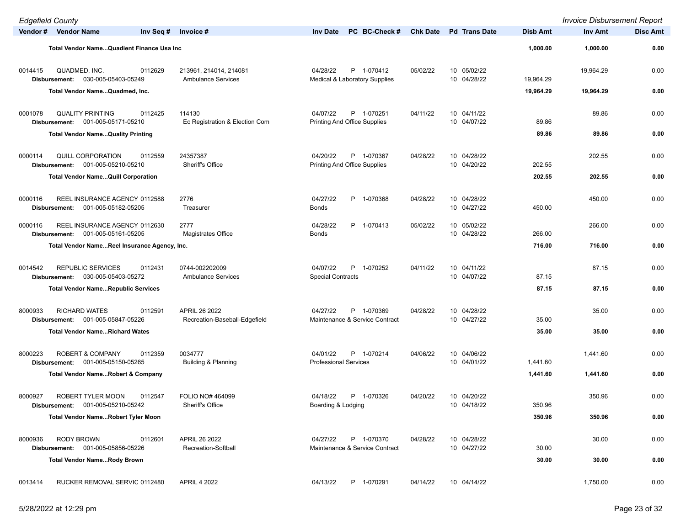| <b>Edgefield County</b>  |                                                                    |                         |                                                     |                                          |                                                   |                 |                            |           | <b>Invoice Disbursement Report</b> |                 |
|--------------------------|--------------------------------------------------------------------|-------------------------|-----------------------------------------------------|------------------------------------------|---------------------------------------------------|-----------------|----------------------------|-----------|------------------------------------|-----------------|
|                          | Vendor # Vendor Name                                               | Inv Seq $#$ Invoice $#$ |                                                     | <b>Inv Date</b>                          | PC BC-Check #                                     | <b>Chk Date</b> | <b>Pd</b> Trans Date       | Disb Amt  | Inv Amt                            | <b>Disc Amt</b> |
|                          | Total Vendor Name Quadient Finance Usa Inc                         |                         |                                                     |                                          |                                                   |                 |                            | 1,000.00  | 1,000.00                           | 0.00            |
| 0014415                  | QUADMED, INC.<br>Disbursement: 030-005-05403-05249                 | 0112629                 | 213961, 214014, 214081<br><b>Ambulance Services</b> | 04/28/22                                 | P 1-070412<br>Medical & Laboratory Supplies       | 05/02/22        | 10 05/02/22<br>10 04/28/22 | 19,964.29 | 19,964.29                          | 0.00            |
|                          | Total Vendor NameQuadmed, Inc.                                     |                         |                                                     |                                          |                                                   |                 |                            | 19,964.29 | 19,964.29                          | 0.00            |
| 0001078<br>Disbursement: | <b>QUALITY PRINTING</b><br>001-005-05171-05210                     | 0112425                 | 114130<br>Ec Registration & Election Com            | 04/07/22                                 | P 1-070251<br>Printing And Office Supplies        | 04/11/22        | 10 04/11/22<br>10 04/07/22 | 89.86     | 89.86                              | 0.00            |
|                          | <b>Total Vendor Name Quality Printing</b>                          |                         |                                                     |                                          |                                                   |                 |                            | 89.86     | 89.86                              | 0.00            |
| 0000114                  | <b>QUILL CORPORATION</b><br>Disbursement: 001-005-05210-05210      | 0112559                 | 24357387<br>Sheriff's Office                        | 04/20/22                                 | P 1-070367<br><b>Printing And Office Supplies</b> | 04/28/22        | 10 04/28/22<br>10 04/20/22 | 202.55    | 202.55                             | 0.00            |
|                          | <b>Total Vendor NameQuill Corporation</b>                          |                         |                                                     |                                          |                                                   |                 |                            | 202.55    | 202.55                             | 0.00            |
| 0000116<br>Disbursement: | REEL INSURANCE AGENCY 0112588<br>001-005-05182-05205               |                         | 2776<br>Treasurer                                   | 04/27/22<br>Bonds                        | P 1-070368                                        | 04/28/22        | 10 04/28/22<br>10 04/27/22 | 450.00    | 450.00                             | 0.00            |
| 0000116                  | REEL INSURANCE AGENCY 0112630<br>Disbursement: 001-005-05161-05205 |                         | 2777<br>Magistrates Office                          | 04/28/22<br><b>Bonds</b>                 | P 1-070413                                        | 05/02/22        | 10 05/02/22<br>10 04/28/22 | 266.00    | 266.00                             | 0.00            |
|                          | Total Vendor NameReel Insurance Agency, Inc.                       |                         |                                                     |                                          |                                                   |                 |                            | 716.00    | 716.00                             | 0.00            |
| 0014542                  | <b>REPUBLIC SERVICES</b><br>Disbursement: 030-005-05403-05272      | 0112431                 | 0744-002202009<br><b>Ambulance Services</b>         | 04/07/22<br><b>Special Contracts</b>     | P 1-070252                                        | 04/11/22        | 10 04/11/22<br>10 04/07/22 | 87.15     | 87.15                              | 0.00            |
|                          | <b>Total Vendor NameRepublic Services</b>                          |                         |                                                     |                                          |                                                   |                 |                            | 87.15     | 87.15                              | 0.00            |
| 8000933<br>Disbursement: | <b>RICHARD WATES</b><br>001-005-05847-05226                        | 0112591                 | APRIL 26 2022<br>Recreation-Baseball-Edgefield      | 04/27/22                                 | P 1-070369<br>Maintenance & Service Contract      | 04/28/22        | 10 04/28/22<br>10 04/27/22 | 35.00     | 35.00                              | 0.00            |
|                          | <b>Total Vendor NameRichard Wates</b>                              |                         |                                                     |                                          |                                                   |                 |                            | 35.00     | 35.00                              | 0.00            |
| 8000223                  | <b>ROBERT &amp; COMPANY</b><br>Disbursement: 001-005-05150-05265   | 0112359                 | 0034777<br>Building & Planning                      | 04/01/22<br><b>Professional Services</b> | P 1-070214                                        | 04/06/22        | 10 04/06/22<br>10 04/01/22 | 1,441.60  | 1,441.60                           | 0.00            |
|                          | <b>Total Vendor NameRobert &amp; Company</b>                       |                         |                                                     |                                          |                                                   |                 |                            | 1,441.60  | 1,441.60                           | 0.00            |
| 8000927                  | ROBERT TYLER MOON<br>Disbursement: 001-005-05210-05242             | 0112547                 | FOLIO NO# 464099<br>Sheriff's Office                | 04/18/22<br>Boarding & Lodging           | P 1-070326                                        | 04/20/22        | 10 04/20/22<br>10 04/18/22 | 350.96    | 350.96                             | 0.00            |
|                          | <b>Total Vendor NameRobert Tyler Moon</b>                          |                         |                                                     |                                          |                                                   |                 |                            | 350.96    | 350.96                             | 0.00            |
| 8000936                  | RODY BROWN<br>Disbursement: 001-005-05856-05226                    | 0112601                 | APRIL 26 2022<br>Recreation-Softball                | 04/27/22                                 | P 1-070370<br>Maintenance & Service Contract      | 04/28/22        | 10 04/28/22<br>10 04/27/22 | 30.00     | 30.00                              | 0.00            |
|                          | <b>Total Vendor NameRody Brown</b>                                 |                         |                                                     |                                          |                                                   |                 |                            | 30.00     | 30.00                              | 0.00            |
| 0013414                  | RUCKER REMOVAL SERVIC 0112480                                      |                         | <b>APRIL 4 2022</b>                                 | 04/13/22                                 | P 1-070291                                        | 04/14/22        | 10 04/14/22                |           | 1,750.00                           | 0.00            |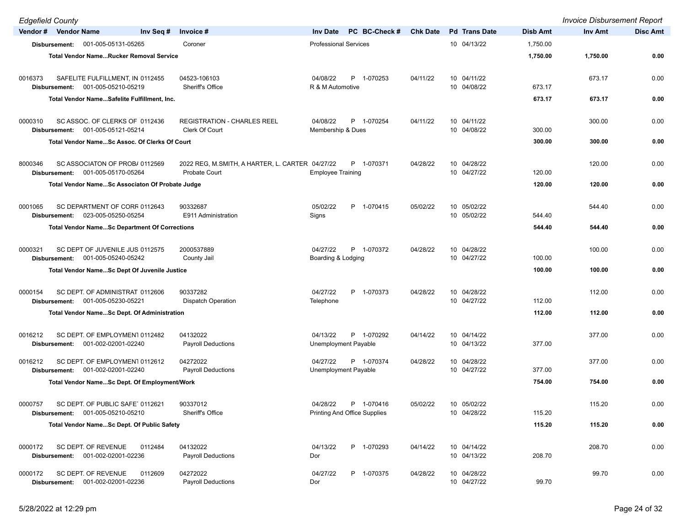| <b>Edgefield County</b>  |                                                                     |                                                 |                                     |                 |                            |          | <b>Invoice Disbursement Report</b> |                 |
|--------------------------|---------------------------------------------------------------------|-------------------------------------------------|-------------------------------------|-----------------|----------------------------|----------|------------------------------------|-----------------|
| Vendor # Vendor Name     | Inv Seq #                                                           | Invoice #                                       | PC BC-Check #<br><b>Inv Date</b>    | <b>Chk Date</b> | <b>Pd</b> Trans Date       | Disb Amt | Inv Amt                            | <b>Disc Amt</b> |
|                          | Disbursement: 001-005-05131-05265                                   | Coroner                                         | <b>Professional Services</b>        |                 | 10 04/13/22                | 1,750.00 |                                    |                 |
|                          | <b>Total Vendor NameRucker Removal Service</b>                      |                                                 |                                     |                 |                            | 1,750.00 | 1,750.00                           | 0.00            |
|                          |                                                                     |                                                 |                                     |                 |                            |          |                                    |                 |
| 0016373                  | SAFELITE FULFILLMENT, IN 0112455                                    | 04523-106103                                    | 04/08/22<br>P 1-070253              | 04/11/22        | 10 04/11/22                |          | 673.17                             | 0.00            |
| Disbursement:            | 001-005-05210-05219                                                 | Sheriff's Office                                | R & M Automotive                    |                 | 10 04/08/22                | 673.17   |                                    |                 |
|                          | Total Vendor NameSafelite Fulfillment, Inc.                         |                                                 |                                     |                 |                            | 673.17   | 673.17                             | 0.00            |
| 0000310                  | SC ASSOC. OF CLERKS OF 0112436                                      | <b>REGISTRATION - CHARLES REEL</b>              | P 1-070254<br>04/08/22              | 04/11/22        | 10 04/11/22                |          | 300.00                             | 0.00            |
|                          | Disbursement: 001-005-05121-05214                                   | <b>Clerk Of Court</b>                           | Membership & Dues                   |                 | 10 04/08/22                | 300.00   |                                    |                 |
|                          | Total Vendor NameSc Assoc. Of Clerks Of Court                       |                                                 |                                     |                 |                            | 300.00   | 300.00                             | 0.00            |
|                          |                                                                     |                                                 |                                     |                 |                            |          |                                    |                 |
| 8000346                  | SC ASSOCIATON OF PROB/0112569                                       | 2022 REG, M.SMITH, A HARTER, L. CARTER 04/27/22 | P 1-070371                          | 04/28/22        | 10 04/28/22                |          | 120.00                             | 0.00            |
|                          | Disbursement: 001-005-05170-05264                                   | Probate Court                                   | <b>Employee Training</b>            |                 | 10 04/27/22                | 120.00   |                                    |                 |
|                          | Total Vendor NameSc Associaton Of Probate Judge                     |                                                 |                                     |                 |                            | 120.00   | 120.00                             | 0.00            |
| 0001065                  | SC DEPARTMENT OF CORF 0112643                                       | 90332687                                        | P 1-070415<br>05/02/22              | 05/02/22        | 10 05/02/22                |          | 544.40                             | 0.00            |
|                          | Disbursement: 023-005-05250-05254                                   | E911 Administration                             | Signs                               |                 | 10 05/02/22                | 544.40   |                                    |                 |
|                          | <b>Total Vendor NameSc Department Of Corrections</b>                |                                                 |                                     |                 |                            | 544.40   | 544.40                             | 0.00            |
|                          |                                                                     |                                                 |                                     |                 |                            |          |                                    |                 |
| 0000321                  | SC DEPT OF JUVENILE JUS 0112575                                     | 2000537889                                      | 04/27/22<br>P 1-070372              | 04/28/22        | 10 04/28/22                |          | 100.00                             | 0.00            |
|                          | Disbursement: 001-005-05240-05242                                   | County Jail                                     | Boarding & Lodging                  |                 | 10 04/27/22                | 100.00   |                                    |                 |
|                          | <b>Total Vendor NameSc Dept Of Juvenile Justice</b>                 |                                                 |                                     |                 |                            | 100.00   | 100.00                             | 0.00            |
|                          |                                                                     |                                                 |                                     |                 |                            |          |                                    |                 |
| 0000154<br>Disbursement: | SC DEPT. OF ADMINISTRAT 0112606<br>001-005-05230-05221              | 90337282<br><b>Dispatch Operation</b>           | P 1-070373<br>04/27/22<br>Telephone | 04/28/22        | 10 04/28/22<br>10 04/27/22 | 112.00   | 112.00                             | 0.00            |
|                          | <b>Total Vendor NameSc Dept. Of Administration</b>                  |                                                 |                                     |                 |                            | 112.00   | 112.00                             | 0.00            |
|                          |                                                                     |                                                 |                                     |                 |                            |          |                                    |                 |
| 0016212                  | SC DEPT. OF EMPLOYMEN1 0112482                                      | 04132022                                        | 04/13/22<br>P 1-070292              | 04/14/22        | 10 04/14/22                |          | 377.00                             | 0.00            |
|                          | Disbursement: 001-002-02001-02240                                   | <b>Payroll Deductions</b>                       | Unemployment Payable                |                 | 10 04/13/22                | 377.00   |                                    |                 |
| 0016212                  | SC DEPT. OF EMPLOYMEN1 0112612                                      | 04272022                                        | 04/27/22<br>P 1-070374              | 04/28/22        | 10 04/28/22                |          | 377.00                             | 0.00            |
|                          | Disbursement: 001-002-02001-02240                                   | <b>Payroll Deductions</b>                       | Unemployment Payable                |                 | 10 04/27/22                | 377.00   |                                    |                 |
|                          | Total Vendor NameSc Dept. Of Employment/Work                        |                                                 |                                     |                 |                            | 754.00   | 754.00                             | 0.00            |
|                          |                                                                     |                                                 |                                     |                 |                            |          |                                    |                 |
| 0000757                  | SC DEPT. OF PUBLIC SAFE' 0112621                                    | 90337012<br>Sheriff's Office                    | 04/28/22<br>P 1-070416              | 05/02/22        | 10 05/02/22<br>10 04/28/22 |          | 115.20                             | 0.00            |
|                          | Disbursement: 001-005-05210-05210                                   |                                                 | Printing And Office Supplies        |                 |                            | 115.20   |                                    |                 |
|                          | Total Vendor NameSc Dept. Of Public Safety                          |                                                 |                                     |                 |                            | 115.20   | 115.20                             | 0.00            |
| 0000172                  | SC DEPT. OF REVENUE<br>0112484                                      | 04132022                                        | P 1-070293<br>04/13/22              | 04/14/22        | 10 04/14/22                |          | 208.70                             | 0.00            |
|                          | Disbursement: 001-002-02001-02236                                   | <b>Payroll Deductions</b>                       | Dor                                 |                 | 10 04/13/22                | 208.70   |                                    |                 |
|                          |                                                                     | 04272022                                        |                                     |                 |                            |          |                                    |                 |
| 0000172                  | SC DEPT. OF REVENUE<br>0112609<br>Disbursement: 001-002-02001-02236 | <b>Payroll Deductions</b>                       | 04/27/22<br>P 1-070375<br>Dor       | 04/28/22        | 10 04/28/22<br>10 04/27/22 | 99.70    | 99.70                              | 0.00            |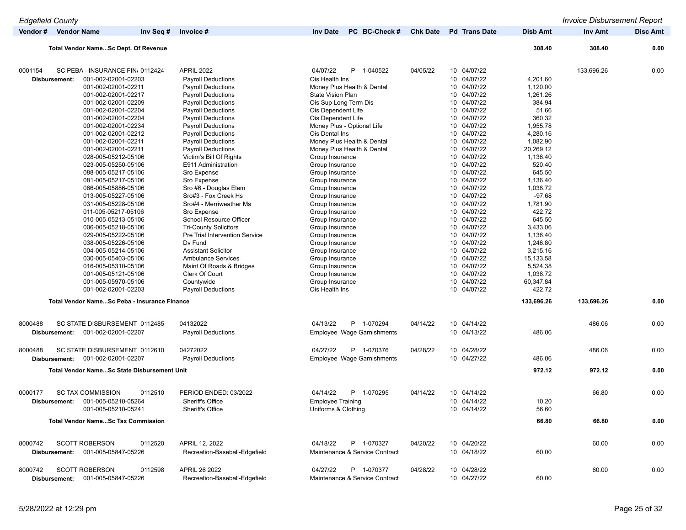| <b>Edgefield County</b>  |                                                                                                                                                                                                                                                                                                                                                                                                                                                                                                             |                                                                                                                                                                                                                                                                                                                                                                                                                                                                                                                                                           |                                                                                                                                                                                                                                                                                                                                                                                                                                                                                   |                 |                                                                                                                                                                                                                                                                                                                         |                                                                                                                                                                                                                                | <b>Invoice Disbursement Report</b> |                 |
|--------------------------|-------------------------------------------------------------------------------------------------------------------------------------------------------------------------------------------------------------------------------------------------------------------------------------------------------------------------------------------------------------------------------------------------------------------------------------------------------------------------------------------------------------|-----------------------------------------------------------------------------------------------------------------------------------------------------------------------------------------------------------------------------------------------------------------------------------------------------------------------------------------------------------------------------------------------------------------------------------------------------------------------------------------------------------------------------------------------------------|-----------------------------------------------------------------------------------------------------------------------------------------------------------------------------------------------------------------------------------------------------------------------------------------------------------------------------------------------------------------------------------------------------------------------------------------------------------------------------------|-----------------|-------------------------------------------------------------------------------------------------------------------------------------------------------------------------------------------------------------------------------------------------------------------------------------------------------------------------|--------------------------------------------------------------------------------------------------------------------------------------------------------------------------------------------------------------------------------|------------------------------------|-----------------|
|                          | Vendor # Vendor Name<br>Inv Seq #                                                                                                                                                                                                                                                                                                                                                                                                                                                                           | Invoice #                                                                                                                                                                                                                                                                                                                                                                                                                                                                                                                                                 | PC BC-Check #<br><b>Inv Date</b>                                                                                                                                                                                                                                                                                                                                                                                                                                                  | <b>Chk Date</b> | <b>Pd</b> Trans Date                                                                                                                                                                                                                                                                                                    | <b>Disb Amt</b>                                                                                                                                                                                                                | Inv Amt                            | <b>Disc Amt</b> |
|                          | <b>Total Vendor NameSc Dept. Of Revenue</b>                                                                                                                                                                                                                                                                                                                                                                                                                                                                 |                                                                                                                                                                                                                                                                                                                                                                                                                                                                                                                                                           |                                                                                                                                                                                                                                                                                                                                                                                                                                                                                   |                 |                                                                                                                                                                                                                                                                                                                         | 308.40                                                                                                                                                                                                                         | 308.40                             | 0.00            |
|                          |                                                                                                                                                                                                                                                                                                                                                                                                                                                                                                             |                                                                                                                                                                                                                                                                                                                                                                                                                                                                                                                                                           |                                                                                                                                                                                                                                                                                                                                                                                                                                                                                   |                 |                                                                                                                                                                                                                                                                                                                         |                                                                                                                                                                                                                                |                                    |                 |
| 0001154<br>Disbursement: | SC PEBA - INSURANCE FIN 0112424<br>001-002-02001-02203<br>001-002-02001-02211<br>001-002-02001-02217<br>001-002-02001-02209<br>001-002-02001-02204<br>001-002-02001-02204<br>001-002-02001-02234<br>001-002-02001-02212<br>001-002-02001-02211<br>001-002-02001-02211<br>028-005-05212-05106<br>023-005-05250-05106<br>088-005-05217-05106<br>081-005-05217-05106<br>066-005-05886-05106<br>013-005-05227-05106<br>031-005-05228-05106<br>011-005-05217-05106<br>010-005-05213-05106<br>006-005-05218-05106 | <b>APRIL 2022</b><br><b>Payroll Deductions</b><br><b>Payroll Deductions</b><br><b>Payroll Deductions</b><br><b>Payroll Deductions</b><br><b>Payroll Deductions</b><br><b>Payroll Deductions</b><br><b>Payroll Deductions</b><br><b>Payroll Deductions</b><br><b>Payroll Deductions</b><br><b>Payroll Deductions</b><br>Victim's Bill Of Rights<br>E911 Administration<br>Sro Expense<br>Sro Expense<br>Sro #6 - Douglas Elem<br>Sro#3 - Fox Creek Hs<br>Sro#4 - Merriweather Ms<br>Sro Expense<br>School Resource Officer<br><b>Tri-County Solicitors</b> | 04/07/22<br>P 1-040522<br>Ois Health Ins<br>Money Plus Health & Dental<br><b>State Vision Plan</b><br>Ois Sup Long Term Dis<br>Ois Dependent Life<br>Ois Dependent Life<br>Money Plus - Optional Life<br>Ois Dental Ins<br>Money Plus Health & Dental<br>Money Plus Health & Dental<br>Group Insurance<br>Group Insurance<br>Group Insurance<br>Group Insurance<br>Group Insurance<br>Group Insurance<br>Group Insurance<br>Group Insurance<br>Group Insurance<br>Group Insurance | 04/05/22        | 10 04/07/22<br>10 04/07/22<br>10 04/07/22<br>10 04/07/22<br>10 04/07/22<br>10 04/07/22<br>10 04/07/22<br>10 04/07/22<br>10 04/07/22<br>10 04/07/22<br>10 04/07/22<br>10 04/07/22<br>10 04/07/22<br>10 04/07/22<br>10 04/07/22<br>10 04/07/22<br>10 04/07/22<br>10 04/07/22<br>10 04/07/22<br>10 04/07/22<br>10 04/07/22 | 4,201.60<br>1,120.00<br>1,261.26<br>384.94<br>51.66<br>360.32<br>1,955.78<br>4,280.16<br>1,082.90<br>20,269.12<br>1,136.40<br>520.40<br>645.50<br>1,136.40<br>1,038.72<br>$-97.68$<br>1,781.90<br>422.72<br>645.50<br>3,433.06 | 133,696.26                         | 0.00            |
|                          | 029-005-05222-05106<br>038-005-05226-05106<br>004-005-05214-05106<br>030-005-05403-05106<br>016-005-05310-05106<br>001-005-05121-05106<br>001-005-05970-05106<br>001-002-02001-02203                                                                                                                                                                                                                                                                                                                        | Pre Trial Intervention Service<br>Dv Fund<br><b>Assistant Solicitor</b><br><b>Ambulance Services</b><br>Maint Of Roads & Bridges<br>Clerk Of Court<br>Countywide<br><b>Payroll Deductions</b>                                                                                                                                                                                                                                                                                                                                                             | Group Insurance<br>Group Insurance<br>Group Insurance<br>Group Insurance<br>Group Insurance<br>Group Insurance<br>Group Insurance<br>Ois Health Ins                                                                                                                                                                                                                                                                                                                               |                 | 10 04/07/22<br>10 04/07/22<br>10 04/07/22<br>10 04/07/22<br>10 04/07/22<br>10 04/07/22<br>10 04/07/22<br>10 04/07/22                                                                                                                                                                                                    | 1,136.40<br>1,246.80<br>3,215.16<br>15,133.58<br>5,524.38<br>1,038.72<br>60,347.84<br>422.72                                                                                                                                   |                                    |                 |
|                          | Total Vendor NameSc Peba - Insurance Finance                                                                                                                                                                                                                                                                                                                                                                                                                                                                |                                                                                                                                                                                                                                                                                                                                                                                                                                                                                                                                                           |                                                                                                                                                                                                                                                                                                                                                                                                                                                                                   |                 |                                                                                                                                                                                                                                                                                                                         | 133,696.26                                                                                                                                                                                                                     | 133,696.26                         | 0.00            |
| 8000488<br>Disbursement: | SC STATE DISBURSEMENT 0112485<br>001-002-02001-02207                                                                                                                                                                                                                                                                                                                                                                                                                                                        | 04132022<br><b>Payroll Deductions</b>                                                                                                                                                                                                                                                                                                                                                                                                                                                                                                                     | 04/13/22<br>P 1-070294<br>Employee Wage Garnishments                                                                                                                                                                                                                                                                                                                                                                                                                              | 04/14/22        | 10 04/14/22<br>10 04/13/22                                                                                                                                                                                                                                                                                              | 486.06                                                                                                                                                                                                                         | 486.06                             | 0.00            |
| 8000488<br>Disbursement: | SC STATE DISBURSEMENT 0112610<br>001-002-02001-02207                                                                                                                                                                                                                                                                                                                                                                                                                                                        | 04272022<br><b>Payroll Deductions</b>                                                                                                                                                                                                                                                                                                                                                                                                                                                                                                                     | P 1-070376<br>04/27/22<br>Employee Wage Garnishments                                                                                                                                                                                                                                                                                                                                                                                                                              | 04/28/22        | 10 04/28/22<br>10 04/27/22                                                                                                                                                                                                                                                                                              | 486.06                                                                                                                                                                                                                         | 486.06                             | 0.00            |
|                          | Total Vendor NameSc State Disbursement Unit                                                                                                                                                                                                                                                                                                                                                                                                                                                                 |                                                                                                                                                                                                                                                                                                                                                                                                                                                                                                                                                           |                                                                                                                                                                                                                                                                                                                                                                                                                                                                                   |                 |                                                                                                                                                                                                                                                                                                                         | 972.12                                                                                                                                                                                                                         | 972.12                             | 0.00            |
| 0000177                  | <b>SC TAX COMMISSION</b><br>0112510<br>Disbursement: 001-005-05210-05264<br>001-005-05210-05241                                                                                                                                                                                                                                                                                                                                                                                                             | PERIOD ENDED: 03/2022<br>Sheriff's Office<br>Sheriff's Office                                                                                                                                                                                                                                                                                                                                                                                                                                                                                             | 04/14/22<br>P 1-070295<br>Employee Training<br>Uniforms & Clothing                                                                                                                                                                                                                                                                                                                                                                                                                | 04/14/22        | 10 04/14/22<br>10 04/14/22<br>10 04/14/22                                                                                                                                                                                                                                                                               | 10.20<br>56.60                                                                                                                                                                                                                 | 66.80                              | 0.00            |
|                          | <b>Total Vendor NameSc Tax Commission</b>                                                                                                                                                                                                                                                                                                                                                                                                                                                                   |                                                                                                                                                                                                                                                                                                                                                                                                                                                                                                                                                           |                                                                                                                                                                                                                                                                                                                                                                                                                                                                                   |                 |                                                                                                                                                                                                                                                                                                                         | 66.80                                                                                                                                                                                                                          | 66.80                              | 0.00            |
| 8000742                  | <b>SCOTT ROBERSON</b><br>0112520<br>Disbursement: 001-005-05847-05226                                                                                                                                                                                                                                                                                                                                                                                                                                       | APRIL 12, 2022<br>Recreation-Baseball-Edgefield                                                                                                                                                                                                                                                                                                                                                                                                                                                                                                           | 04/18/22<br>P 1-070327<br>Maintenance & Service Contract                                                                                                                                                                                                                                                                                                                                                                                                                          | 04/20/22        | 10 04/20/22<br>10 04/18/22                                                                                                                                                                                                                                                                                              | 60.00                                                                                                                                                                                                                          | 60.00                              | 0.00            |
| 8000742                  | <b>SCOTT ROBERSON</b><br>0112598<br>Disbursement: 001-005-05847-05226                                                                                                                                                                                                                                                                                                                                                                                                                                       | APRIL 26 2022<br>Recreation-Baseball-Edgefield                                                                                                                                                                                                                                                                                                                                                                                                                                                                                                            | P 1-070377<br>04/27/22<br>Maintenance & Service Contract                                                                                                                                                                                                                                                                                                                                                                                                                          | 04/28/22        | 10 04/28/22<br>10 04/27/22                                                                                                                                                                                                                                                                                              | 60.00                                                                                                                                                                                                                          | 60.00                              | 0.00            |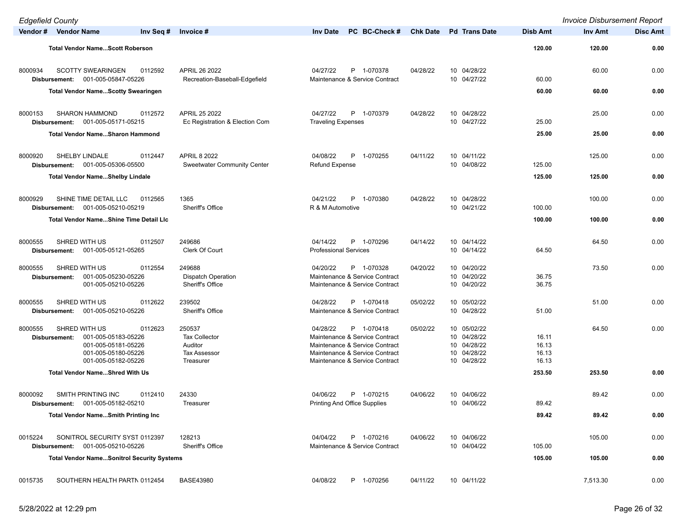| <b>Edgefield County</b> |                                                                                                                                       |                                                                               |                                                                                                                                                                |                 |                                                                         |                                  | <b>Invoice Disbursement Report</b> |                 |
|-------------------------|---------------------------------------------------------------------------------------------------------------------------------------|-------------------------------------------------------------------------------|----------------------------------------------------------------------------------------------------------------------------------------------------------------|-----------------|-------------------------------------------------------------------------|----------------------------------|------------------------------------|-----------------|
|                         | Vendor # Vendor Name<br>Inv Seq #                                                                                                     | Invoice #                                                                     | PC BC-Check #<br><b>Inv Date</b>                                                                                                                               | <b>Chk Date</b> | <b>Pd Trans Date</b>                                                    | <b>Disb Amt</b>                  | Inv Amt                            | <b>Disc Amt</b> |
|                         | <b>Total Vendor NameScott Roberson</b>                                                                                                |                                                                               |                                                                                                                                                                |                 |                                                                         | 120.00                           | 120.00                             | 0.00            |
| 8000934                 | <b>SCOTTY SWEARINGEN</b><br>0112592<br>001-005-05847-05226<br>Disbursement:                                                           | APRIL 26 2022<br>Recreation-Baseball-Edgefield                                | 04/27/22<br>P 1-070378<br>Maintenance & Service Contract                                                                                                       | 04/28/22        | 10 04/28/22<br>10 04/27/22                                              | 60.00                            | 60.00                              | 0.00            |
|                         | <b>Total Vendor NameScotty Swearingen</b>                                                                                             |                                                                               |                                                                                                                                                                |                 |                                                                         | 60.00                            | 60.00                              | 0.00            |
| 8000153                 | <b>SHARON HAMMOND</b><br>0112572<br>001-005-05171-05215<br>Disbursement:                                                              | APRIL 25 2022<br>Ec Registration & Election Com                               | 04/27/22<br>P 1-070379<br><b>Traveling Expenses</b>                                                                                                            | 04/28/22        | 10 04/28/22<br>10 04/27/22                                              | 25.00                            | 25.00                              | 0.00            |
|                         | Total Vendor NameSharon Hammond                                                                                                       |                                                                               |                                                                                                                                                                |                 |                                                                         | 25.00                            | 25.00                              | 0.00            |
| 8000920                 | SHELBY LINDALE<br>0112447<br>001-005-05306-05500<br>Disbursement:                                                                     | <b>APRIL 8 2022</b><br><b>Sweetwater Community Center</b>                     | 04/08/22<br>P 1-070255<br><b>Refund Expense</b>                                                                                                                | 04/11/22        | 10 04/11/22<br>10 04/08/22                                              | 125.00                           | 125.00                             | 0.00            |
|                         | <b>Total Vendor NameShelby Lindale</b>                                                                                                |                                                                               |                                                                                                                                                                |                 |                                                                         | 125.00                           | 125.00                             | 0.00            |
| 8000929                 | SHINE TIME DETAIL LLC<br>0112565<br>001-005-05210-05219<br>Disbursement:                                                              | 1365<br>Sheriff's Office                                                      | 04/21/22<br>P 1-070380<br>R & M Automotive                                                                                                                     | 04/28/22        | 10 04/28/22<br>10 04/21/22                                              | 100.00                           | 100.00                             | 0.00            |
|                         | <b>Total Vendor NameShine Time Detail LIc</b>                                                                                         |                                                                               |                                                                                                                                                                |                 |                                                                         | 100.00                           | 100.00                             | 0.00            |
| 8000555                 | SHRED WITH US<br>0112507<br>Disbursement: 001-005-05121-05265                                                                         | 249686<br>Clerk Of Court                                                      | P 1-070296<br>04/14/22<br><b>Professional Services</b>                                                                                                         | 04/14/22        | 10 04/14/22<br>10 04/14/22                                              | 64.50                            | 64.50                              | 0.00            |
| 8000555                 | SHRED WITH US<br>0112554<br>001-005-05230-05226<br>Disbursement:<br>001-005-05210-05226                                               | 249688<br><b>Dispatch Operation</b><br>Sheriff's Office                       | 04/20/22<br>P 1-070328<br>Maintenance & Service Contract<br>Maintenance & Service Contract                                                                     | 04/20/22        | 10 04/20/22<br>10 04/20/22<br>10 04/20/22                               | 36.75<br>36.75                   | 73.50                              | 0.00            |
| 8000555                 | SHRED WITH US<br>0112622<br>001-005-05210-05226<br>Disbursement:                                                                      | 239502<br><b>Sheriff's Office</b>                                             | P 1-070418<br>04/28/22<br>Maintenance & Service Contract                                                                                                       | 05/02/22        | 10 05/02/22<br>10 04/28/22                                              | 51.00                            | 51.00                              | 0.00            |
| 8000555                 | SHRED WITH US<br>0112623<br>001-005-05183-05226<br>Disbursement:<br>001-005-05181-05226<br>001-005-05180-05226<br>001-005-05182-05226 | 250537<br><b>Tax Collector</b><br>Auditor<br><b>Tax Assessor</b><br>Treasurer | 04/28/22<br>P 1-070418<br>Maintenance & Service Contract<br>Maintenance & Service Contract<br>Maintenance & Service Contract<br>Maintenance & Service Contract | 05/02/22        | 10 05/02/22<br>10 04/28/22<br>10 04/28/22<br>10 04/28/22<br>10 04/28/22 | 16.11<br>16.13<br>16.13<br>16.13 | 64.50                              | 0.00            |
|                         | <b>Total Vendor NameShred With Us</b>                                                                                                 |                                                                               |                                                                                                                                                                |                 |                                                                         | 253.50                           | 253.50                             | 0.00            |
| 8000092                 | SMITH PRINTING INC<br>0112410<br>Disbursement: 001-005-05182-05210                                                                    | 24330<br>Treasurer                                                            | 04/06/22<br>P 1-070215<br>Printing And Office Supplies                                                                                                         | 04/06/22        | 10 04/06/22<br>10 04/06/22                                              | 89.42                            | 89.42                              | 0.00            |
|                         | <b>Total Vendor NameSmith Printing Inc.</b>                                                                                           |                                                                               |                                                                                                                                                                |                 |                                                                         | 89.42                            | 89.42                              | 0.00            |
| 0015224                 | SONITROL SECURITY SYST 0112397<br>001-005-05210-05226<br>Disbursement:                                                                | 128213<br>Sheriff's Office                                                    | P 1-070216<br>04/04/22<br>Maintenance & Service Contract                                                                                                       | 04/06/22        | 10 04/06/22<br>10 04/04/22                                              | 105.00                           | 105.00                             | 0.00            |
|                         | <b>Total Vendor NameSonitrol Security Systems</b>                                                                                     |                                                                               |                                                                                                                                                                |                 |                                                                         | 105.00                           | 105.00                             | 0.00            |
| 0015735                 | SOUTHERN HEALTH PARTN 0112454                                                                                                         | <b>BASE43980</b>                                                              | P 1-070256<br>04/08/22                                                                                                                                         | 04/11/22        | 10 04/11/22                                                             |                                  | 7,513.30                           | 0.00            |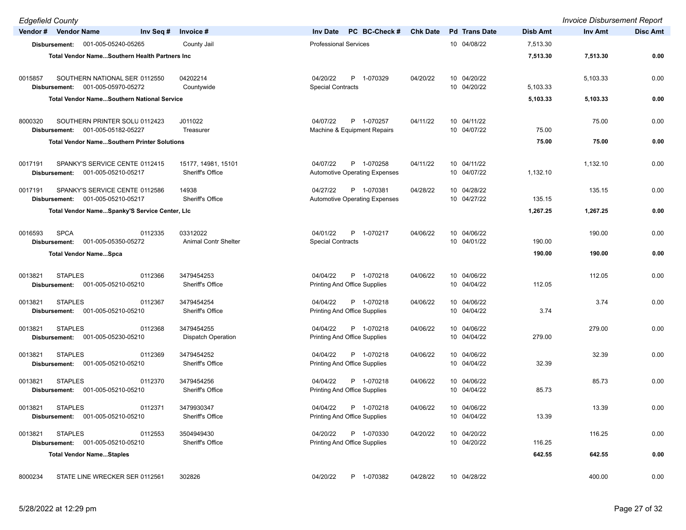| <b>Edgefield County</b> |                                                     |           |                                         |                                                               |                 |                            |                 | <b>Invoice Disbursement Report</b> |                 |
|-------------------------|-----------------------------------------------------|-----------|-----------------------------------------|---------------------------------------------------------------|-----------------|----------------------------|-----------------|------------------------------------|-----------------|
|                         | Vendor # Vendor Name                                | Inv Seq # | Invoice #                               | PC BC-Check #<br><b>Inv Date</b>                              | <b>Chk Date</b> | <b>Pd</b> Trans Date       | <b>Disb Amt</b> | <b>Inv Amt</b>                     | <b>Disc Amt</b> |
|                         | Disbursement: 001-005-05240-05265                   |           | County Jail                             | <b>Professional Services</b>                                  |                 | 10 04/08/22                | 7,513.30        |                                    |                 |
|                         | Total Vendor NameSouthern Health Partners Inc       |           |                                         |                                                               |                 |                            | 7,513.30        | 7,513.30                           | 0.00            |
|                         |                                                     |           |                                         |                                                               |                 |                            |                 |                                    |                 |
| 0015857                 | SOUTHERN NATIONAL SER 0112550                       |           | 04202214                                | 04/20/22<br>P 1-070329                                        | 04/20/22        | 10 04/20/22<br>10 04/20/22 |                 | 5,103.33                           | 0.00            |
|                         | Disbursement: 001-005-05970-05272                   |           | Countywide                              | <b>Special Contracts</b>                                      |                 |                            | 5,103.33        |                                    |                 |
|                         | <b>Total Vendor NameSouthern National Service</b>   |           |                                         |                                                               |                 |                            | 5,103.33        | 5,103.33                           | 0.00            |
| 8000320                 | SOUTHERN PRINTER SOLU 0112423                       |           | J011022                                 | 04/07/22<br>P 1-070257                                        | 04/11/22        | 10 04/11/22                |                 | 75.00                              | 0.00            |
|                         | Disbursement: 001-005-05182-05227                   |           | Treasurer                               | Machine & Equipment Repairs                                   |                 | 10 04/07/22                | 75.00           |                                    |                 |
|                         | <b>Total Vendor NameSouthern Printer Solutions</b>  |           |                                         |                                                               |                 |                            | 75.00           | 75.00                              | 0.00            |
|                         |                                                     |           |                                         |                                                               |                 |                            |                 |                                    |                 |
| 0017191                 | SPANKY'S SERVICE CENTE 0112415                      |           | 15177, 14981, 15101<br>Sheriff's Office | P 1-070258<br>04/07/22                                        | 04/11/22        | 10 04/11/22<br>10 04/07/22 |                 | 1,132.10                           | 0.00            |
|                         | Disbursement: 001-005-05210-05217                   |           |                                         | <b>Automotive Operating Expenses</b>                          |                 |                            | 1,132.10        |                                    |                 |
| 0017191                 | SPANKY'S SERVICE CENTE 0112586                      |           | 14938                                   | 04/27/22<br>P 1-070381                                        | 04/28/22        | 10 04/28/22                |                 | 135.15                             | 0.00            |
|                         | Disbursement: 001-005-05210-05217                   |           | Sheriff's Office                        | <b>Automotive Operating Expenses</b>                          |                 | 10 04/27/22                | 135.15          |                                    |                 |
|                         | Total Vendor NameSpanky'S Service Center, LIc       |           |                                         |                                                               |                 |                            | 1,267.25        | 1,267.25                           | 0.00            |
| 0016593                 | <b>SPCA</b>                                         | 0112335   | 03312022                                | 04/01/22<br>P 1-070217                                        | 04/06/22        | 10 04/06/22                |                 | 190.00                             | 0.00            |
|                         | 001-005-05350-05272<br>Disbursement:                |           | <b>Animal Contr Shelter</b>             | <b>Special Contracts</b>                                      |                 | 10 04/01/22                | 190.00          |                                    |                 |
|                         | <b>Total Vendor NameSpca</b>                        |           |                                         |                                                               |                 |                            | 190.00          | 190.00                             | 0.00            |
|                         |                                                     |           |                                         |                                                               |                 |                            |                 |                                    |                 |
| 0013821                 | <b>STAPLES</b>                                      | 0112366   | 3479454253                              | 04/04/22<br>P 1-070218                                        | 04/06/22        | 10 04/06/22                |                 | 112.05                             | 0.00            |
|                         | Disbursement: 001-005-05210-05210                   |           | Sheriff's Office                        | <b>Printing And Office Supplies</b>                           |                 | 10 04/04/22                | 112.05          |                                    |                 |
| 0013821                 | <b>STAPLES</b>                                      | 0112367   | 3479454254                              | 04/04/22<br>P 1-070218                                        | 04/06/22        | 10 04/06/22                |                 | 3.74                               | 0.00            |
|                         | Disbursement: 001-005-05210-05210                   |           | Sheriff's Office                        | Printing And Office Supplies                                  |                 | 10 04/04/22                | 3.74            |                                    |                 |
| 0013821                 | <b>STAPLES</b>                                      | 0112368   | 3479454255                              | P 1-070218<br>04/04/22                                        | 04/06/22        | 10 04/06/22                |                 | 279.00                             | 0.00            |
|                         | 001-005-05230-05210<br>Disbursement:                |           | <b>Dispatch Operation</b>               | Printing And Office Supplies                                  |                 | 10 04/04/22                | 279.00          |                                    |                 |
| 0013821                 | <b>STAPLES</b>                                      | 0112369   | 3479454252                              | 04/04/22<br>P 1-070218                                        | 04/06/22        | 10 04/06/22                |                 | 32.39                              | 0.00            |
|                         | Disbursement: 001-005-05210-05210                   |           | Sheriff's Office                        | Printing And Office Supplies                                  |                 | 10 04/04/22                | 32.39           |                                    |                 |
|                         |                                                     |           |                                         |                                                               |                 |                            |                 |                                    |                 |
| 0013821                 | <b>STAPLES</b><br>Disbursement: 001-005-05210-05210 | 0112370   | 3479454256<br>Sheriff's Office          | 04/04/22<br>P 1-070218<br><b>Printing And Office Supplies</b> | 04/06/22        | 10 04/06/22<br>10 04/04/22 | 85.73           | 85.73                              | 0.00            |
|                         |                                                     |           |                                         |                                                               |                 |                            |                 |                                    |                 |
|                         | 0013821 STAPLES                                     | 0112371   | 3479930347                              | 04/04/22 P 1-070218                                           | 04/06/22        | 10 04/06/22                |                 | 13.39                              | 0.00            |
|                         | Disbursement: 001-005-05210-05210                   |           | Sheriff's Office                        | Printing And Office Supplies                                  |                 | 10 04/04/22                | 13.39           |                                    |                 |
| 0013821                 | <b>STAPLES</b>                                      | 0112553   | 3504949430                              | 04/20/22<br>P 1-070330                                        | 04/20/22        | 10 04/20/22                |                 | 116.25                             | 0.00            |
|                         | Disbursement: 001-005-05210-05210                   |           | Sheriff's Office                        | Printing And Office Supplies                                  |                 | 10 04/20/22                | 116.25          |                                    |                 |
|                         | <b>Total Vendor NameStaples</b>                     |           |                                         |                                                               |                 |                            | 642.55          | 642.55                             | 0.00            |
| 8000234                 | STATE LINE WRECKER SER 0112561                      |           | 302826                                  | P 1-070382<br>04/20/22                                        | 04/28/22        | 10 04/28/22                |                 | 400.00                             | 0.00            |
|                         |                                                     |           |                                         |                                                               |                 |                            |                 |                                    |                 |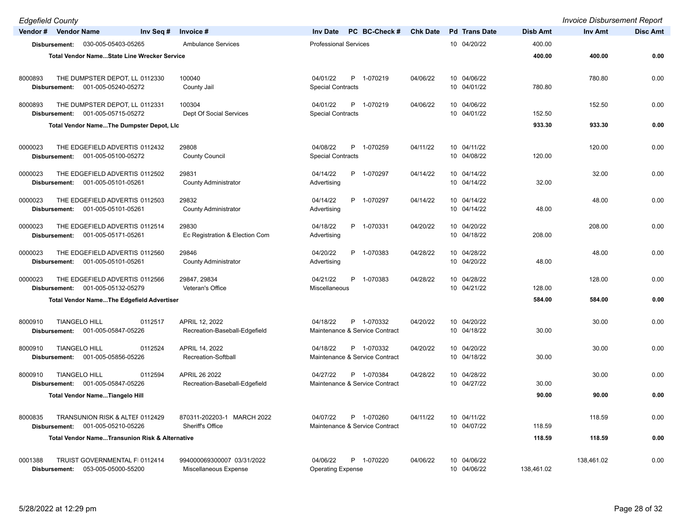| <b>Edgefield County</b>                                                            |                                                |                                                          |                 |                            |                 | <b>Invoice Disbursement Report</b> |                 |
|------------------------------------------------------------------------------------|------------------------------------------------|----------------------------------------------------------|-----------------|----------------------------|-----------------|------------------------------------|-----------------|
| Vendor # Vendor Name<br>Inv Seq #                                                  | Invoice #                                      | PC BC-Check #<br><b>Inv Date</b>                         | <b>Chk Date</b> | <b>Pd</b> Trans Date       | <b>Disb Amt</b> | Inv Amt                            | <b>Disc Amt</b> |
| 030-005-05403-05265<br>Disbursement:                                               | <b>Ambulance Services</b>                      | <b>Professional Services</b>                             |                 | 10 04/20/22                | 400.00          |                                    |                 |
| <b>Total Vendor NameState Line Wrecker Service</b>                                 |                                                |                                                          |                 |                            | 400.00          | 400.00                             | 0.00            |
|                                                                                    |                                                |                                                          |                 |                            |                 |                                    |                 |
| 8000893<br>THE DUMPSTER DEPOT, LL 0112330                                          | 100040                                         | P 1-070219<br>04/01/22                                   | 04/06/22        | 10 04/06/22                |                 | 780.80                             | 0.00            |
| 001-005-05240-05272<br>Disbursement:                                               | County Jail                                    | <b>Special Contracts</b>                                 |                 | 10 04/01/22                | 780.80          |                                    |                 |
| 8000893<br>THE DUMPSTER DEPOT, LL 0112331                                          | 100304                                         | P 1-070219<br>04/01/22                                   | 04/06/22        | 10 04/06/22                |                 | 152.50                             | 0.00            |
| 001-005-05715-05272<br>Disbursement:                                               | Dept Of Social Services                        | <b>Special Contracts</b>                                 |                 | 10 04/01/22                | 152.50          |                                    |                 |
| Total Vendor NameThe Dumpster Depot, Lic                                           |                                                |                                                          |                 |                            | 933.30          | 933.30                             | 0.00            |
|                                                                                    |                                                |                                                          |                 |                            |                 |                                    |                 |
| 0000023<br>THE EDGEFIELD ADVERTIS 0112432                                          | 29808                                          | P 1-070259<br>04/08/22                                   | 04/11/22        | 10 04/11/22                |                 | 120.00                             | 0.00            |
| 001-005-05100-05272<br>Disbursement:                                               | <b>County Council</b>                          | <b>Special Contracts</b>                                 |                 | 10 04/08/22                | 120.00          |                                    |                 |
| THE EDGEFIELD ADVERTIS 0112502<br>0000023                                          | 29831                                          | 04/14/22<br>P 1-070297                                   | 04/14/22        | 10 04/14/22                |                 | 32.00                              | 0.00            |
| 001-005-05101-05261<br>Disbursement:                                               | <b>County Administrator</b>                    | Advertising                                              |                 | 10 04/14/22                | 32.00           |                                    |                 |
| THE EDGEFIELD ADVERTIS 0112503<br>0000023                                          | 29832                                          | 04/14/22<br>P 1-070297                                   | 04/14/22        | 10 04/14/22                |                 | 48.00                              | 0.00            |
| 001-005-05101-05261<br>Disbursement:                                               | <b>County Administrator</b>                    | Advertising                                              |                 | 10 04/14/22                | 48.00           |                                    |                 |
|                                                                                    |                                                |                                                          |                 |                            |                 |                                    |                 |
| THE EDGEFIELD ADVERTIS 0112514<br>0000023                                          | 29830                                          | P 1-070331<br>04/18/22                                   | 04/20/22        | 10 04/20/22                |                 | 208.00                             | 0.00            |
| 001-005-05171-05261<br>Disbursement:                                               | Ec Registration & Election Com                 | Advertising                                              |                 | 10 04/18/22                | 208.00          |                                    |                 |
| THE EDGEFIELD ADVERTIS 0112560<br>0000023                                          | 29846                                          | 04/20/22<br>P 1-070383                                   | 04/28/22        | 10 04/28/22                |                 | 48.00                              | 0.00            |
| 001-005-05101-05261<br>Disbursement:                                               | <b>County Administrator</b>                    | Advertising                                              |                 | 10 04/20/22                | 48.00           |                                    |                 |
| 0000023<br>THE EDGEFIELD ADVERTIS 0112566                                          | 29847, 29834                                   | P<br>1-070383<br>04/21/22                                | 04/28/22        | 10 04/28/22                |                 | 128.00                             | 0.00            |
| 001-005-05132-05279<br>Disbursement:                                               | Veteran's Office                               | Miscellaneous                                            |                 | 10 04/21/22                | 128.00          |                                    |                 |
| Total Vendor NameThe Edgefield Advertiser                                          |                                                |                                                          |                 |                            | 584.00          | 584.00                             | 0.00            |
|                                                                                    |                                                |                                                          |                 |                            |                 |                                    |                 |
| <b>TIANGELO HILL</b><br>0112517<br>8000910                                         | APRIL 12, 2022                                 | 04/18/22<br>P 1-070332                                   | 04/20/22        | 10 04/20/22                |                 | 30.00                              | 0.00            |
| 001-005-05847-05226<br>Disbursement:                                               | Recreation-Baseball-Edgefield                  | Maintenance & Service Contract                           |                 | 10 04/18/22                | 30.00           |                                    |                 |
| <b>TIANGELO HILL</b><br>0112524<br>8000910                                         | APRIL 14, 2022                                 | 04/18/22<br>P 1-070332                                   | 04/20/22        | 10 04/20/22                |                 | 30.00                              | 0.00            |
| 001-005-05856-05226<br>Disbursement:                                               | Recreation-Softball                            | Maintenance & Service Contract                           |                 | 10 04/18/22                | 30.00           |                                    |                 |
|                                                                                    |                                                |                                                          |                 |                            |                 |                                    |                 |
| <b>TIANGELO HILL</b><br>8000910<br>0112594<br>001-005-05847-05226<br>Disbursement: | APRIL 26 2022<br>Recreation-Baseball-Edgefield | 04/27/22<br>P 1-070384<br>Maintenance & Service Contract | 04/28/22        | 10 04/28/22<br>10 04/27/22 | 30.00           | 30.00                              | 0.00            |
| <b>Total Vendor NameTiangelo Hill</b>                                              |                                                |                                                          |                 |                            | 90.00           | 90.00                              | 0.00            |
|                                                                                    |                                                |                                                          |                 |                            |                 |                                    |                 |
| 8000835<br>TRANSUNION RISK & ALTEF 0112429                                         | 870311-202203-1 MARCH 2022                     | 04/07/22<br>P 1-070260                                   | 04/11/22        | 10 04/11/22                |                 | 118.59                             | 0.00            |
| 001-005-05210-05226<br>Disbursement:                                               | Sheriff's Office                               | Maintenance & Service Contract                           |                 | 10 04/07/22                | 118.59          |                                    |                 |
| <b>Total Vendor NameTransunion Risk &amp; Alternative</b>                          |                                                |                                                          |                 |                            | 118.59          | 118.59                             | 0.00            |
|                                                                                    |                                                |                                                          |                 |                            |                 |                                    |                 |
| 0001388<br>TRUIST GOVERNMENTAL FI 0112414<br>053-005-05000-55200                   | 994000069300007 03/31/2022                     | 04/06/22<br>P 1-070220<br><b>Operating Expense</b>       | 04/06/22        | 10 04/06/22<br>10 04/06/22 | 138,461.02      | 138,461.02                         | 0.00            |
| Disbursement:                                                                      | Miscellaneous Expense                          |                                                          |                 |                            |                 |                                    |                 |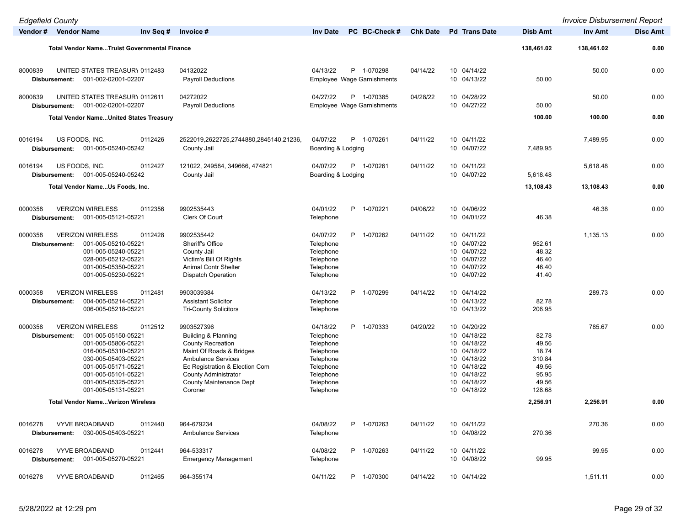| <b>Edgefield County</b>                                                                                                                                                                                                                                |                                                                                                                                                                                                                                                 |                                                                                                                                |                                                                                                                                                 |                                                                        | <b>Invoice Disbursement Report</b> |                 |
|--------------------------------------------------------------------------------------------------------------------------------------------------------------------------------------------------------------------------------------------------------|-------------------------------------------------------------------------------------------------------------------------------------------------------------------------------------------------------------------------------------------------|--------------------------------------------------------------------------------------------------------------------------------|-------------------------------------------------------------------------------------------------------------------------------------------------|------------------------------------------------------------------------|------------------------------------|-----------------|
| Vendor # Vendor Name<br>Inv Seq #                                                                                                                                                                                                                      | Invoice #                                                                                                                                                                                                                                       | PC BC-Check #<br><b>Inv Date</b>                                                                                               | <b>Pd</b> Trans Date<br><b>Chk Date</b>                                                                                                         | <b>Disb Amt</b>                                                        | Inv Amt                            | <b>Disc Amt</b> |
| <b>Total Vendor NameTruist Governmental Finance</b>                                                                                                                                                                                                    |                                                                                                                                                                                                                                                 |                                                                                                                                |                                                                                                                                                 | 138,461.02                                                             | 138,461.02                         | 0.00            |
| 8000839<br>UNITED STATES TREASURY 0112483<br>001-002-02001-02207<br>Disbursement:                                                                                                                                                                      | 04132022<br><b>Payroll Deductions</b>                                                                                                                                                                                                           | 04/13/22<br>P 1-070298<br><b>Employee Wage Garnishments</b>                                                                    | 04/14/22<br>10 04/14/22<br>10 04/13/22                                                                                                          | 50.00                                                                  | 50.00                              | 0.00            |
| 8000839<br>UNITED STATES TREASURY 0112611<br>001-002-02001-02207<br>Disbursement:                                                                                                                                                                      | 04272022<br><b>Payroll Deductions</b>                                                                                                                                                                                                           | 04/27/22<br>P 1-070385<br>Employee Wage Garnishments                                                                           | 10 04/28/22<br>04/28/22<br>10 04/27/22                                                                                                          | 50.00                                                                  | 50.00                              | 0.00            |
| <b>Total Vendor NameUnited States Treasury</b>                                                                                                                                                                                                         |                                                                                                                                                                                                                                                 |                                                                                                                                |                                                                                                                                                 | 100.00                                                                 | 100.00                             | 0.00            |
| 0016194<br>US FOODS, INC.<br>0112426<br>001-005-05240-05242<br>Disbursement:                                                                                                                                                                           | 2522019,2622725,2744880,2845140,21236,<br>County Jail                                                                                                                                                                                           | 04/07/22<br>P 1-070261<br>Boarding & Lodging                                                                                   | 10 04/11/22<br>04/11/22<br>10 04/07/22                                                                                                          | 7,489.95                                                               | 7,489.95                           | 0.00            |
| 0016194<br>US FOODS, INC.<br>0112427                                                                                                                                                                                                                   | 121022, 249584, 349666, 474821                                                                                                                                                                                                                  | 04/07/22<br>P 1-070261                                                                                                         | 04/11/22<br>10 04/11/22                                                                                                                         |                                                                        | 5,618.48                           | 0.00            |
| 001-005-05240-05242<br>Disbursement:                                                                                                                                                                                                                   | County Jail                                                                                                                                                                                                                                     | Boarding & Lodging                                                                                                             | 10 04/07/22                                                                                                                                     | 5,618.48                                                               |                                    |                 |
| Total Vendor NameUs Foods, Inc.                                                                                                                                                                                                                        |                                                                                                                                                                                                                                                 |                                                                                                                                |                                                                                                                                                 | 13,108.43                                                              | 13,108.43                          | 0.00            |
| <b>VERIZON WIRELESS</b><br>0000358<br>0112356<br>001-005-05121-05221<br>Disbursement:                                                                                                                                                                  | 9902535443<br>Clerk Of Court                                                                                                                                                                                                                    | 04/01/22<br>P 1-070221<br>Telephone                                                                                            | 10 04/06/22<br>04/06/22<br>10 04/01/22                                                                                                          | 46.38                                                                  | 46.38                              | 0.00            |
| 0000358<br><b>VERIZON WIRELESS</b><br>0112428<br>001-005-05210-05221<br>Disbursement:<br>001-005-05240-05221<br>028-005-05212-05221<br>001-005-05350-05221<br>001-005-05230-05221                                                                      | 9902535442<br>Sheriff's Office<br>County Jail<br>Victim's Bill Of Rights<br><b>Animal Contr Shelter</b><br>Dispatch Operation                                                                                                                   | 04/07/22<br>P 1-070262<br>Telephone<br>Telephone<br>Telephone<br>Telephone<br>Telephone                                        | 04/11/22<br>10 04/11/22<br>10 04/07/22<br>10 04/07/22<br>10 04/07/22<br>10 04/07/22<br>10 04/07/22                                              | 952.61<br>48.32<br>46.40<br>46.40<br>41.40                             | 1,135.13                           | 0.00            |
| 0000358<br><b>VERIZON WIRELESS</b><br>0112481<br>004-005-05214-05221<br>Disbursement:<br>006-005-05218-05221                                                                                                                                           | 9903039384<br><b>Assistant Solicitor</b><br><b>Tri-County Solicitors</b>                                                                                                                                                                        | 04/13/22<br>P 1-070299<br>Telephone<br>Telephone                                                                               | 04/14/22<br>10 04/14/22<br>10 04/13/22<br>10 04/13/22                                                                                           | 82.78<br>206.95                                                        | 289.73                             | 0.00            |
| 0000358<br><b>VERIZON WIRELESS</b><br>0112512<br>001-005-05150-05221<br>Disbursement:<br>001-005-05806-05221<br>016-005-05310-05221<br>030-005-05403-05221<br>001-005-05171-05221<br>001-005-05101-05221<br>001-005-05325-05221<br>001-005-05131-05221 | 9903527396<br><b>Building &amp; Planning</b><br><b>County Recreation</b><br>Maint Of Roads & Bridges<br><b>Ambulance Services</b><br>Ec Registration & Election Com<br><b>County Administrator</b><br><b>County Maintenance Dept</b><br>Coroner | P 1-070333<br>04/18/22<br>Telephone<br>Telephone<br>Telephone<br>Telephone<br>Telephone<br>Telephone<br>Telephone<br>Telephone | 10 04/20/22<br>04/20/22<br>10 04/18/22<br>10 04/18/22<br>10 04/18/22<br>10 04/18/22<br>10 04/18/22<br>10 04/18/22<br>10 04/18/22<br>10 04/18/22 | 82.78<br>49.56<br>18.74<br>310.84<br>49.56<br>95.95<br>49.56<br>128.68 | 785.67                             | 0.00            |
| <b>Total Vendor NameVerizon Wireless</b>                                                                                                                                                                                                               |                                                                                                                                                                                                                                                 |                                                                                                                                |                                                                                                                                                 | 2,256.91                                                               | 2,256.91                           | 0.00            |
| 0016278<br><b>VYVE BROADBAND</b><br>0112440<br>Disbursement: 030-005-05403-05221                                                                                                                                                                       | 964-679234<br><b>Ambulance Services</b>                                                                                                                                                                                                         | 04/08/22<br>P 1-070263<br>Telephone                                                                                            | 10 04/11/22<br>04/11/22<br>10 04/08/22                                                                                                          | 270.36                                                                 | 270.36                             | 0.00            |
| <b>VYVE BROADBAND</b><br>0016278<br>0112441<br>Disbursement: 001-005-05270-05221                                                                                                                                                                       | 964-533317<br><b>Emergency Management</b>                                                                                                                                                                                                       | 04/08/22<br>P 1-070263<br>Telephone                                                                                            | 10 04/11/22<br>04/11/22<br>10 04/08/22                                                                                                          | 99.95                                                                  | 99.95                              | 0.00            |
| 0016278<br><b>VYVE BROADBAND</b><br>0112465                                                                                                                                                                                                            | 964-355174                                                                                                                                                                                                                                      | 04/11/22<br>P 1-070300                                                                                                         | 04/14/22<br>10 04/14/22                                                                                                                         |                                                                        | 1,511.11                           | 0.00            |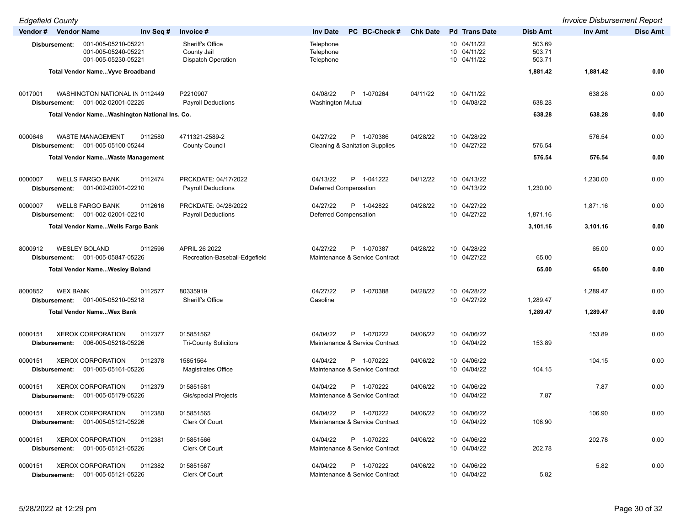| <b>Edgefield County</b>                                                                    |                                                              |                                                          |                 |                                           |                            | <b>Invoice Disbursement Report</b> |                 |
|--------------------------------------------------------------------------------------------|--------------------------------------------------------------|----------------------------------------------------------|-----------------|-------------------------------------------|----------------------------|------------------------------------|-----------------|
| Vendor # Vendor Name<br>Inv Seq #                                                          | Invoice #                                                    | PC BC-Check #<br><b>Inv Date</b>                         | <b>Chk Date</b> | <b>Pd</b> Trans Date                      | <b>Disb Amt</b>            | <b>Inv Amt</b>                     | <b>Disc Amt</b> |
| 001-005-05210-05221<br>Disbursement:<br>001-005-05240-05221<br>001-005-05230-05221         | Sheriff's Office<br>County Jail<br><b>Dispatch Operation</b> | Telephone<br>Telephone<br>Telephone                      |                 | 10 04/11/22<br>10 04/11/22<br>10 04/11/22 | 503.69<br>503.71<br>503.71 |                                    |                 |
| Total Vendor NameVyve Broadband                                                            |                                                              |                                                          |                 |                                           | 1,881.42                   | 1,881.42                           | 0.00            |
|                                                                                            |                                                              |                                                          |                 |                                           |                            |                                    |                 |
| 0017001<br>WASHINGTON NATIONAL IN 0112449<br>001-002-02001-02225<br>Disbursement:          | P2210907<br><b>Payroll Deductions</b>                        | 04/08/22<br>P 1-070264<br>Washington Mutual              | 04/11/22        | 10 04/11/22<br>10 04/08/22                | 638.28                     | 638.28                             | 0.00            |
| Total Vendor NameWashington National Ins. Co.                                              |                                                              |                                                          |                 |                                           | 638.28                     | 638.28                             | 0.00            |
|                                                                                            |                                                              |                                                          |                 |                                           |                            |                                    |                 |
| 0000646<br><b>WASTE MANAGEMENT</b><br>0112580                                              | 4711321-2589-2                                               | 04/27/22<br>P 1-070386                                   | 04/28/22        | 10 04/28/22                               |                            | 576.54                             | 0.00            |
| 001-005-05100-05244<br>Disbursement:                                                       | <b>County Council</b>                                        | <b>Cleaning &amp; Sanitation Supplies</b>                |                 | 10 04/27/22                               | 576.54                     |                                    |                 |
| <b>Total Vendor NameWaste Management</b>                                                   |                                                              |                                                          |                 |                                           | 576.54                     | 576.54                             | 0.00            |
|                                                                                            |                                                              |                                                          |                 |                                           |                            |                                    |                 |
| 0000007<br><b>WELLS FARGO BANK</b><br>0112474                                              | PRCKDATE: 04/17/2022                                         | 04/13/22<br>P 1-041222                                   | 04/12/22        | 10 04/13/22                               |                            | 1,230.00                           | 0.00            |
| 001-002-02001-02210<br>Disbursement:                                                       | <b>Payroll Deductions</b>                                    | <b>Deferred Compensation</b>                             |                 | 10 04/13/22                               | 1,230.00                   |                                    |                 |
| <b>WELLS FARGO BANK</b><br>0000007<br>0112616                                              | PRCKDATE: 04/28/2022                                         | 04/27/22<br>P 1-042822                                   | 04/28/22        | 10 04/27/22                               |                            | 1,871.16                           | 0.00            |
| 001-002-02001-02210<br>Disbursement:                                                       | <b>Payroll Deductions</b>                                    | <b>Deferred Compensation</b>                             |                 | 10 04/27/22                               | 1,871.16                   |                                    |                 |
| Total Vendor Name Wells Fargo Bank                                                         |                                                              |                                                          |                 |                                           | 3,101.16                   | 3,101.16                           | 0.00            |
|                                                                                            |                                                              |                                                          |                 |                                           |                            |                                    |                 |
| 8000912<br><b>WESLEY BOLAND</b><br>0112596                                                 | APRIL 26 2022                                                | 04/27/22<br>P 1-070387                                   | 04/28/22        | 10 04/28/22                               |                            | 65.00                              | 0.00            |
| 001-005-05847-05226<br>Disbursement:                                                       | Recreation-Baseball-Edgefield                                | Maintenance & Service Contract                           |                 | 10 04/27/22                               | 65.00                      |                                    |                 |
| <b>Total Vendor NameWesley Boland</b>                                                      |                                                              |                                                          |                 |                                           | 65.00                      | 65.00                              | 0.00            |
|                                                                                            |                                                              |                                                          |                 |                                           |                            |                                    |                 |
| 0112577<br>8000852<br><b>WEX BANK</b>                                                      | 80335919                                                     | 04/27/22<br>P 1-070388                                   | 04/28/22        | 10 04/28/22                               |                            | 1,289.47                           | 0.00            |
| 001-005-05210-05218<br>Disbursement:                                                       | Sheriff's Office                                             | Gasoline                                                 |                 | 10 04/27/22                               | 1,289.47                   |                                    |                 |
| <b>Total Vendor NameWex Bank</b>                                                           |                                                              |                                                          |                 |                                           | 1,289.47                   | 1,289.47                           | 0.00            |
|                                                                                            |                                                              |                                                          |                 |                                           |                            |                                    |                 |
| 0000151<br><b>XEROX CORPORATION</b><br>0112377                                             | 015851562                                                    | 04/04/22<br>P 1-070222                                   | 04/06/22        | 10 04/06/22                               |                            | 153.89                             | 0.00            |
| 006-005-05218-05226<br>Disbursement:                                                       | <b>Tri-County Solicitors</b>                                 | Maintenance & Service Contract                           |                 | 10 04/04/22                               | 153.89                     |                                    |                 |
|                                                                                            |                                                              |                                                          |                 |                                           |                            |                                    |                 |
| <b>XEROX CORPORATION</b><br>0112378<br>0000151<br>001-005-05161-05226<br>Disbursement:     | 15851564<br><b>Magistrates Office</b>                        | 04/04/22<br>P 1-070222<br>Maintenance & Service Contract | 04/06/22        | 10 04/06/22<br>10 04/04/22                | 104.15                     | 104.15                             | 0.00            |
|                                                                                            |                                                              |                                                          |                 |                                           |                            |                                    |                 |
| <b>XEROX CORPORATION</b><br>0112379<br>0000151                                             | 015851581                                                    | 04/04/22<br>P 1-070222                                   | 04/06/22        | 10 04/06/22                               |                            | 7.87                               | 0.00            |
| 001-005-05179-05226<br>Disbursement:                                                       | Gis/special Projects                                         | Maintenance & Service Contract                           |                 | 10 04/04/22                               | 7.87                       |                                    |                 |
|                                                                                            |                                                              |                                                          |                 |                                           |                            |                                    |                 |
| 0000151<br><b>XEROX CORPORATION</b><br>0112380<br><b>Disbursement: 001-005-05121-05226</b> | 015851565<br>Clerk Of Court                                  | P 1-070222<br>04/04/22<br>Maintenance & Service Contract | 04/06/22        | 10 04/06/22<br>10 04/04/22                | 106.90                     | 106.90                             | 0.00            |
|                                                                                            |                                                              |                                                          |                 |                                           |                            |                                    |                 |
| 0000151<br><b>XEROX CORPORATION</b><br>0112381                                             | 015851566                                                    | P 1-070222<br>04/04/22                                   | 04/06/22        | 10 04/06/22                               |                            | 202.78                             | 0.00            |
| <b>Disbursement: 001-005-05121-05226</b>                                                   | Clerk Of Court                                               | Maintenance & Service Contract                           |                 | 10 04/04/22                               | 202.78                     |                                    |                 |
| <b>XEROX CORPORATION</b><br>0112382<br>0000151                                             | 015851567                                                    | 04/04/22<br>P 1-070222                                   | 04/06/22        | 10 04/06/22                               |                            | 5.82                               | 0.00            |
| Disbursement: 001-005-05121-05226                                                          | Clerk Of Court                                               | Maintenance & Service Contract                           |                 | 10 04/04/22                               | 5.82                       |                                    |                 |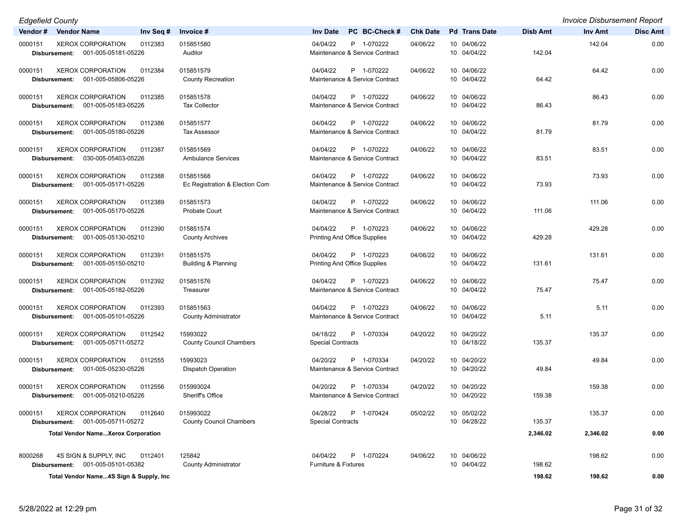| <b>Edgefield County</b>                                                                |                                             |                                                               |                 |                            |                 | <b>Invoice Disbursement Report</b> |                 |
|----------------------------------------------------------------------------------------|---------------------------------------------|---------------------------------------------------------------|-----------------|----------------------------|-----------------|------------------------------------|-----------------|
| Vendor#<br><b>Vendor Name</b><br>Inv Seq #                                             | Invoice #                                   | PC BC-Check #<br><b>Inv Date</b>                              | <b>Chk Date</b> | <b>Pd</b> Trans Date       | <b>Disb Amt</b> | Inv Amt                            | <b>Disc Amt</b> |
| 0000151<br><b>XEROX CORPORATION</b><br>0112383<br>Disbursement: 001-005-05181-05226    | 015851580<br>Auditor                        | 04/04/22<br>P 1-070222<br>Maintenance & Service Contract      | 04/06/22        | 10 04/06/22<br>10 04/04/22 | 142.04          | 142.04                             | 0.00            |
| XEROX CORPORATION<br>0000151<br>0112384<br>001-005-05806-05226<br>Disbursement:        | 015851579<br><b>County Recreation</b>       | P 1-070222<br>04/04/22<br>Maintenance & Service Contract      | 04/06/22        | 10 04/06/22<br>10 04/04/22 | 64.42           | 64.42                              | 0.00            |
| <b>XEROX CORPORATION</b><br>0112385<br>0000151<br>001-005-05183-05226<br>Disbursement: | 015851578<br><b>Tax Collector</b>           | 04/04/22<br>P 1-070222<br>Maintenance & Service Contract      | 04/06/22        | 10 04/06/22<br>10 04/04/22 | 86.43           | 86.43                              | 0.00            |
| <b>XEROX CORPORATION</b><br>0112386<br>0000151<br>001-005-05180-05226<br>Disbursement: | 015851577<br><b>Tax Assessor</b>            | P 1-070222<br>04/04/22<br>Maintenance & Service Contract      | 04/06/22        | 10 04/06/22<br>10 04/04/22 | 81.79           | 81.79                              | 0.00            |
| <b>XEROX CORPORATION</b><br>0000151<br>0112387<br>030-005-05403-05226<br>Disbursement: | 015851569<br><b>Ambulance Services</b>      | P 1-070222<br>04/04/22<br>Maintenance & Service Contract      | 04/06/22        | 10 04/06/22<br>10 04/04/22 | 83.51           | 83.51                              | 0.00            |
| <b>XEROX CORPORATION</b><br>0112388<br>0000151<br>001-005-05171-05226<br>Disbursement: | 015851568<br>Ec Registration & Election Com | 04/04/22<br>P 1-070222<br>Maintenance & Service Contract      | 04/06/22        | 10 04/06/22<br>10 04/04/22 | 73.93           | 73.93                              | 0.00            |
| <b>XEROX CORPORATION</b><br>0112389<br>0000151<br>001-005-05170-05226<br>Disbursement: | 015851573<br>Probate Court                  | 04/04/22<br>P 1-070222<br>Maintenance & Service Contract      | 04/06/22        | 10 04/06/22<br>10 04/04/22 | 111.06          | 111.06                             | 0.00            |
| <b>XEROX CORPORATION</b><br>0000151<br>0112390<br>001-005-05130-05210<br>Disbursement: | 015851574<br><b>County Archives</b>         | P 1-070223<br>04/04/22<br><b>Printing And Office Supplies</b> | 04/06/22        | 10 04/06/22<br>10 04/04/22 | 429.28          | 429.28                             | 0.00            |
| <b>XEROX CORPORATION</b><br>0112391<br>0000151<br>001-005-05150-05210<br>Disbursement: | 015851575<br>Building & Planning            | P 1-070223<br>04/04/22<br>Printing And Office Supplies        | 04/06/22        | 10 04/06/22<br>10 04/04/22 | 131.61          | 131.61                             | 0.00            |
| 0000151<br><b>XEROX CORPORATION</b><br>0112392<br>001-005-05182-05226<br>Disbursement: | 015851576<br>Treasurer                      | P 1-070223<br>04/04/22<br>Maintenance & Service Contract      | 04/06/22        | 10 04/06/22<br>10 04/04/22 | 75.47           | 75.47                              | 0.00            |
| <b>XEROX CORPORATION</b><br>0112393<br>0000151<br>001-005-05101-05226<br>Disbursement: | 015851563<br><b>County Administrator</b>    | 04/04/22<br>P 1-070223<br>Maintenance & Service Contract      | 04/06/22        | 10 04/06/22<br>10 04/04/22 | 5.11            | 5.11                               | 0.00            |
| <b>XEROX CORPORATION</b><br>0000151<br>0112542<br>001-005-05711-05272<br>Disbursement: | 15993022<br><b>County Council Chambers</b>  | P 1-070334<br>04/18/22<br><b>Special Contracts</b>            | 04/20/22        | 10 04/20/22<br>10 04/18/22 | 135.37          | 135.37                             | 0.00            |
| <b>XEROX CORPORATION</b><br>0112555<br>0000151<br>001-005-05230-05226<br>Disbursement: | 15993023<br>Dispatch Operation              | 04/20/22<br>P 1-070334<br>Maintenance & Service Contract      | 04/20/22        | 10 04/20/22<br>10 04/20/22 | 49.84           | 49.84                              | 0.00            |
| <b>XEROX CORPORATION</b><br>0000151<br>0112556<br>001-005-05210-05226<br>Disbursement: | 015993024<br>Sheriff's Office               | 04/20/22<br>P 1-070334<br>Maintenance & Service Contract      | 04/20/22        | 10 04/20/22<br>10 04/20/22 | 159.38          | 159.38                             | 0.00            |
| 0000151<br><b>XEROX CORPORATION</b><br>0112640<br>001-005-05711-05272<br>Disbursement: | 015993022<br><b>County Council Chambers</b> | 04/28/22<br>P 1-070424<br><b>Special Contracts</b>            | 05/02/22        | 10 05/02/22<br>10 04/28/22 | 135.37          | 135.37                             | 0.00            |
| <b>Total Vendor NameXerox Corporation</b>                                              |                                             |                                                               |                 |                            | 2,346.02        | 2,346.02                           | 0.00            |
| 8000268<br>4S SIGN & SUPPLY, INC<br>0112401<br>001-005-05101-05382<br>Disbursement:    | 125842<br><b>County Administrator</b>       | 04/04/22<br>P 1-070224<br>Furniture & Fixtures                | 04/06/22        | 10 04/06/22<br>10 04/04/22 | 198.62          | 198.62                             | 0.00            |
| Total Vendor Name4S Sign & Supply, Inc.                                                |                                             |                                                               |                 |                            | 198.62          | 198.62                             | 0.00            |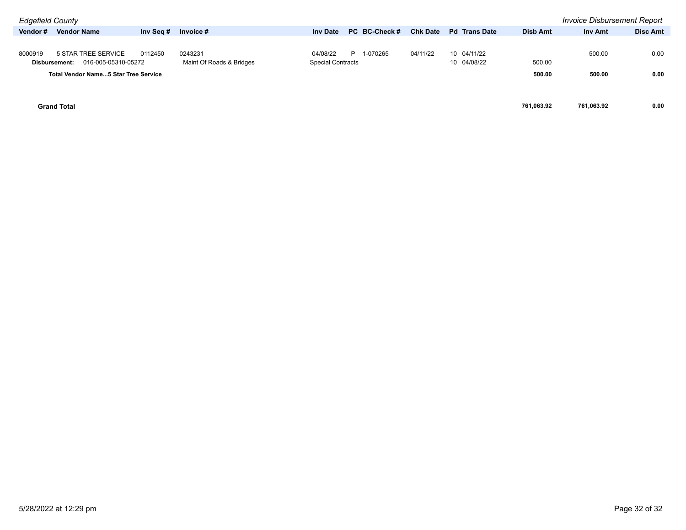| <b>Edgefield County</b> |                                             |           |                          |                          |               |                 |                      |            | <b>Invoice Disbursement Report</b> |                 |
|-------------------------|---------------------------------------------|-----------|--------------------------|--------------------------|---------------|-----------------|----------------------|------------|------------------------------------|-----------------|
| Vendor#                 | <b>Vendor Name</b>                          | Inv Seq # | Invoice #                | <b>Inv Date</b>          | PC BC-Check # | <b>Chk Date</b> | <b>Pd</b> Trans Date | Disb Amt   | <b>Inv Amt</b>                     | <b>Disc Amt</b> |
|                         |                                             |           |                          |                          |               |                 |                      |            |                                    |                 |
| 8000919                 | 5 STAR TREE SERVICE                         | 0112450   | 0243231                  | 04/08/22                 | 1-070265<br>P | 04/11/22        | 10 04/11/22          |            | 500.00                             | 0.00            |
|                         | 016-005-05310-05272<br>Disbursement:        |           | Maint Of Roads & Bridges | <b>Special Contracts</b> |               |                 | 10 04/08/22          | 500.00     |                                    |                 |
|                         | <b>Total Vendor Name5 Star Tree Service</b> |           |                          |                          |               |                 |                      | 500.00     | 500.00                             | 0.00            |
|                         |                                             |           |                          |                          |               |                 |                      |            |                                    |                 |
|                         |                                             |           |                          |                          |               |                 |                      |            |                                    |                 |
|                         | <b>Grand Total</b>                          |           |                          |                          |               |                 |                      | 761.063.92 | 761.063.92                         | 0.00            |